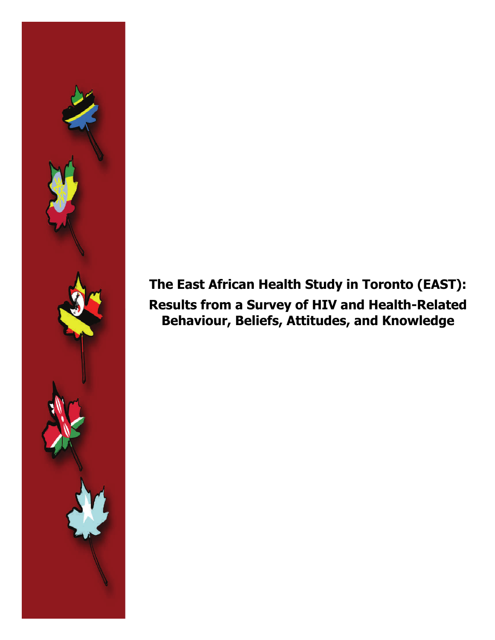## **The East African Health Study in Toronto (EAST): Results from a Survey of HIV and Health-Related Behaviour, Beliefs, Attitudes, and Knowledge**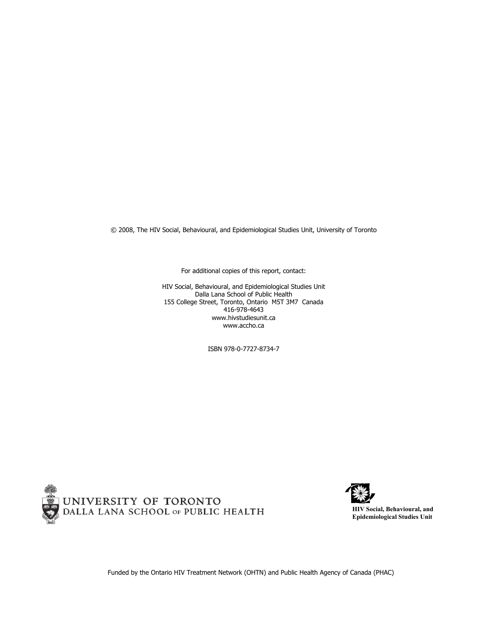© 2008, The HIV Social, Behavioural, and Epidemiological Studies Unit, University of Toronto

For additional copies of this report, contact:

HIV Social, Behavioural, and Epidemiological Studies Unit Dalla Lana School of Public Health 155 College Street, Toronto, Ontario M5T 3M7 Canada 416-978-4643 www.hivstudiesunit.ca www.accho.ca

ISBN 978-0-7727-8734-7





Funded by the Ontario HIV Treatment Network (OHTN) and Public Health Agency of Canada (PHAC)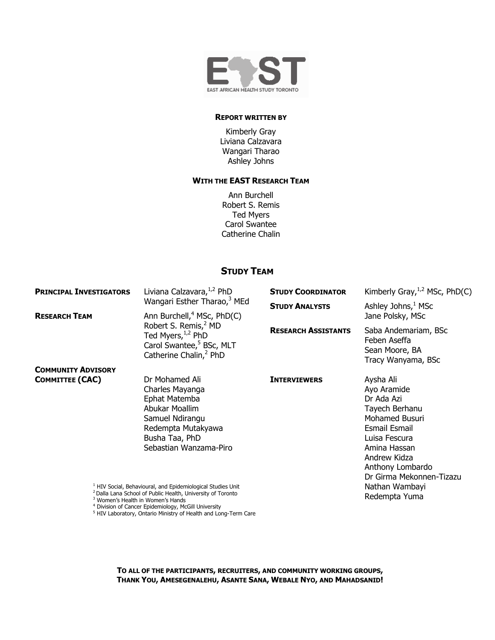

#### **REPORT WRITTEN BY**

Kimberly Gray Liviana Calzavara Wangari Tharao Ashley Johns

#### **WITH THE EAST RESEARCH TEAM**

Ann Burchell Robert S. Remis Ted Myers Carol Swantee Catherine Chalin

#### **STUDY TEAM**

| <b>PRINCIPAL INVESTIGATORS</b> | Liviana Calzavara, 1,2 PhD                                                                                                                                                                       | <b>STUDY COORDINATOR</b>   | Kimberly Gray, $^{1,2}$ MSc, PhD(C)                                                                                                                                                                        |  |
|--------------------------------|--------------------------------------------------------------------------------------------------------------------------------------------------------------------------------------------------|----------------------------|------------------------------------------------------------------------------------------------------------------------------------------------------------------------------------------------------------|--|
| <b>RESEARCH TEAM</b>           | Wangari Esther Tharao, <sup>3</sup> MEd<br>Ann Burchell, <sup>4</sup> MSc, PhD(C)                                                                                                                | <b>STUDY ANALYSTS</b>      | Ashley Johns, $1$ MSc<br>Jane Polsky, MSc                                                                                                                                                                  |  |
|                                | Robert S. Remis, <sup>2</sup> MD<br>Ted Myers, 1,2 PhD<br>Carol Swantee, <sup>5</sup> BSc, MLT<br>Catherine Chalin, <sup>2</sup> PhD                                                             | <b>RESEARCH ASSISTANTS</b> | Saba Andemariam, BSc<br>Feben Aseffa<br>Sean Moore, BA<br>Tracy Wanyama, BSc                                                                                                                               |  |
| <b>COMMUNITY ADVISORY</b>      |                                                                                                                                                                                                  |                            |                                                                                                                                                                                                            |  |
| <b>COMMITTEE (CAC)</b>         | Dr Mohamed Ali<br>Charles Mayanga<br>Ephat Matemba<br>Abukar Moallim<br>Samuel Ndirangu<br>Redempta Mutakyawa<br>Busha Taa, PhD<br>Sebastian Wanzama-Piro                                        | <b>INTERVIEWERS</b>        | Aysha Ali<br>Ayo Aramide<br>Dr Ada Azi<br>Tayech Berhanu<br><b>Mohamed Busuri</b><br><b>Esmail Esmail</b><br>Luisa Fescura<br>Amina Hassan<br>Andrew Kidza<br>Anthony Lombardo<br>Dr Girma Mekonnen-Tizazu |  |
|                                | <sup>1</sup> HIV Social, Behavioural, and Epidemiological Studies Unit<br><sup>2</sup> Dalla Lana School of Public Health, University of Toronto<br><sup>3</sup> Women's Health in Women's Hands |                            | Nathan Wambayi<br>Redempta Yuma                                                                                                                                                                            |  |

<sup>3</sup> Women's Health in Women's Hands<br><sup>4</sup> Division of Cancer Epidemiology, McGill University<br><sup>5</sup> HIV Laboratory, Ontario Ministry of Health and Long-Term Care

**TO ALL OF THE PARTICIPANTS, RECRUITERS, AND COMMUNITY WORKING GROUPS, THANK YOU, AMESEGENALEHU, ASANTE SANA, WEBALE NYO, AND MAHADSANID!**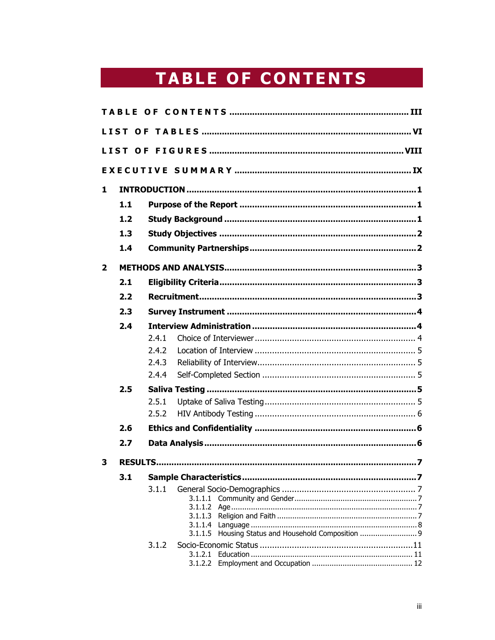# **TABLE OF CONTENTS**

| 1              |     |       |         |                                                     |  |
|----------------|-----|-------|---------|-----------------------------------------------------|--|
|                | 1.1 |       |         |                                                     |  |
|                | 1.2 |       |         |                                                     |  |
|                | 1.3 |       |         |                                                     |  |
|                | 1.4 |       |         |                                                     |  |
| $\overline{2}$ |     |       |         |                                                     |  |
|                | 2.1 |       |         |                                                     |  |
|                | 2.2 |       |         |                                                     |  |
|                | 2.3 |       |         |                                                     |  |
|                | 2.4 |       |         |                                                     |  |
|                |     | 2.4.1 |         |                                                     |  |
|                |     | 2.4.2 |         |                                                     |  |
|                |     | 2.4.3 |         |                                                     |  |
|                |     | 2.4.4 |         |                                                     |  |
|                | 2.5 |       |         |                                                     |  |
|                |     | 2.5.1 |         |                                                     |  |
|                |     | 2.5.2 |         |                                                     |  |
|                | 2.6 |       |         |                                                     |  |
|                | 2.7 |       |         |                                                     |  |
| 3              |     |       |         |                                                     |  |
|                | 3.1 |       |         |                                                     |  |
|                |     | 3.1.1 | 3.1.1.4 | 3.1.1.5 Housing Status and Household Composition  9 |  |
|                |     | 3.1.2 |         |                                                     |  |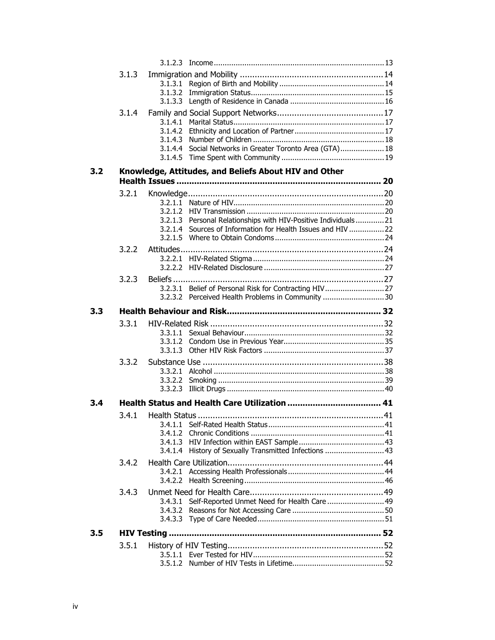|     | 3.1.3 |                    |                                                              |  |
|-----|-------|--------------------|--------------------------------------------------------------|--|
|     |       | 3.1.3.1            |                                                              |  |
|     |       | 3.1.3.2            |                                                              |  |
|     |       |                    |                                                              |  |
|     | 3.1.4 |                    |                                                              |  |
|     |       | 3.1.4.1            |                                                              |  |
|     |       | 3.1.4.2<br>3.1.4.3 |                                                              |  |
|     |       | 3.1.4.4            | Social Networks in Greater Toronto Area (GTA) 18             |  |
|     |       | 3.1.4.5            |                                                              |  |
| 3.2 |       |                    | Knowledge, Attitudes, and Beliefs About HIV and Other        |  |
|     |       |                    |                                                              |  |
|     | 3.2.1 |                    |                                                              |  |
|     |       |                    |                                                              |  |
|     |       |                    |                                                              |  |
|     |       | 3.2.1.3            | Personal Relationships with HIV-Positive Individuals21       |  |
|     |       |                    | 3.2.1.4 Sources of Information for Health Issues and HIV  22 |  |
|     |       |                    |                                                              |  |
|     | 3.2.2 | Attitudes          |                                                              |  |
|     |       | 3.2.2.1            |                                                              |  |
|     |       |                    |                                                              |  |
|     | 3.2.3 |                    |                                                              |  |
|     |       | 3.2.3.1            |                                                              |  |
|     |       | 3.2.3.2            | Perceived Health Problems in Community 30                    |  |
| 3.3 |       |                    |                                                              |  |
|     | 3.3.1 |                    |                                                              |  |
|     |       | 3.3.1.1            |                                                              |  |
|     |       | 3.3.1.2            |                                                              |  |
|     |       | 3.3.1.3            |                                                              |  |
|     | 3.3.2 |                    |                                                              |  |
|     |       |                    |                                                              |  |
|     |       | 3.3.2.2<br>3.3.2.3 |                                                              |  |
|     |       |                    |                                                              |  |
| 3.4 |       |                    |                                                              |  |
|     | 3.4.1 |                    |                                                              |  |
|     |       | 3.4.1.1            |                                                              |  |
|     |       | 3.4.1.2<br>3.4.1.3 |                                                              |  |
|     |       | 3.4.1.4            | History of Sexually Transmitted Infections  43               |  |
|     | 3.4.2 |                    |                                                              |  |
|     |       | 3.4.2.1            |                                                              |  |
|     |       | 3.4.2.2            |                                                              |  |
|     | 3.4.3 |                    |                                                              |  |
|     |       | 3.4.3.1            | Self-Reported Unmet Need for Health Care  49                 |  |
|     |       | 3.4.3.2            |                                                              |  |
|     |       |                    |                                                              |  |
| 3.5 |       |                    |                                                              |  |
|     | 3.5.1 |                    |                                                              |  |
|     |       |                    |                                                              |  |
|     |       |                    |                                                              |  |
|     |       |                    |                                                              |  |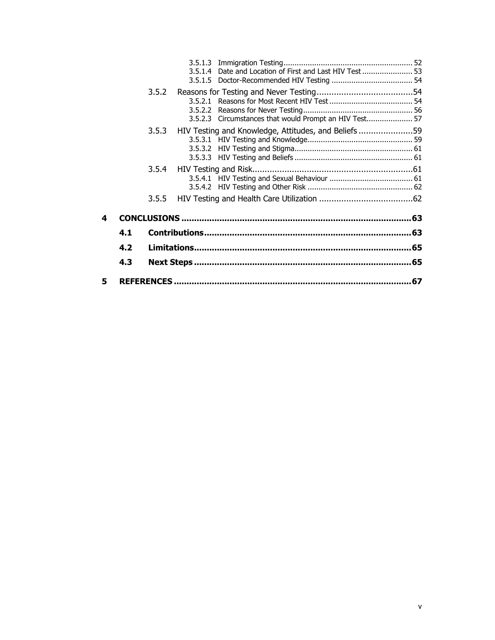|    |     |       |         | 3.5.1.4 Date and Location of First and Last HIV Test  53 |    |
|----|-----|-------|---------|----------------------------------------------------------|----|
|    |     | 3.5.2 | 3.5.2.2 | 3.5.2.3 Circumstances that would Prompt an HIV Test 57   |    |
|    |     | 3.5.3 |         | HIV Testing and Knowledge, Attitudes, and Beliefs59      |    |
|    |     | 3.5.4 |         |                                                          |    |
|    |     | 3.5.5 |         |                                                          |    |
| 4  |     |       |         |                                                          |    |
|    | 4.1 |       |         |                                                          |    |
|    | 4.2 |       |         |                                                          |    |
|    | 4.3 |       |         |                                                          |    |
| 5. |     |       |         |                                                          | 67 |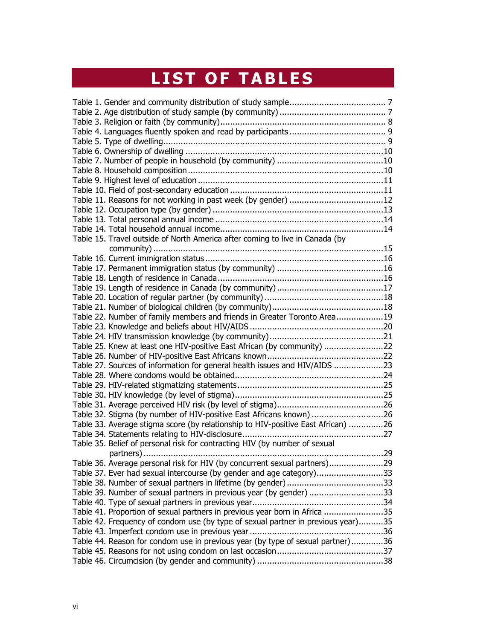# **LIST OF TABLES**

| Table 15. Travel outside of North America after coming to live in Canada (by     |  |
|----------------------------------------------------------------------------------|--|
|                                                                                  |  |
|                                                                                  |  |
|                                                                                  |  |
|                                                                                  |  |
|                                                                                  |  |
|                                                                                  |  |
|                                                                                  |  |
|                                                                                  |  |
| Table 22. Number of family members and friends in Greater Toronto Area19         |  |
|                                                                                  |  |
|                                                                                  |  |
| Table 25. Knew at least one HIV-positive East African (by community) 22          |  |
|                                                                                  |  |
| Table 27. Sources of information for general health issues and HIV/AIDS 23       |  |
|                                                                                  |  |
|                                                                                  |  |
|                                                                                  |  |
|                                                                                  |  |
| Table 32. Stigma (by number of HIV-positive East Africans known) 26              |  |
| Table 33. Average stigma score (by relationship to HIV-positive East African) 26 |  |
|                                                                                  |  |
| Table 35. Belief of personal risk for contracting HIV (by number of sexual       |  |
|                                                                                  |  |
| Table 36. Average personal risk for HIV (by concurrent sexual partners)29        |  |
| Table 37. Ever had sexual intercourse (by gender and age category)33             |  |
|                                                                                  |  |
| Table 39. Number of sexual partners in previous year (by gender) 33              |  |
|                                                                                  |  |
| Table 41. Proportion of sexual partners in previous year born in Africa 35       |  |
|                                                                                  |  |
| Table 42. Frequency of condom use (by type of sexual partner in previous year)35 |  |
|                                                                                  |  |
| Table 44. Reason for condom use in previous year (by type of sexual partner)36   |  |
|                                                                                  |  |
|                                                                                  |  |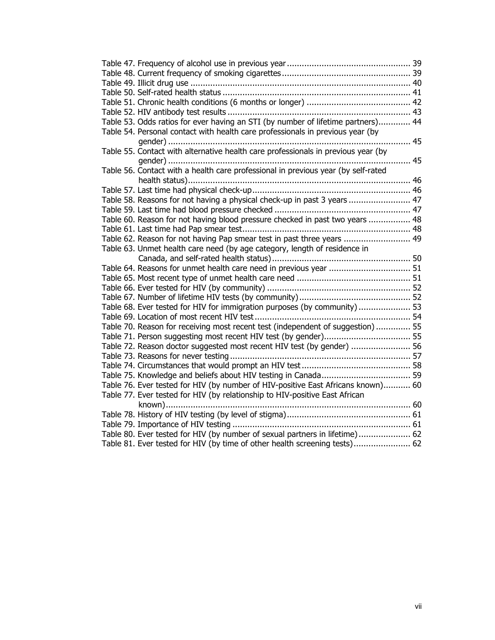| Table 53. Odds ratios for ever having an STI (by number of lifetime partners) 44  |  |
|-----------------------------------------------------------------------------------|--|
| Table 54. Personal contact with health care professionals in previous year (by    |  |
|                                                                                   |  |
| Table 55. Contact with alternative health care professionals in previous year (by |  |
|                                                                                   |  |
| Table 56. Contact with a health care professional in previous year (by self-rated |  |
|                                                                                   |  |
|                                                                                   |  |
| Table 58. Reasons for not having a physical check-up in past 3 years  47          |  |
|                                                                                   |  |
| Table 60. Reason for not having blood pressure checked in past two years  48      |  |
|                                                                                   |  |
| Table 62. Reason for not having Pap smear test in past three years  49            |  |
| Table 63. Unmet health care need (by age category, length of residence in         |  |
|                                                                                   |  |
|                                                                                   |  |
|                                                                                   |  |
|                                                                                   |  |
|                                                                                   |  |
| Table 68. Ever tested for HIV for immigration purposes (by community) 53          |  |
|                                                                                   |  |
| Table 70. Reason for receiving most recent test (independent of suggestion)  55   |  |
|                                                                                   |  |
| Table 72. Reason doctor suggested most recent HIV test (by gender)  56            |  |
|                                                                                   |  |
|                                                                                   |  |
|                                                                                   |  |
| Table 76. Ever tested for HIV (by number of HIV-positive East Africans known) 60  |  |
| Table 77. Ever tested for HIV (by relationship to HIV-positive East African       |  |
|                                                                                   |  |
|                                                                                   |  |
|                                                                                   |  |
| Table 80. Ever tested for HIV (by number of sexual partners in lifetime) 62       |  |
| Table 81. Ever tested for HIV (by time of other health screening tests) 62        |  |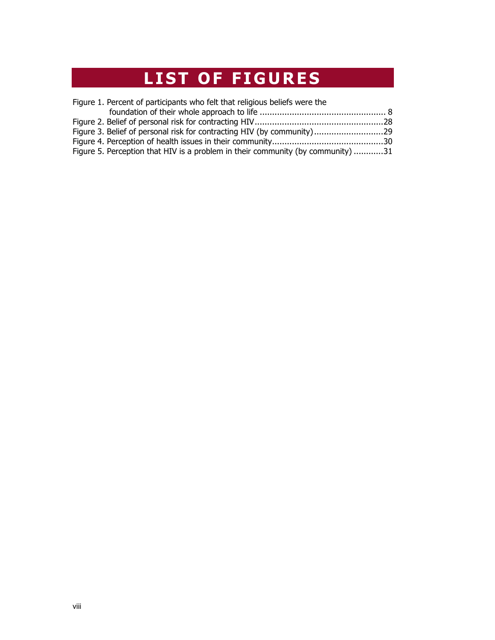## **LIST OF FIGURES**

| Figure 1. Percent of participants who felt that religious beliefs were the      |  |
|---------------------------------------------------------------------------------|--|
|                                                                                 |  |
|                                                                                 |  |
|                                                                                 |  |
|                                                                                 |  |
| Figure 5. Perception that HIV is a problem in their community (by community) 31 |  |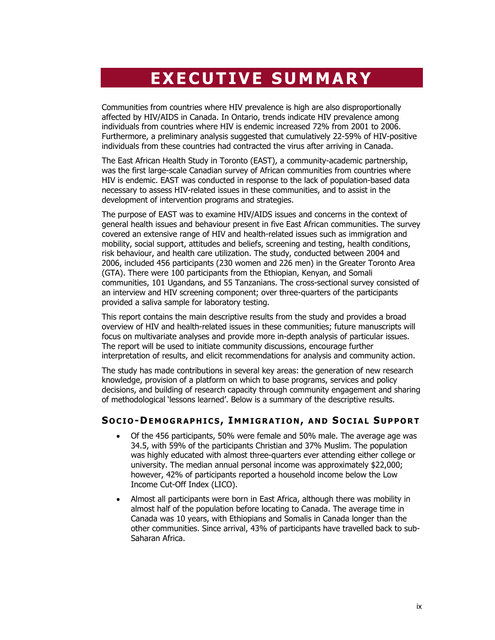## **EXECUTIVE SUMMARY**

Communities from countries where HIV prevalence is high are also disproportionally affected by HIV/AIDS in Canada. In Ontario, trends indicate HIV prevalence among individuals from countries where HIV is endemic increased 72% from 2001 to 2006. Furthermore, a preliminary analysis suggested that cumulatively 22-59% of HIV-positive individuals from these countries had contracted the virus after arriving in Canada.

The East African Health Study in Toronto (EAST), a community-academic partnership, was the first large-scale Canadian survey of African communities from countries where HIV is endemic. EAST was conducted in response to the lack of population-based data necessary to assess HIV-related issues in these communities, and to assist in the development of intervention programs and strategies.

The purpose of EAST was to examine HIV/AIDS issues and concerns in the context of general health issues and behaviour present in five East African communities. The survey covered an extensive range of HIV and health-related issues such as immigration and mobility, social support, attitudes and beliefs, screening and testing, health conditions, risk behaviour, and health care utilization. The study, conducted between 2004 and 2006, included 456 participants (230 women and 226 men) in the Greater Toronto Area (GTA). There were 100 participants from the Ethiopian, Kenyan, and Somali communities, 101 Ugandans, and 55 Tanzanians. The cross-sectional survey consisted of an interview and HIV screening component; over three-quarters of the participants provided a saliva sample for laboratory testing.

This report contains the main descriptive results from the study and provides a broad overview of HIV and health-related issues in these communities; future manuscripts will focus on multivariate analyses and provide more in-depth analysis of particular issues. The report will be used to initiate community discussions, encourage further interpretation of results, and elicit recommendations for analysis and community action.

The study has made contributions in several key areas: the generation of new research knowledge, provision of a platform on which to base programs, services and policy decisions, and building of research capacity through community engagement and sharing of methodological 'lessons learned'. Below is a summary of the descriptive results.

#### **S OCIO -DEMOGRAPHICS , I MMIGRATION , AND S OCIAL S UPPORT**

- Of the 456 participants, 50% were female and 50% male. The average age was 34.5, with 59% of the participants Christian and 37% Muslim. The population was highly educated with almost three-quarters ever attending either college or university. The median annual personal income was approximately \$22,000; however, 42% of participants reported a household income below the Low Income Cut-Off Index (LICO).
- Almost all participants were born in East Africa, although there was mobility in almost half of the population before locating to Canada. The average time in Canada was 10 years, with Ethiopians and Somalis in Canada longer than the other communities. Since arrival, 43% of participants have travelled back to sub-Saharan Africa.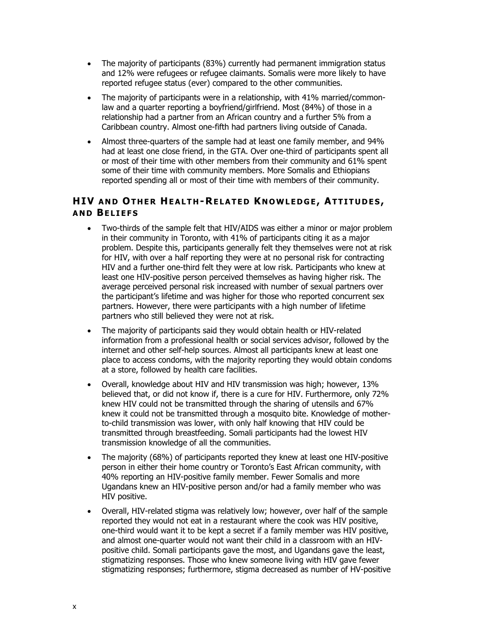- The majority of participants (83%) currently had permanent immigration status and 12% were refugees or refugee claimants. Somalis were more likely to have reported refugee status (ever) compared to the other communities.
- The majority of participants were in a relationship, with 41% married/commonlaw and a quarter reporting a boyfriend/girlfriend. Most (84%) of those in a relationship had a partner from an African country and a further 5% from a Caribbean country. Almost one-fifth had partners living outside of Canada.
- Almost three-quarters of the sample had at least one family member, and 94% had at least one close friend, in the GTA. Over one-third of participants spent all or most of their time with other members from their community and 61% spent some of their time with community members. More Somalis and Ethiopians reported spending all or most of their time with members of their community.

### **HIV AND OTHER HEALTH -RELATED K NOWLEDGE , ATTITUDES , AND BELIEFS**

- Two-thirds of the sample felt that HIV/AIDS was either a minor or major problem in their community in Toronto, with 41% of participants citing it as a major problem. Despite this, participants generally felt they themselves were not at risk for HIV, with over a half reporting they were at no personal risk for contracting HIV and a further one-third felt they were at low risk. Participants who knew at least one HIV-positive person perceived themselves as having higher risk. The average perceived personal risk increased with number of sexual partners over the participant's lifetime and was higher for those who reported concurrent sex partners. However, there were participants with a high number of lifetime partners who still believed they were not at risk.
- The majority of participants said they would obtain health or HIV-related information from a professional health or social services advisor, followed by the internet and other self-help sources. Almost all participants knew at least one place to access condoms, with the majority reporting they would obtain condoms at a store, followed by health care facilities.
- Overall, knowledge about HIV and HIV transmission was high; however, 13% believed that, or did not know if, there is a cure for HIV. Furthermore, only 72% knew HIV could not be transmitted through the sharing of utensils and 67% knew it could not be transmitted through a mosquito bite. Knowledge of motherto-child transmission was lower, with only half knowing that HIV could be transmitted through breastfeeding. Somali participants had the lowest HIV transmission knowledge of all the communities.
- The majority (68%) of participants reported they knew at least one HIV-positive person in either their home country or Toronto's East African community, with 40% reporting an HIV-positive family member. Fewer Somalis and more Ugandans knew an HIV-positive person and/or had a family member who was HIV positive.
- Overall, HIV-related stigma was relatively low; however, over half of the sample reported they would not eat in a restaurant where the cook was HIV positive, one-third would want it to be kept a secret if a family member was HIV positive, and almost one-quarter would not want their child in a classroom with an HIVpositive child. Somali participants gave the most, and Ugandans gave the least, stigmatizing responses. Those who knew someone living with HIV gave fewer stigmatizing responses; furthermore, stigma decreased as number of HV-positive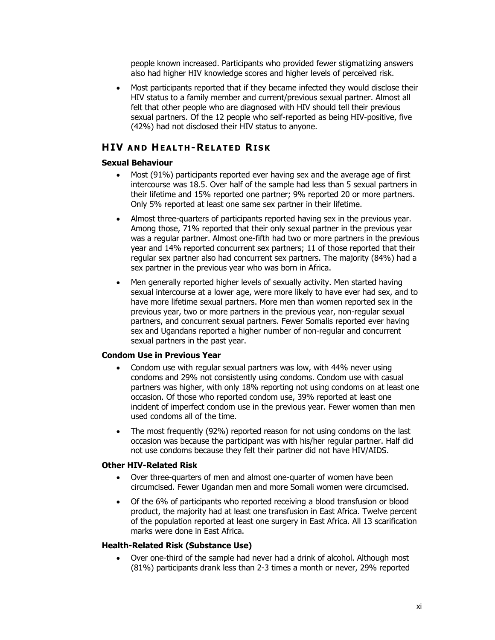people known increased. Participants who provided fewer stigmatizing answers also had higher HIV knowledge scores and higher levels of perceived risk.

• Most participants reported that if they became infected they would disclose their HIV status to a family member and current/previous sexual partner. Almost all felt that other people who are diagnosed with HIV should tell their previous sexual partners. Of the 12 people who self-reported as being HIV-positive, five (42%) had not disclosed their HIV status to anyone.

#### **HIV AND HEALTH -RELATED RISK**

#### **Sexual Behaviour**

- Most (91%) participants reported ever having sex and the average age of first intercourse was 18.5. Over half of the sample had less than 5 sexual partners in their lifetime and 15% reported one partner; 9% reported 20 or more partners. Only 5% reported at least one same sex partner in their lifetime.
- Almost three-quarters of participants reported having sex in the previous year. Among those, 71% reported that their only sexual partner in the previous year was a regular partner. Almost one-fifth had two or more partners in the previous year and 14% reported concurrent sex partners; 11 of those reported that their regular sex partner also had concurrent sex partners. The majority (84%) had a sex partner in the previous year who was born in Africa.
- Men generally reported higher levels of sexually activity. Men started having sexual intercourse at a lower age, were more likely to have ever had sex, and to have more lifetime sexual partners. More men than women reported sex in the previous year, two or more partners in the previous year, non-regular sexual partners, and concurrent sexual partners. Fewer Somalis reported ever having sex and Ugandans reported a higher number of non-regular and concurrent sexual partners in the past year.

#### **Condom Use in Previous Year**

- Condom use with regular sexual partners was low, with 44% never using condoms and 29% not consistently using condoms. Condom use with casual partners was higher, with only 18% reporting not using condoms on at least one occasion. Of those who reported condom use, 39% reported at least one incident of imperfect condom use in the previous year. Fewer women than men used condoms all of the time.
- The most frequently (92%) reported reason for not using condoms on the last occasion was because the participant was with his/her regular partner. Half did not use condoms because they felt their partner did not have HIV/AIDS.

#### **Other HIV-Related Risk**

- Over three-quarters of men and almost one-quarter of women have been circumcised. Fewer Ugandan men and more Somali women were circumcised.
- Of the 6% of participants who reported receiving a blood transfusion or blood product, the majority had at least one transfusion in East Africa. Twelve percent of the population reported at least one surgery in East Africa. All 13 scarification marks were done in East Africa.

#### **Health-Related Risk (Substance Use)**

• Over one-third of the sample had never had a drink of alcohol. Although most (81%) participants drank less than 2-3 times a month or never, 29% reported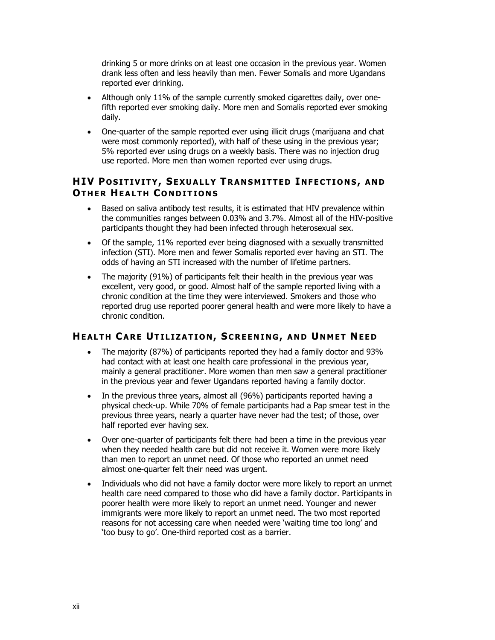drinking 5 or more drinks on at least one occasion in the previous year. Women drank less often and less heavily than men. Fewer Somalis and more Ugandans reported ever drinking.

- Although only 11% of the sample currently smoked cigarettes daily, over onefifth reported ever smoking daily. More men and Somalis reported ever smoking daily.
- One-quarter of the sample reported ever using illicit drugs (marijuana and chat were most commonly reported), with half of these using in the previous year; 5% reported ever using drugs on a weekly basis. There was no injection drug use reported. More men than women reported ever using drugs.

#### **HIV P OSITIVITY, SEXUALLY T RANSMITTED I NFECTIONS, AND OTHER HEALTH CONDITIONS**

- Based on saliva antibody test results, it is estimated that HIV prevalence within the communities ranges between 0.03% and 3.7%. Almost all of the HIV-positive participants thought they had been infected through heterosexual sex.
- Of the sample, 11% reported ever being diagnosed with a sexually transmitted infection (STI). More men and fewer Somalis reported ever having an STI. The odds of having an STI increased with the number of lifetime partners.
- The majority (91%) of participants felt their health in the previous year was excellent, very good, or good. Almost half of the sample reported living with a chronic condition at the time they were interviewed. Smokers and those who reported drug use reported poorer general health and were more likely to have a chronic condition.

#### **HEALTH CARE UTILIZATION , SCREENING , AND U NMET NEED**

- The majority (87%) of participants reported they had a family doctor and 93% had contact with at least one health care professional in the previous year, mainly a general practitioner. More women than men saw a general practitioner in the previous year and fewer Ugandans reported having a family doctor.
- In the previous three years, almost all (96%) participants reported having a physical check-up. While 70% of female participants had a Pap smear test in the previous three years, nearly a quarter have never had the test; of those, over half reported ever having sex.
- Over one-quarter of participants felt there had been a time in the previous year when they needed health care but did not receive it. Women were more likely than men to report an unmet need. Of those who reported an unmet need almost one-quarter felt their need was urgent.
- Individuals who did not have a family doctor were more likely to report an unmet health care need compared to those who did have a family doctor. Participants in poorer health were more likely to report an unmet need. Younger and newer immigrants were more likely to report an unmet need. The two most reported reasons for not accessing care when needed were 'waiting time too long' and 'too busy to go'. One-third reported cost as a barrier.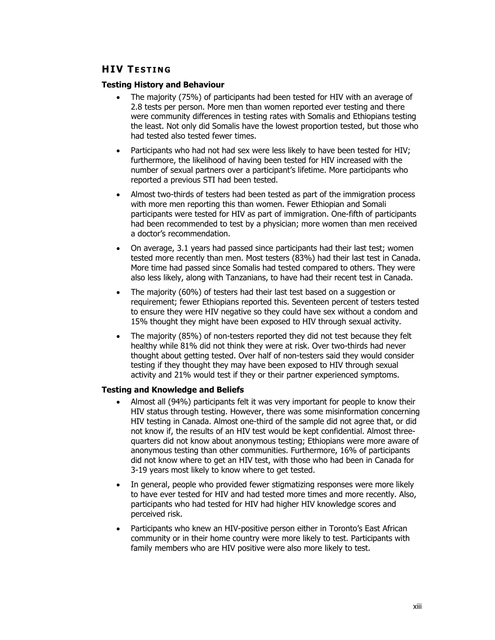#### **HIV T ESTING**

#### **Testing History and Behaviour**

- The majority (75%) of participants had been tested for HIV with an average of 2.8 tests per person. More men than women reported ever testing and there were community differences in testing rates with Somalis and Ethiopians testing the least. Not only did Somalis have the lowest proportion tested, but those who had tested also tested fewer times.
- Participants who had not had sex were less likely to have been tested for HIV; furthermore, the likelihood of having been tested for HIV increased with the number of sexual partners over a participant's lifetime. More participants who reported a previous STI had been tested.
- Almost two-thirds of testers had been tested as part of the immigration process with more men reporting this than women. Fewer Ethiopian and Somali participants were tested for HIV as part of immigration. One-fifth of participants had been recommended to test by a physician; more women than men received a doctor's recommendation.
- On average, 3.1 years had passed since participants had their last test; women tested more recently than men. Most testers (83%) had their last test in Canada. More time had passed since Somalis had tested compared to others. They were also less likely, along with Tanzanians, to have had their recent test in Canada.
- The majority (60%) of testers had their last test based on a suggestion or requirement; fewer Ethiopians reported this. Seventeen percent of testers tested to ensure they were HIV negative so they could have sex without a condom and 15% thought they might have been exposed to HIV through sexual activity.
- The majority (85%) of non-testers reported they did not test because they felt healthy while 81% did not think they were at risk. Over two-thirds had never thought about getting tested. Over half of non-testers said they would consider testing if they thought they may have been exposed to HIV through sexual activity and 21% would test if they or their partner experienced symptoms.

#### **Testing and Knowledge and Beliefs**

- Almost all (94%) participants felt it was very important for people to know their HIV status through testing. However, there was some misinformation concerning HIV testing in Canada. Almost one-third of the sample did not agree that, or did not know if, the results of an HIV test would be kept confidential. Almost threequarters did not know about anonymous testing; Ethiopians were more aware of anonymous testing than other communities. Furthermore, 16% of participants did not know where to get an HIV test, with those who had been in Canada for 3-19 years most likely to know where to get tested.
- In general, people who provided fewer stigmatizing responses were more likely to have ever tested for HIV and had tested more times and more recently. Also, participants who had tested for HIV had higher HIV knowledge scores and perceived risk.
- Participants who knew an HIV-positive person either in Toronto's East African community or in their home country were more likely to test. Participants with family members who are HIV positive were also more likely to test.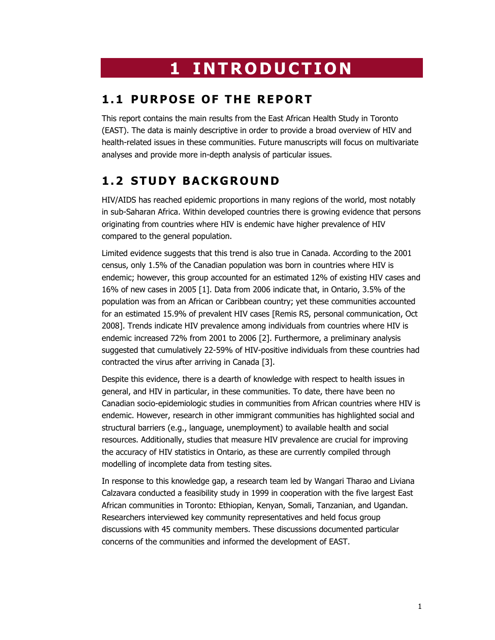## **1 INTRODUCTION**

## **1.1 PURPOSE OF THE REPORT**

This report contains the main results from the East African Health Study in Toronto (EAST). The data is mainly descriptive in order to provide a broad overview of HIV and health-related issues in these communities. Future manuscripts will focus on multivariate analyses and provide more in-depth analysis of particular issues.

## **1.2 STUDY BACKGROUND**

HIV/AIDS has reached epidemic proportions in many regions of the world, most notably in sub-Saharan Africa. Within developed countries there is growing evidence that persons originating from countries where HIV is endemic have higher prevalence of HIV compared to the general population.

Limited evidence suggests that this trend is also true in Canada. According to the 2001 census, only 1.5% of the Canadian population was born in countries where HIV is endemic; however, this group accounted for an estimated 12% of existing HIV cases and 16% of new cases in 2005 [1]. Data from 2006 indicate that, in Ontario, 3.5% of the population was from an African or Caribbean country; yet these communities accounted for an estimated 15.9% of prevalent HIV cases [Remis RS, personal communication, Oct 2008]. Trends indicate HIV prevalence among individuals from countries where HIV is endemic increased 72% from 2001 to 2006 [2]. Furthermore, a preliminary analysis suggested that cumulatively 22-59% of HIV-positive individuals from these countries had contracted the virus after arriving in Canada [3].

Despite this evidence, there is a dearth of knowledge with respect to health issues in general, and HIV in particular, in these communities. To date, there have been no Canadian socio-epidemiologic studies in communities from African countries where HIV is endemic. However, research in other immigrant communities has highlighted social and structural barriers (e.g., language, unemployment) to available health and social resources. Additionally, studies that measure HIV prevalence are crucial for improving the accuracy of HIV statistics in Ontario, as these are currently compiled through modelling of incomplete data from testing sites.

In response to this knowledge gap, a research team led by Wangari Tharao and Liviana Calzavara conducted a feasibility study in 1999 in cooperation with the five largest East African communities in Toronto: Ethiopian, Kenyan, Somali, Tanzanian, and Ugandan. Researchers interviewed key community representatives and held focus group discussions with 45 community members. These discussions documented particular concerns of the communities and informed the development of EAST.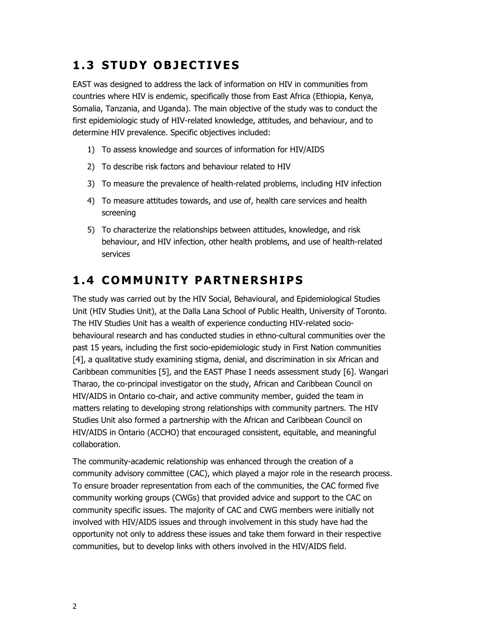## **1.3 STUDY OBJECTIVES**

EAST was designed to address the lack of information on HIV in communities from countries where HIV is endemic, specifically those from East Africa (Ethiopia, Kenya, Somalia, Tanzania, and Uganda). The main objective of the study was to conduct the first epidemiologic study of HIV-related knowledge, attitudes, and behaviour, and to determine HIV prevalence. Specific objectives included:

- 1) To assess knowledge and sources of information for HIV/AIDS
- 2) To describe risk factors and behaviour related to HIV
- 3) To measure the prevalence of health-related problems, including HIV infection
- 4) To measure attitudes towards, and use of, health care services and health screening
- 5) To characterize the relationships between attitudes, knowledge, and risk behaviour, and HIV infection, other health problems, and use of health-related services

## **1.4 COMMUNITY PARTNERSHIPS**

The study was carried out by the HIV Social, Behavioural, and Epidemiological Studies Unit (HIV Studies Unit), at the Dalla Lana School of Public Health, University of Toronto. The HIV Studies Unit has a wealth of experience conducting HIV-related sociobehavioural research and has conducted studies in ethno-cultural communities over the past 15 years, including the first socio-epidemiologic study in First Nation communities [4], a qualitative study examining stigma, denial, and discrimination in six African and Caribbean communities [5], and the EAST Phase I needs assessment study [6]. Wangari Tharao, the co-principal investigator on the study, African and Caribbean Council on HIV/AIDS in Ontario co-chair, and active community member, guided the team in matters relating to developing strong relationships with community partners. The HIV Studies Unit also formed a partnership with the African and Caribbean Council on HIV/AIDS in Ontario (ACCHO) that encouraged consistent, equitable, and meaningful collaboration.

The community-academic relationship was enhanced through the creation of a community advisory committee (CAC), which played a major role in the research process. To ensure broader representation from each of the communities, the CAC formed five community working groups (CWGs) that provided advice and support to the CAC on community specific issues. The majority of CAC and CWG members were initially not involved with HIV/AIDS issues and through involvement in this study have had the opportunity not only to address these issues and take them forward in their respective communities, but to develop links with others involved in the HIV/AIDS field.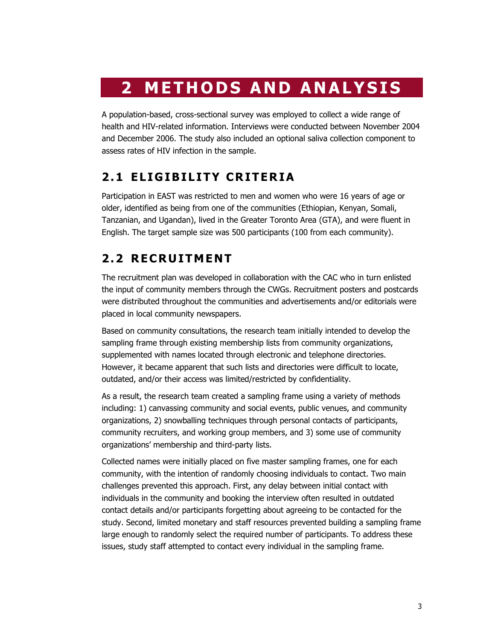## **2 METHODS AND ANALYSIS**

A population-based, cross-sectional survey was employed to collect a wide range of health and HIV-related information. Interviews were conducted between November 2004 and December 2006. The study also included an optional saliva collection component to assess rates of HIV infection in the sample.

## **2.1 ELIGIBILITY CRITERIA**

Participation in EAST was restricted to men and women who were 16 years of age or older, identified as being from one of the communities (Ethiopian, Kenyan, Somali, Tanzanian, and Ugandan), lived in the Greater Toronto Area (GTA), and were fluent in English. The target sample size was 500 participants (100 from each community).

## **2.2 RECRUITMENT**

The recruitment plan was developed in collaboration with the CAC who in turn enlisted the input of community members through the CWGs. Recruitment posters and postcards were distributed throughout the communities and advertisements and/or editorials were placed in local community newspapers.

Based on community consultations, the research team initially intended to develop the sampling frame through existing membership lists from community organizations, supplemented with names located through electronic and telephone directories. However, it became apparent that such lists and directories were difficult to locate, outdated, and/or their access was limited/restricted by confidentiality.

As a result, the research team created a sampling frame using a variety of methods including: 1) canvassing community and social events, public venues, and community organizations, 2) snowballing techniques through personal contacts of participants, community recruiters, and working group members, and 3) some use of community organizations' membership and third-party lists.

Collected names were initially placed on five master sampling frames, one for each community, with the intention of randomly choosing individuals to contact. Two main challenges prevented this approach. First, any delay between initial contact with individuals in the community and booking the interview often resulted in outdated contact details and/or participants forgetting about agreeing to be contacted for the study. Second, limited monetary and staff resources prevented building a sampling frame large enough to randomly select the required number of participants. To address these issues, study staff attempted to contact every individual in the sampling frame.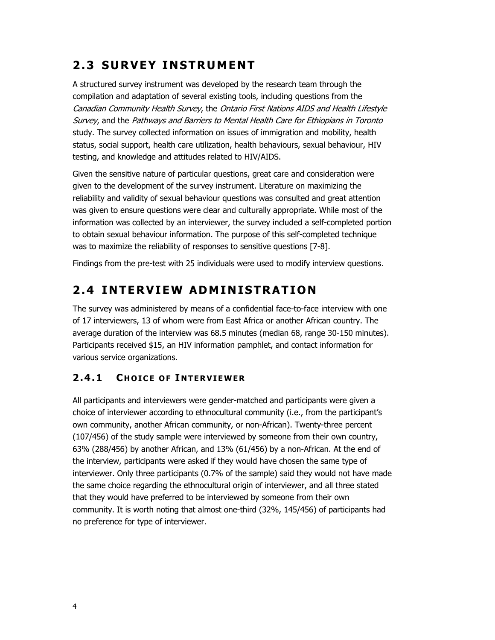## **2.3 SURVEY INSTRUMENT**

A structured survey instrument was developed by the research team through the compilation and adaptation of several existing tools, including questions from the Canadian Community Health Survey, the Ontario First Nations AIDS and Health Lifestyle Survey, and the Pathways and Barriers to Mental Health Care for Ethiopians in Toronto study. The survey collected information on issues of immigration and mobility, health status, social support, health care utilization, health behaviours, sexual behaviour, HIV testing, and knowledge and attitudes related to HIV/AIDS.

Given the sensitive nature of particular questions, great care and consideration were given to the development of the survey instrument. Literature on maximizing the reliability and validity of sexual behaviour questions was consulted and great attention was given to ensure questions were clear and culturally appropriate. While most of the information was collected by an interviewer, the survey included a self-completed portion to obtain sexual behaviour information. The purpose of this self-completed technique was to maximize the reliability of responses to sensitive questions [7-8].

Findings from the pre-test with 25 individuals were used to modify interview questions.

## **2.4 INTERVIEW ADMINISTRATION**

The survey was administered by means of a confidential face-to-face interview with one of 17 interviewers, 13 of whom were from East Africa or another African country. The average duration of the interview was 68.5 minutes (median 68, range 30-150 minutes). Participants received \$15, an HIV information pamphlet, and contact information for various service organizations.

### **2.4.1 C HOICE OF I NTERVIEWER**

All participants and interviewers were gender-matched and participants were given a choice of interviewer according to ethnocultural community (i.e., from the participant's own community, another African community, or non-African). Twenty-three percent (107/456) of the study sample were interviewed by someone from their own country, 63% (288/456) by another African, and 13% (61/456) by a non-African. At the end of the interview, participants were asked if they would have chosen the same type of interviewer. Only three participants (0.7% of the sample) said they would not have made the same choice regarding the ethnocultural origin of interviewer, and all three stated that they would have preferred to be interviewed by someone from their own community. It is worth noting that almost one-third (32%, 145/456) of participants had no preference for type of interviewer.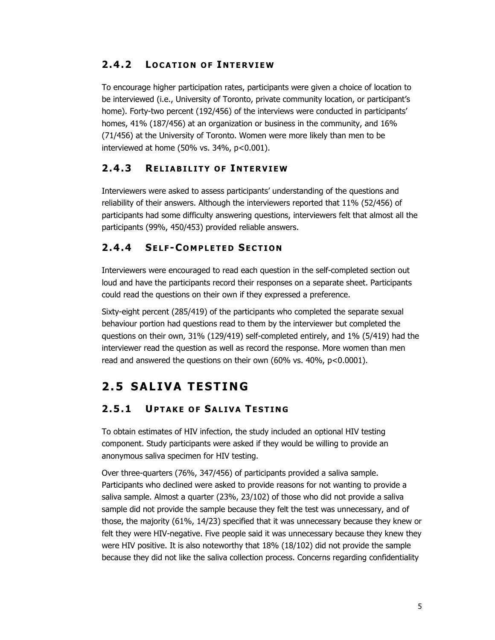### **2.4.2 L OCATION OF I NTERVIEW**

To encourage higher participation rates, participants were given a choice of location to be interviewed (i.e., University of Toronto, private community location, or participant's home). Forty-two percent (192/456) of the interviews were conducted in participants' homes, 41% (187/456) at an organization or business in the community, and 16% (71/456) at the University of Toronto. Women were more likely than men to be interviewed at home (50% vs.  $34\%$ ,  $p<0.001$ ).

### **2.4.3 RELIABILITY OF I NTERVIEW**

Interviewers were asked to assess participants' understanding of the questions and reliability of their answers. Although the interviewers reported that 11% (52/456) of participants had some difficulty answering questions, interviewers felt that almost all the participants (99%, 450/453) provided reliable answers.

### **2.4.4 SELF -C OMPLETED SECTION**

Interviewers were encouraged to read each question in the self-completed section out loud and have the participants record their responses on a separate sheet. Participants could read the questions on their own if they expressed a preference.

Sixty-eight percent (285/419) of the participants who completed the separate sexual behaviour portion had questions read to them by the interviewer but completed the questions on their own, 31% (129/419) self-completed entirely, and 1% (5/419) had the interviewer read the question as well as record the response. More women than men read and answered the questions on their own (60% vs. 40%, p<0.0001).

## **2.5 SALIVA TESTING**

### **2.5.1 UPTAKE OF SALIVA TESTING**

To obtain estimates of HIV infection, the study included an optional HIV testing component. Study participants were asked if they would be willing to provide an anonymous saliva specimen for HIV testing.

Over three-quarters (76%, 347/456) of participants provided a saliva sample. Participants who declined were asked to provide reasons for not wanting to provide a saliva sample. Almost a quarter (23%, 23/102) of those who did not provide a saliva sample did not provide the sample because they felt the test was unnecessary, and of those, the majority (61%, 14/23) specified that it was unnecessary because they knew or felt they were HIV-negative. Five people said it was unnecessary because they knew they were HIV positive. It is also noteworthy that 18% (18/102) did not provide the sample because they did not like the saliva collection process. Concerns regarding confidentiality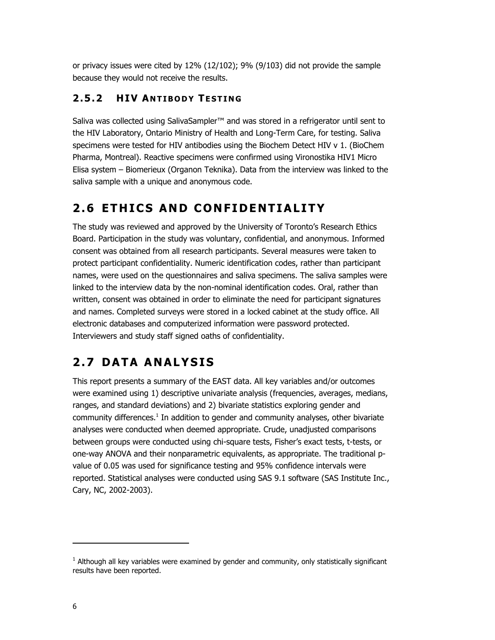or privacy issues were cited by 12% (12/102); 9% (9/103) did not provide the sample because they would not receive the results.

### **2.5.2 HIV A NTIBODY T ESTING**

Saliva was collected using SalivaSampler™ and was stored in a refrigerator until sent to the HIV Laboratory, Ontario Ministry of Health and Long-Term Care, for testing. Saliva specimens were tested for HIV antibodies using the Biochem Detect HIV v 1. (BioChem Pharma, Montreal). Reactive specimens were confirmed using Vironostika HIV1 Micro Elisa system – Biomerieux (Organon Teknika). Data from the interview was linked to the saliva sample with a unique and anonymous code.

## **2.6 ETHICS AND CONFIDENTIALITY**

The study was reviewed and approved by the University of Toronto's Research Ethics Board. Participation in the study was voluntary, confidential, and anonymous. Informed consent was obtained from all research participants. Several measures were taken to protect participant confidentiality. Numeric identification codes, rather than participant names, were used on the questionnaires and saliva specimens. The saliva samples were linked to the interview data by the non-nominal identification codes. Oral, rather than written, consent was obtained in order to eliminate the need for participant signatures and names. Completed surveys were stored in a locked cabinet at the study office. All electronic databases and computerized information were password protected. Interviewers and study staff signed oaths of confidentiality.

## **2.7 DATA ANALYSIS**

This report presents a summary of the EAST data. All key variables and/or outcomes were examined using 1) descriptive univariate analysis (frequencies, averages, medians, ranges, and standard deviations) and 2) bivariate statistics exploring gender and community differences.<sup>1</sup> In addition to gender and community analyses, other bivariate analyses were conducted when deemed appropriate. Crude, unadjusted comparisons between groups were conducted using chi-square tests, Fisher's exact tests, t-tests, or one-way ANOVA and their nonparametric equivalents, as appropriate. The traditional pvalue of 0.05 was used for significance testing and 95% confidence intervals were reported. Statistical analyses were conducted using SAS 9.1 software (SAS Institute Inc., Cary, NC, 2002-2003).

-

<sup>&</sup>lt;sup>1</sup> Although all key variables were examined by gender and community, only statistically significant results have been reported.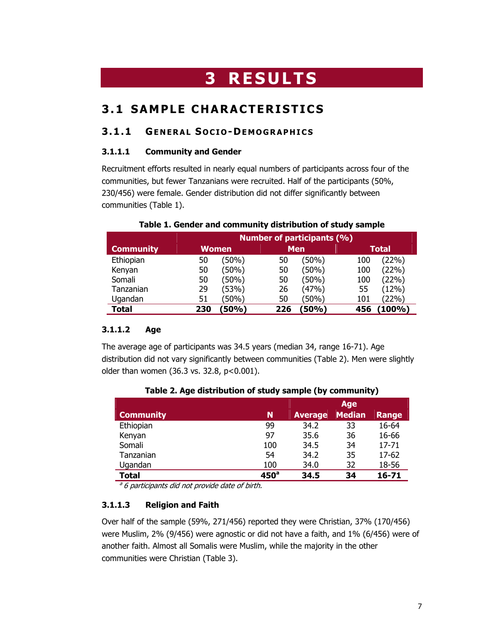## **3 RESULTS**

## **3.1 SAMPLE CHARACTERISTICS**

#### **3.1.1 GENERAL S OCIO -DEMOGRAPHICS**

#### **3.1.1.1 Community and Gender**

Recruitment efforts resulted in nearly equal numbers of participants across four of the communities, but fewer Tanzanians were recruited. Half of the participants (50%, 230/456) were female. Gender distribution did not differ significantly between communities (Table 1).

| Table 1. Gender and community distribution of study sample |  |
|------------------------------------------------------------|--|
|------------------------------------------------------------|--|

|                  |     | <b>Number of participants (%)</b> |     |            |     |              |  |  |
|------------------|-----|-----------------------------------|-----|------------|-----|--------------|--|--|
| <b>Community</b> |     | <b>Women</b>                      |     | <b>Men</b> |     | <b>Total</b> |  |  |
| Ethiopian        | 50  | (50%)                             | 50  | (50%)      | 100 | (22%)        |  |  |
| Kenyan           | 50  | (50%)                             | 50  | (50%)      | 100 | (22%)        |  |  |
| Somali           | 50  | (50%)                             | 50  | (50%)      | 100 | (22%)        |  |  |
| Tanzanian        | 29  | (53%)                             | 26  | (47%)      | 55  | (12%)        |  |  |
| Ugandan          | 51  | (50%                              | 50  | (50%)      | 101 | (22%)        |  |  |
| Total            | 230 | 50%)                              | 226 | 50%)       | 456 | $(100\%)$    |  |  |

#### **3.1.1.2 Age**

The average age of participants was 34.5 years (median 34, range 16-71). Age distribution did not vary significantly between communities (Table 2). Men were slightly older than women (36.3 vs. 32.8, p<0.001).

|                  |                  |                | Age           |              |
|------------------|------------------|----------------|---------------|--------------|
| <b>Community</b> | N                | <b>Average</b> | <b>Median</b> | <b>Range</b> |
| Ethiopian        | 99               | 34.2           | 33            | 16-64        |
| Kenyan           | 97               | 35.6           | 36            | 16-66        |
| Somali           | 100              | 34.5           | 34            | $17 - 71$    |
| Tanzanian        | 54               | 34.2           | 35            | $17 - 62$    |
| Ugandan          | 100              | 34.0           | 32            | 18-56        |
| <b>Total</b>     | 450 <sup>a</sup> | 34.5           | 34            | 16-71        |

**Table 2. Age distribution of study sample (by community)** 

 $a^2$  6 participants did not provide date of birth.

#### **3.1.1.3 Religion and Faith**

Over half of the sample (59%, 271/456) reported they were Christian, 37% (170/456) were Muslim, 2% (9/456) were agnostic or did not have a faith, and 1% (6/456) were of another faith. Almost all Somalis were Muslim, while the majority in the other communities were Christian (Table 3).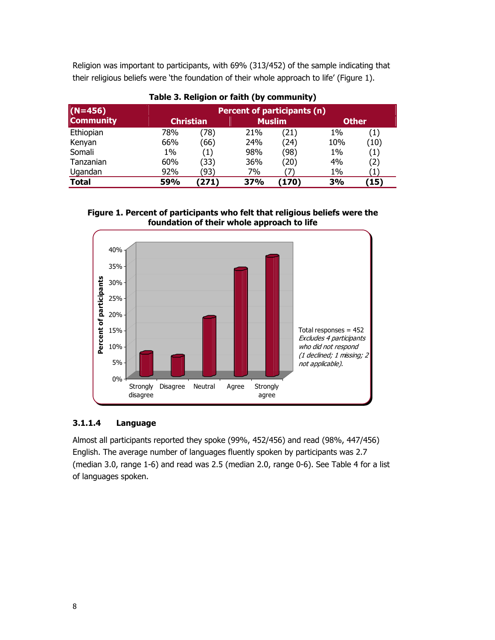Religion was important to participants, with 69% (313/452) of the sample indicating that their religious beliefs were 'the foundation of their whole approach to life' (Figure 1).

| $(N=456)$        | <b>Percent of participants (n)</b> |                   |               |      |              |                   |  |
|------------------|------------------------------------|-------------------|---------------|------|--------------|-------------------|--|
| <b>Community</b> | <b>Christian</b>                   |                   | <b>Muslim</b> |      | <b>Other</b> |                   |  |
| Ethiopian        | 78%                                | 78)               | 21%           | (21) | $1\%$        | $\left( 1\right)$ |  |
| Kenyan           | 66%                                | (66)              | 24%           | (24) | 10%          | (10)              |  |
| Somali           | $1\%$                              | $\left( 1\right)$ | 98%           | (98) | 1%           | $\left( 1\right)$ |  |
| Tanzanian        | 60%                                | (33)              | 36%           | (20) | 4%           | $\left( 2\right)$ |  |
| Ugandan          | 92%                                | (93)              | 7%            |      | 1%           |                   |  |
| <b>Total</b>     | <b>59%</b>                         | 271)              | 37%           | (170 | 3%           | (15)              |  |

**Table 3. Religion or faith (by community)** 





#### **3.1.1.4 Language**

Almost all participants reported they spoke (99%, 452/456) and read (98%, 447/456) English. The average number of languages fluently spoken by participants was 2.7 (median 3.0, range 1-6) and read was 2.5 (median 2.0, range 0-6). See Table 4 for a list of languages spoken.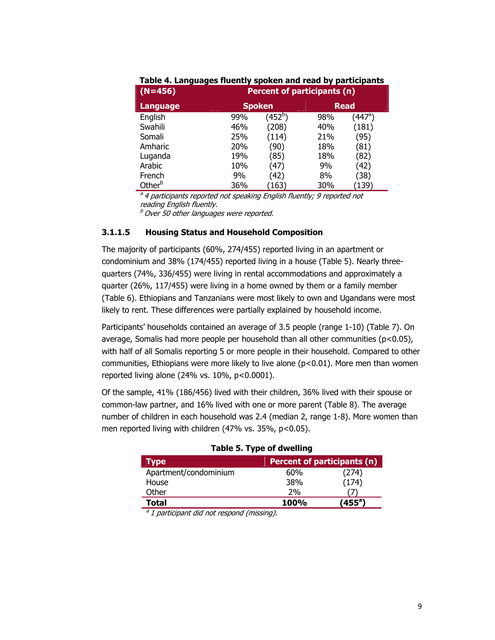| $(N=456)$          | Percent of participants (n) |               |     |             |  |  |  |  |
|--------------------|-----------------------------|---------------|-----|-------------|--|--|--|--|
| <b>Language</b>    |                             | <b>Spoken</b> |     | <b>Read</b> |  |  |  |  |
| English            | 99%                         | $(452^b)$     | 98% | (447ª)      |  |  |  |  |
| Swahili            | 46%                         | (208)         | 40% | (181)       |  |  |  |  |
| Somali             | 25%                         | (114)         | 21% | (95)        |  |  |  |  |
| Amharic            | 20%                         | (90)          | 18% | (81)        |  |  |  |  |
| Luganda            | 19%                         | (85)          | 18% | (82)        |  |  |  |  |
| Arabic             | 10%                         | (47)          | 9%  | (42)        |  |  |  |  |
| French             | 9%                          | (42)          | 8%  | (38)        |  |  |  |  |
| Other <sup>b</sup> | 36%                         | (163)         | 30% | (139)       |  |  |  |  |

**Table 4. Languages fluently spoken and read by participants** 

<sup>a</sup> 4 participants reported not speaking English fluently; 9 reported not reading English fluently.

 $b$  Over 50 other languages were reported.

#### **3.1.1.5 Housing Status and Household Composition**

The majority of participants (60%, 274/455) reported living in an apartment or condominium and 38% (174/455) reported living in a house (Table 5). Nearly threequarters (74%, 336/455) were living in rental accommodations and approximately a quarter (26%, 117/455) were living in a home owned by them or a family member (Table 6). Ethiopians and Tanzanians were most likely to own and Ugandans were most likely to rent. These differences were partially explained by household income.

Participants' households contained an average of 3.5 people (range 1-10) (Table 7). On average, Somalis had more people per household than all other communities  $(p<0.05)$ , with half of all Somalis reporting 5 or more people in their household. Compared to other communities, Ethiopians were more likely to live alone (p<0.01). More men than women reported living alone (24% vs. 10%, p<0.0001).

Of the sample, 41% (186/456) lived with their children, 36% lived with their spouse or common-law partner, and 16% lived with one or more parent (Table 8). The average number of children in each household was 2.4 (median 2, range 1-8). More women than men reported living with children (47% vs. 35%, p<0.05).

| <b>Type</b>           | Percent of participants (n) |        |  |
|-----------------------|-----------------------------|--------|--|
| Apartment/condominium | 60%                         | (274)  |  |
| House                 | 38%                         | (174)  |  |
| Other                 | 2%                          |        |  |
| <b>Total</b>          | <b>100%</b>                 | (455ª) |  |

#### **Table 5. Type of dwelling**

 $a$  1 participant did not respond (missing).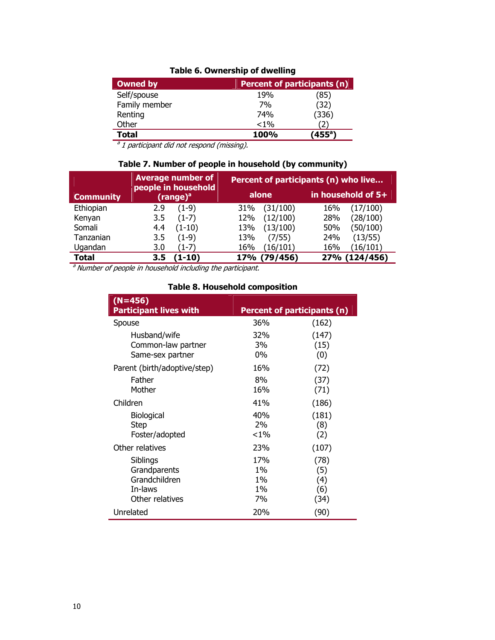#### **Table 6. Ownership of dwelling**

| <b>Owned by</b> | <b>Percent of participants (n)</b> |        |
|-----------------|------------------------------------|--------|
| Self/spouse     | 19%                                | (85)   |
| Family member   | 7%                                 | (32)   |
| Renting         | 74%                                | (336)  |
| Other           | $< 1\%$                            |        |
| <b>Total</b>    | <b>100%</b>                        | (455ª) |

 $a<sup>a</sup>$  1 participant did not respond (missing).

#### **Table 7. Number of people in household (by community)**

|                  | <b>Average number of</b>                    | Percent of participants (n) who live |                    |  |
|------------------|---------------------------------------------|--------------------------------------|--------------------|--|
| <b>Community</b> | people in household<br>(range) <sup>a</sup> | alone                                | in household of 5+ |  |
| Ethiopian        | $(1-9)$                                     | (31/100)                             | 16%                |  |
|                  | 2.9                                         | 31%                                  | (17/100)           |  |
| Kenyan           | $(1-7)$                                     | (12/100)                             | (28/100)           |  |
|                  | 3.5                                         | 12%                                  | 28%                |  |
| Somali           | $(1-10)$                                    | (13/100)                             | (50/100)           |  |
|                  | 4.4                                         | 13%                                  | 50%                |  |
| Tanzanian        | $(1-9)$                                     | (7/55)                               | (13/55)            |  |
|                  | 3.5                                         | 13%                                  | 24%                |  |
| Ugandan          | (1-7)                                       | (16/101)                             | (16/101)           |  |
|                  | 3.0                                         | 16%                                  | 16%                |  |
| <b>Total</b>     | $\mathbf{1}\text{-}\mathbf{10}$             | (79/456)                             | (124/456)          |  |
|                  | 3.5                                         | <b>17%</b>                           | 27%                |  |

 $a<sup>a</sup>$  Number of people in household including the participant.

#### **(N=456) Participant lives with Percent of participants (n)** Spouse Husband/wife Common-law partner Same-sex partner 36% 32% 3% 0% (162) (147) (15) (0) Parent (birth/adoptive/step) Father Mother 16% 8% 16% (72) (37) (71) Children Biological Step Foster/adopted 41% 40% 2%  $< 1\%$ (186) (181) (8) (2) Other relatives Siblings **Grandparents**  Grandchildren In-laws Other relatives 23% 17% 1% 1% 1% 7% (107) (78) (5) (4) (6) (34) Unrelated 20% (90)

#### **Table 8. Household composition**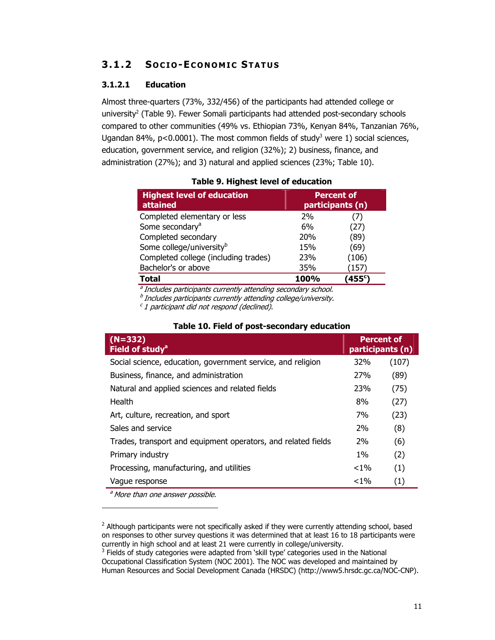### **3.1.2 S OCIO -ECONOMIC STATUS**

#### **3.1.2.1 Education**

Almost three-quarters (73%, 332/456) of the participants had attended college or university<sup>2</sup> (Table 9). Fewer Somali participants had attended post-secondary schools compared to other communities (49% vs. Ethiopian 73%, Kenyan 84%, Tanzanian 76%, Ugandan 84%,  $p < 0.0001$ ). The most common fields of study<sup>3</sup> were 1) social sciences, education, government service, and religion (32%); 2) business, finance, and administration (27%); and 3) natural and applied sciences (23%; Table 10).

| <b>Highest level of education</b><br>attained | <b>Percent of</b><br>participants (n) |       |
|-----------------------------------------------|---------------------------------------|-------|
| Completed elementary or less                  | 2%                                    |       |
| Some secondary <sup>a</sup>                   | 6%                                    | (27)  |
| Completed secondary                           | 20 <sub>%</sub>                       | (89)  |
| Some college/university <sup>b</sup>          | 15%                                   | (69)  |
| Completed college (including trades)          | 23%                                   | (106) |
| Bachelor's or above                           | 35%                                   | (157  |
| Total                                         | 100%                                  | '455c |

|  |  | Table 9. Highest level of education |
|--|--|-------------------------------------|
|  |  |                                     |

<sup>a</sup> Includes participants currently attending secondary school.

 $<sup>b</sup>$  Includes participants currently attending college/university.</sup>

 $c$  1 participant did not respond (declined).

| $(N=332)$<br>Field of study <sup>a</sup>                      |            | <b>Percent of</b><br>participants (n) |
|---------------------------------------------------------------|------------|---------------------------------------|
| Social science, education, government service, and religion   | 32%        | (107)                                 |
| Business, finance, and administration                         | <b>27%</b> | (89)                                  |
| Natural and applied sciences and related fields               | <b>23%</b> | (75)                                  |
| Health                                                        | 8%         | (27)                                  |
| Art, culture, recreation, and sport                           | 7%         | (23)                                  |
| Sales and service                                             | <b>2%</b>  | (8)                                   |
| Trades, transport and equipment operators, and related fields | 2%         | (6)                                   |
| Primary industry                                              | $1\%$      | (2)                                   |
| Processing, manufacturing, and utilities                      | $< 1\%$    | (1)                                   |
| Vaque response                                                | $< 1\%$    | (1)                                   |

#### **Table 10. Field of post-secondary education**

a More than one answer possible.

-

<sup>&</sup>lt;sup>2</sup> Although participants were not specifically asked if they were currently attending school, based on responses to other survey questions it was determined that at least 16 to 18 participants were currently in high school and at least 21 were currently in college/university.

 $3$  Fields of study categories were adapted from 'skill type' categories used in the National Occupational Classification System (NOC 2001). The NOC was developed and maintained by Human Resources and Social Development Canada (HRSDC) (http://www5.hrsdc.gc.ca/NOC-CNP).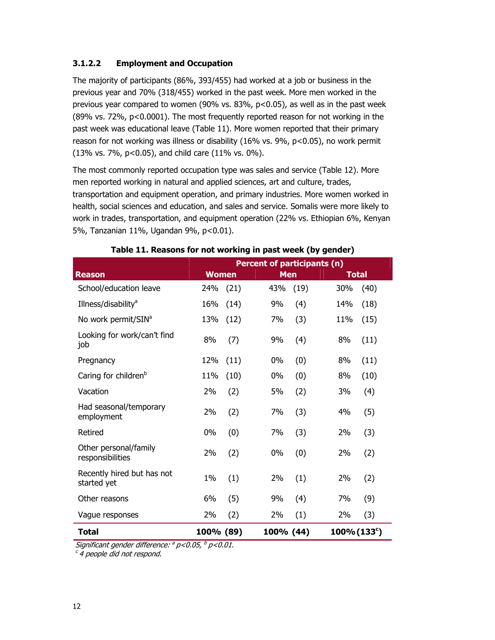#### **3.1.2.2 Employment and Occupation**

The majority of participants (86%, 393/455) had worked at a job or business in the previous year and 70% (318/455) worked in the past week. More men worked in the previous year compared to women (90% vs.  $83\%$ ,  $p<0.05$ ), as well as in the past week (89% vs. 72%, p<0.0001). The most frequently reported reason for not working in the past week was educational leave (Table 11). More women reported that their primary reason for not working was illness or disability (16% vs. 9%, p<0.05), no work permit (13% vs. 7%, p<0.05), and child care (11% vs. 0%).

The most commonly reported occupation type was sales and service (Table 12). More men reported working in natural and applied sciences, art and culture, trades, transportation and equipment operation, and primary industries. More women worked in health, social sciences and education, and sales and service. Somalis were more likely to work in trades, transportation, and equipment operation (22% vs. Ethiopian 6%, Kenyan 5%, Tanzanian 11%, Ugandan 9%, p<0.01).

|                                           | <b>Percent of participants (n)</b> |      |            |      |                |      |  |
|-------------------------------------------|------------------------------------|------|------------|------|----------------|------|--|
| <b>Reason</b>                             | <b>Women</b>                       |      | <b>Men</b> |      | <b>Total</b>   |      |  |
| School/education leave                    | 24%                                | (21) | 43%        | (19) | 30%            | (40) |  |
| Illness/disability <sup>a</sup>           | 16%                                | (14) | 9%         | (4)  | 14%            | (18) |  |
| No work permit/SIN <sup>a</sup>           | 13%                                | (12) | 7%         | (3)  | 11%            | (15) |  |
| Looking for work/can't find<br>job        | 8%                                 | (7)  | 9%         | (4)  | 8%             | (11) |  |
| Pregnancy                                 | 12%                                | (11) | 0%         | (0)  | 8%             | (11) |  |
| Caring for children <sup>b</sup>          | 11%                                | (10) | $0\%$      | (0)  | 8%             | (10) |  |
| Vacation                                  | 2%                                 | (2)  | 5%         | (2)  | 3%             | (4)  |  |
| Had seasonal/temporary<br>employment      | 2%                                 | (2)  | 7%         | (3)  | 4%             | (5)  |  |
| Retired                                   | $0\%$                              | (0)  | 7%         | (3)  | 2%             | (3)  |  |
| Other personal/family<br>responsibilities | 2%                                 | (2)  | 0%         | (0)  | 2%             | (2)  |  |
| Recently hired but has not<br>started yet | 1%                                 | (1)  | 2%         | (1)  | 2%             | (2)  |  |
| Other reasons                             | 6%                                 | (5)  | 9%         | (4)  | 7%             | (9)  |  |
| Vague responses                           | 2%                                 | (2)  | 2%         | (1)  | 2%             | (3)  |  |
| <b>Total</b>                              | 100% (89)                          |      | 100% (44)  |      | $100\% (133c)$ |      |  |

#### **Table 11. Reasons for not working in past week (by gender)**

Significant gender difference:  $\partial p < 0.05$ ,  $\partial p < 0.01$ .

c 4 people did not respond.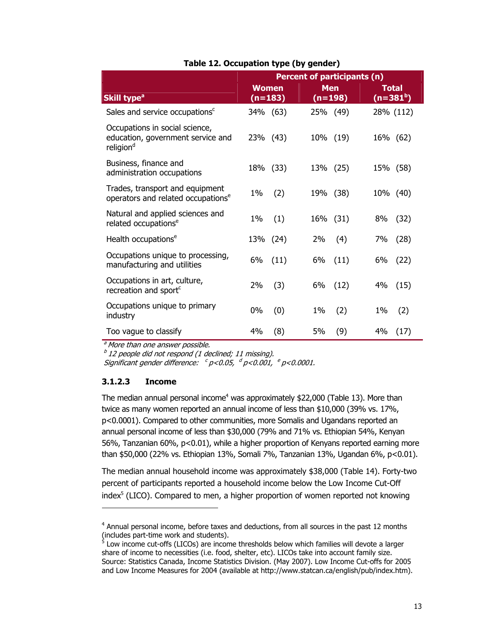|                                                                                              | <b>Percent of participants (n)</b> |            |              |  |
|----------------------------------------------------------------------------------------------|------------------------------------|------------|--------------|--|
| Skill type <sup>a</sup>                                                                      | <b>Women</b>                       | <b>Men</b> | <b>Total</b> |  |
|                                                                                              | $(n=183)$                          | $(n=198)$  | $(n=381b)$   |  |
| Sales and service occupations <sup>c</sup>                                                   | 34% (63)                           | 25% (49)   | 28% (112)    |  |
| Occupations in social science,<br>education, government service and<br>religion <sup>d</sup> | 23% (43)                           | 10% (19)   | 16% (62)     |  |
| Business, finance and<br>administration occupations                                          | 18% (33)                           | 13% (25)   | 15% (58)     |  |
| Trades, transport and equipment<br>operators and related occupations <sup>e</sup>            | $1\%$<br>(2)                       | 19% (38)   | 10% (40)     |  |
| Natural and applied sciences and                                                             | 1%                                 | 16% (31)   | 8%           |  |
| related occupations <sup>e</sup>                                                             | (1)                                |            | (32)         |  |
| Health occupations <sup>e</sup>                                                              | 13% (24)                           | 2%<br>(4)  | 7%<br>(28)   |  |
| Occupations unique to processing,                                                            | 6%                                 | 6%         | 6%           |  |
| manufacturing and utilities                                                                  | (11)                               | (11)       | (22)         |  |
| Occupations in art, culture,                                                                 | 2%                                 | 6%         | 4%           |  |
| recreation and sport <sup>c</sup>                                                            | (3)                                | (12)       | (15)         |  |
| Occupations unique to primary                                                                | (0)                                | $1\%$      | 1%           |  |
| industry                                                                                     | 0%                                 | (2)        | (2)          |  |
| Too vague to classify                                                                        | 4%                                 | (9)        | 4%           |  |
|                                                                                              | (8)                                | 5%         | (17)         |  |

#### **Table 12. Occupation type (by gender)**

a More than one answer possible.

 $b$  12 people did not respond (1 declined; 11 missing).

Significant gender difference:  $c_{p}$ <0.05,  $d_{p}$ <0.001,  $e_{p}$ <0.0001.

#### **3.1.2.3 Income**

-

The median annual personal income<sup>4</sup> was approximately \$22,000 (Table 13). More than twice as many women reported an annual income of less than \$10,000 (39% vs. 17%, p<0.0001). Compared to other communities, more Somalis and Ugandans reported an annual personal income of less than \$30,000 (79% and 71% vs. Ethiopian 54%, Kenyan 56%, Tanzanian 60%, p<0.01), while a higher proportion of Kenyans reported earning more than \$50,000 (22% vs. Ethiopian 13%, Somali 7%, Tanzanian 13%, Ugandan 6%, p<0.01).

The median annual household income was approximately \$38,000 (Table 14). Forty-two percent of participants reported a household income below the Low Income Cut-Off index<sup>5</sup> (LICO). Compared to men, a higher proportion of women reported not knowing

<sup>4</sup> Annual personal income, before taxes and deductions, from all sources in the past 12 months (includes part-time work and students).<br><sup>5</sup> Low income cut-offs (LICOs) are income thresholds below which families will devote a larger

share of income to necessities (i.e. food, shelter, etc). LICOs take into account family size. Source: Statistics Canada, Income Statistics Division. (May 2007). Low Income Cut-offs for 2005 and Low Income Measures for 2004 (available at http://www.statcan.ca/english/pub/index.htm).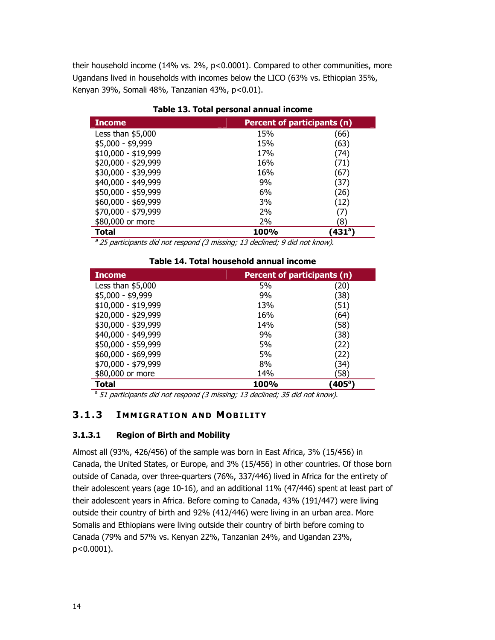their household income (14% vs. 2%, p<0.0001). Compared to other communities, more Ugandans lived in households with incomes below the LICO (63% vs. Ethiopian 35%, Kenyan 39%, Somali 48%, Tanzanian 43%, p<0.01).

| <b>Income</b>       | <b>Percent of participants (n)</b> |                 |  |
|---------------------|------------------------------------|-----------------|--|
| Less than $$5,000$  | 15%                                | (66)            |  |
| \$5,000 - \$9,999   | 15%                                | (63)            |  |
| $$10,000 - $19,999$ | 17%                                | (74)            |  |
| \$20,000 - \$29,999 | 16%                                | (71)            |  |
| \$30,000 - \$39,999 | 16%                                | (67)            |  |
| \$40,000 - \$49,999 | 9%                                 | (37)            |  |
| \$50,000 - \$59,999 | 6%                                 | (26)            |  |
| \$60,000 - \$69,999 | 3%                                 | (12)            |  |
| \$70,000 - \$79,999 | 2%                                 | (7)             |  |
| \$80,000 or more    | 2%                                 | ้8)             |  |
| Total               | 100%                               | $(431^{\circ})$ |  |

**Table 13. Total personal annual income** 

 $a^{2}$ 25 participants did not respond (3 missing; 13 declined; 9 did not know).

|  | Table 14. Total household annual income |  |
|--|-----------------------------------------|--|
|--|-----------------------------------------|--|

| <b>Income</b>       | <b>Percent of participants (n)</b> |               |
|---------------------|------------------------------------|---------------|
| Less than $$5,000$  | 5%                                 | (20)          |
| $$5,000 - $9,999$   | 9%                                 | (38)          |
| $$10,000 - $19,999$ | 13%                                | (51)          |
| \$20,000 - \$29,999 | 16%                                | (64)          |
| \$30,000 - \$39,999 | 14%                                | (58)          |
| \$40,000 - \$49,999 | 9%                                 | (38)          |
| \$50,000 - \$59,999 | 5%                                 | (22)          |
| \$60,000 - \$69,999 | 5%                                 | (22)          |
| \$70,000 - \$79,999 | 8%                                 | (34)          |
| \$80,000 or more    | 14%                                | (58)          |
| Total               | 100%                               | $(405^\circ)$ |

 $a$  51 participants did not respond (3 missing; 13 declined; 35 did not know).

#### **3.1.3 I MMIGRATION AND MOBILITY**

#### **3.1.3.1 Region of Birth and Mobility**

Almost all (93%, 426/456) of the sample was born in East Africa, 3% (15/456) in Canada, the United States, or Europe, and 3% (15/456) in other countries. Of those born outside of Canada, over three-quarters (76%, 337/446) lived in Africa for the entirety of their adolescent years (age 10-16), and an additional 11% (47/446) spent at least part of their adolescent years in Africa. Before coming to Canada, 43% (191/447) were living outside their country of birth and 92% (412/446) were living in an urban area. More Somalis and Ethiopians were living outside their country of birth before coming to Canada (79% and 57% vs. Kenyan 22%, Tanzanian 24%, and Ugandan 23%, p<0.0001).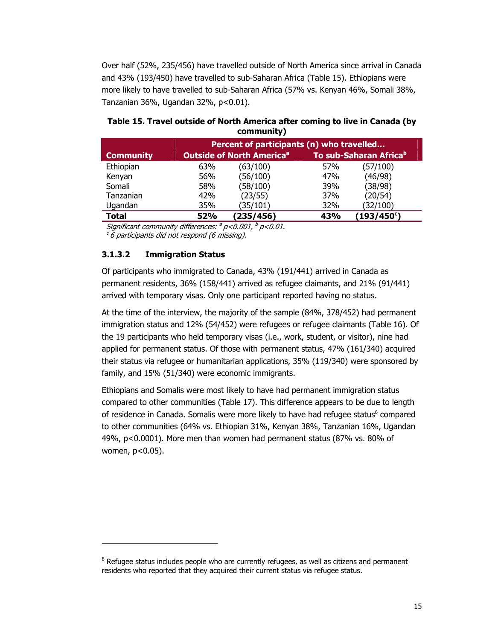Over half (52%, 235/456) have travelled outside of North America since arrival in Canada and 43% (193/450) have travelled to sub-Saharan Africa (Table 15). Ethiopians were more likely to have travelled to sub-Saharan Africa (57% vs. Kenyan 46%, Somali 38%, Tanzanian 36%, Ugandan 32%, p<0.01).

|                  |     | Percent of participants (n) who travelled   |     |                                    |  |
|------------------|-----|---------------------------------------------|-----|------------------------------------|--|
| <b>Community</b> |     | <b>Outside of North America<sup>a</sup></b> |     | To sub-Saharan Africa <sup>b</sup> |  |
| Ethiopian        | 63% | (63/100)                                    | 57% | (57/100)                           |  |
| Kenyan           | 56% | (56/100)                                    | 47% | (46/98)                            |  |
| Somali           | 58% | (58/100)                                    | 39% | (38/98)                            |  |
| Tanzanian        | 42% | (23/55)                                     | 37% | (20/54)                            |  |
| Ugandan          | 35% | (35/101)                                    | 32% | (32/100)                           |  |
| <b>Total</b>     | 52% | (235/456)                                   | 43% | $(193/450^{\circ})$                |  |

#### **Table 15. Travel outside of North America after coming to live in Canada (by community)**

Significant community differences:  $\partial p$ <0.001,  $\partial p$ <0.01.

 $c$  6 participants did not respond (6 missing).

#### **3.1.3.2 Immigration Status**

-

Of participants who immigrated to Canada, 43% (191/441) arrived in Canada as permanent residents, 36% (158/441) arrived as refugee claimants, and 21% (91/441) arrived with temporary visas. Only one participant reported having no status.

At the time of the interview, the majority of the sample (84%, 378/452) had permanent immigration status and 12% (54/452) were refugees or refugee claimants (Table 16). Of the 19 participants who held temporary visas (i.e., work, student, or visitor), nine had applied for permanent status. Of those with permanent status, 47% (161/340) acquired their status via refugee or humanitarian applications, 35% (119/340) were sponsored by family, and 15% (51/340) were economic immigrants.

Ethiopians and Somalis were most likely to have had permanent immigration status compared to other communities (Table 17). This difference appears to be due to length of residence in Canada. Somalis were more likely to have had refugee status<sup>6</sup> compared to other communities (64% vs. Ethiopian 31%, Kenyan 38%, Tanzanian 16%, Ugandan 49%, p<0.0001). More men than women had permanent status (87% vs. 80% of women, p<0.05).

 $^6$  Refugee status includes people who are currently refugees, as well as citizens and permanent residents who reported that they acquired their current status via refugee status.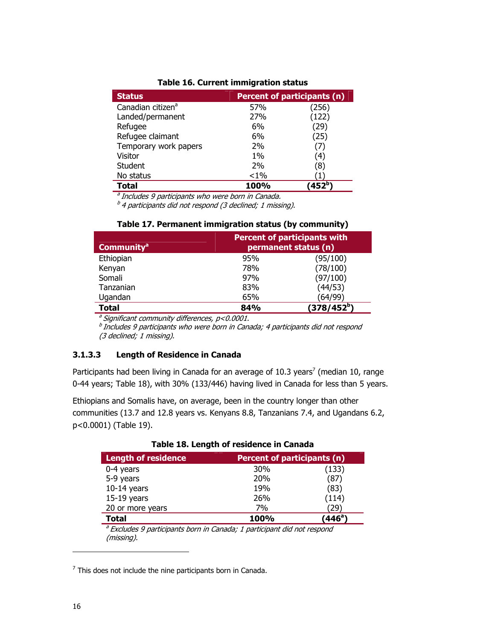| <b>Status</b>                 | Percent of participants (n) |       |  |
|-------------------------------|-----------------------------|-------|--|
| Canadian citizen <sup>a</sup> | 57%                         | (256) |  |
| Landed/permanent              | 27%                         | (122) |  |
| Refugee                       | 6%                          | 29)   |  |
| Refugee claimant              | 6%                          | (25)  |  |
| Temporary work papers         | 2%                          | 7)    |  |
| Visitor                       | $1\%$                       | (4)   |  |
| Student                       | 2%                          | (8)   |  |
| No status                     | $< 1\%$                     |       |  |
| Total                         | 100%                        |       |  |

#### **Table 16. Current immigration status**

<sup>a</sup> Includes 9 participants who were born in Canada.

 $b<sup>b</sup>$  4 participants did not respond (3 declined; 1 missing).

| <b>Community<sup>a</sup></b> | <b>Percent of participants with</b><br>permanent status (n) |                         |  |
|------------------------------|-------------------------------------------------------------|-------------------------|--|
| Ethiopian                    | 95%                                                         | (95/100)                |  |
| Kenyan                       | 78%                                                         | (78/100)                |  |
| Somali                       | 97%                                                         | (97/100)                |  |
| Tanzanian                    | 83%                                                         | (44/53)                 |  |
| Ugandan                      | 65%                                                         | (64/99)                 |  |
| Total                        | 84%                                                         | (378/452 <sup>b</sup> ) |  |

#### **Table 17. Permanent immigration status (by community)**

 $a<sup>a</sup>$  Significant community differences,  $p$ <0.0001.

 $^b$  Includes 9 participants who were born in Canada; 4 participants did not respond (3 declined; 1 missing).

#### **3.1.3.3 Length of Residence in Canada**

Participants had been living in Canada for an average of 10.3 years<sup>7</sup> (median 10, range 0-44 years; Table 18), with 30% (133/446) having lived in Canada for less than 5 years.

Ethiopians and Somalis have, on average, been in the country longer than other communities (13.7 and 12.8 years vs. Kenyans 8.8, Tanzanians 7.4, and Ugandans 6.2, p<0.0001) (Table 19).

| <b>Length of residence</b>                                                                       | Percent of participants (n) |        |
|--------------------------------------------------------------------------------------------------|-----------------------------|--------|
| $0-4$ years                                                                                      | 30%                         | (133)  |
| 5-9 years                                                                                        | 20 <sub>%</sub>             | (87)   |
| $10-14$ years                                                                                    | 19%                         | (83)   |
| $15-19$ years                                                                                    | 26%                         | (114)  |
| 20 or more years                                                                                 | 7%                          | 29     |
| Total                                                                                            | 100%                        | (446ª) |
| <sup>a</sup> Excludes 9 participants born in Canada; 1 participant did not respond<br>(missing). |                             |        |

#### **Table 18. Length of residence in Canada**

 $7$  This does not include the nine participants born in Canada.

-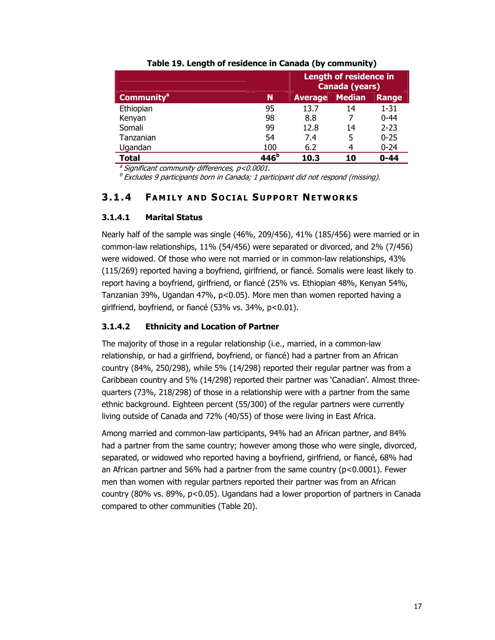|                              |                  | <b>Length of residence in</b><br>Canada (years) |    |          |
|------------------------------|------------------|-------------------------------------------------|----|----------|
| <b>Community<sup>a</sup></b> | N                | <b>Median</b><br><b>Average</b>                 |    | Range    |
| Ethiopian                    | 95               | 13.7                                            | 14 | $1 - 31$ |
| Kenyan                       | 98               | 8.8                                             |    | $0 - 44$ |
| Somali                       | 99               | 12.8                                            | 14 | $2 - 23$ |
| Tanzanian                    | 54               | 7.4                                             | 5  | $0 - 25$ |
| Ugandan                      | 100              | 6.2                                             | 4  | $0 - 24$ |
| <b>Total</b>                 | 446 <sup>b</sup> | $0 - 44$<br>10.3<br>10                          |    |          |

#### **Table 19. Length of residence in Canada (by community)**

 $a$  Significant community differences,  $p < 0.0001$ .

 $^{b}$  Excludes 9 participants born in Canada; 1 participant did not respond (missing).

#### **3.1.4 FAMILY AND S OCIAL S UPPORT NETWORKS**

#### **3.1.4.1 Marital Status**

Nearly half of the sample was single (46%, 209/456), 41% (185/456) were married or in common-law relationships, 11% (54/456) were separated or divorced, and 2% (7/456) were widowed. Of those who were not married or in common-law relationships, 43% (115/269) reported having a boyfriend, girlfriend, or fiancé. Somalis were least likely to report having a boyfriend, girlfriend, or fiancé (25% vs. Ethiopian 48%, Kenyan 54%, Tanzanian 39%, Ugandan 47%, p<0.05). More men than women reported having a girlfriend, boyfriend, or fiancé (53% vs. 34%, p<0.01).

#### **3.1.4.2 Ethnicity and Location of Partner**

The majority of those in a regular relationship (i.e., married, in a common-law relationship, or had a girlfriend, boyfriend, or fiancé) had a partner from an African country (84%, 250/298), while 5% (14/298) reported their regular partner was from a Caribbean country and 5% (14/298) reported their partner was 'Canadian'. Almost threequarters (73%, 218/298) of those in a relationship were with a partner from the same ethnic background. Eighteen percent (55/300) of the regular partners were currently living outside of Canada and 72% (40/55) of those were living in East Africa.

Among married and common-law participants, 94% had an African partner, and 84% had a partner from the same country; however among those who were single, divorced, separated, or widowed who reported having a boyfriend, girlfriend, or fiancé, 68% had an African partner and 56% had a partner from the same country ( $p < 0.0001$ ). Fewer men than women with regular partners reported their partner was from an African country (80% vs. 89%,  $p<0.05$ ). Ugandans had a lower proportion of partners in Canada compared to other communities (Table 20).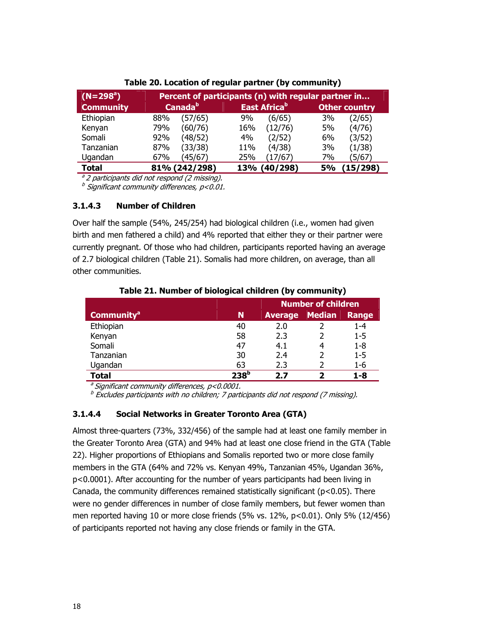| $\parallel$ (N=298 <sup>a</sup> ) | Percent of participants (n) with regular partner in |                     |     |                          |           |                      |
|-----------------------------------|-----------------------------------------------------|---------------------|-----|--------------------------|-----------|----------------------|
| <b>Community</b>                  |                                                     | Canada <sup>b</sup> |     | East Africa <sup>b</sup> |           | <b>Other country</b> |
| Ethiopian                         | 88%                                                 | (57/65)             | 9%  | (6/65)                   | 3%        | (2/65)               |
| Kenyan                            | 79%                                                 | (60/76)             | 16% | (12/76)                  | 5%        | (4/76)               |
| Somali                            | 92%                                                 | (48/52)             | 4%  | (2/52)                   | 6%        | (3/52)               |
| Tanzanian                         | 87%                                                 | (33/38)             | 11% | (4/38)                   | 3%        | (1/38)               |
| Ugandan                           | 67%                                                 | (45/67)             | 25% | (17/67)                  | 7%        | (5/67)               |
| Total                             |                                                     | 81% (242/298)       | 13% | (40/298)                 | <b>5%</b> | (15/298)             |

#### **Table 20. Location of regular partner (by community)**

 $a<sup>a</sup>$  2 participants did not respond (2 missing).

 $<sup>b</sup>$  Significant community differences, p<0.01.</sup>

#### **3.1.4.3 Number of Children**

Over half the sample (54%, 245/254) had biological children (i.e., women had given birth and men fathered a child) and 4% reported that either they or their partner were currently pregnant. Of those who had children, participants reported having an average of 2.7 biological children (Table 21). Somalis had more children, on average, than all other communities.

|                              |      | <b>Number of children</b> |               |              |
|------------------------------|------|---------------------------|---------------|--------------|
| <b>Community<sup>a</sup></b> | N    | <b>Average</b>            | <b>Median</b> | <b>Range</b> |
| Ethiopian                    | 40   | 2.0                       |               | 1-4          |
| Kenyan                       | 58   | 2.3                       |               | 1-5          |
| Somali                       | 47   | 4.1                       |               | 1-8          |
| Tanzanian                    | 30   | 2.4                       |               | $1 - 5$      |
| Ugandan                      | 63   | 2.3                       |               | 1-6          |
| <b>Total</b>                 | つつQD | ד כ                       | ּר            | 1-8          |

**Table 21. Number of biological children (by community)** 

 $a<sup>a</sup>$  Significant community differences,  $p$ <0.0001.

 $^b$  Excludes participants with no children; 7 participants did not respond (7 missing).

#### **3.1.4.4 Social Networks in Greater Toronto Area (GTA)**

Almost three-quarters (73%, 332/456) of the sample had at least one family member in the Greater Toronto Area (GTA) and 94% had at least one close friend in the GTA (Table 22). Higher proportions of Ethiopians and Somalis reported two or more close family members in the GTA (64% and 72% vs. Kenyan 49%, Tanzanian 45%, Ugandan 36%, p<0.0001). After accounting for the number of years participants had been living in Canada, the community differences remained statistically significant ( $p$ <0.05). There were no gender differences in number of close family members, but fewer women than men reported having 10 or more close friends (5% vs. 12%, p<0.01). Only 5% (12/456) of participants reported not having any close friends or family in the GTA.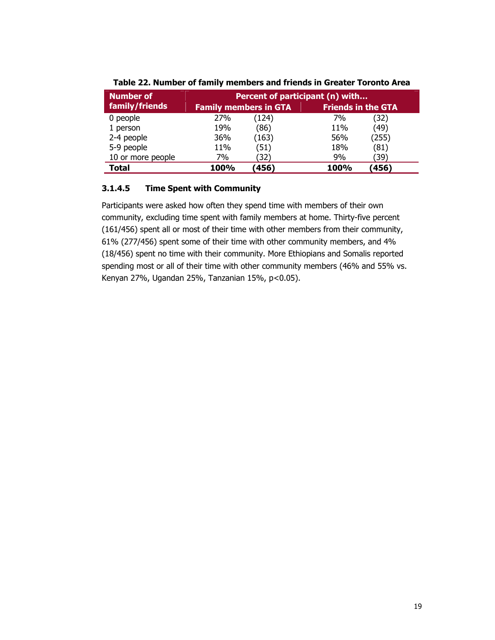| Number of         | Percent of participant (n) with |       |                           |       |  |
|-------------------|---------------------------------|-------|---------------------------|-------|--|
| family/friends    | <b>Family members in GTA</b>    |       | <b>Friends in the GTA</b> |       |  |
| 0 people          | 27%                             | (124) | 7%                        | (32)  |  |
| 1 person          | 19%                             | (86)  | 11%                       | (49)  |  |
| 2-4 people        | 36%                             | (163) | 56%                       | (255) |  |
| 5-9 people        | 11%                             | (51)  | 18%                       | (81)  |  |
| 10 or more people | 7%                              | (32)  | 9%                        | (39)  |  |
| Total             | 100%                            | (456) | 100%                      | (456) |  |

**Table 22. Number of family members and friends in Greater Toronto Area** 

#### **3.1.4.5 Time Spent with Community**

Participants were asked how often they spend time with members of their own community, excluding time spent with family members at home. Thirty-five percent (161/456) spent all or most of their time with other members from their community, 61% (277/456) spent some of their time with other community members, and 4% (18/456) spent no time with their community. More Ethiopians and Somalis reported spending most or all of their time with other community members (46% and 55% vs. Kenyan 27%, Ugandan 25%, Tanzanian 15%, p<0.05).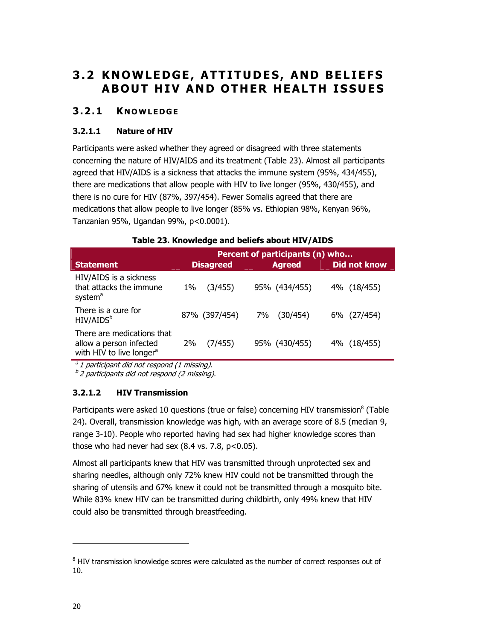## **3.2 KNOWLEDGE, ATTITU DES, AND BELIEFS ABOUT HIV AND OTHER HEALTH ISSUES**

#### **3.2.1 K NOWLEDGE**

#### **3.2.1.1 Nature of HIV**

Participants were asked whether they agreed or disagreed with three statements concerning the nature of HIV/AIDS and its treatment (Table 23). Almost all participants agreed that HIV/AIDS is a sickness that attacks the immune system (95%, 434/455), there are medications that allow people with HIV to live longer (95%, 430/455), and there is no cure for HIV (87%, 397/454). Fewer Somalis agreed that there are medications that allow people to live longer (85% vs. Ethiopian 98%, Kenyan 96%, Tanzanian 95%, Ugandan 99%, p<0.0001).

|                                                                                               | Percent of participants (n) who |                |                     |  |  |
|-----------------------------------------------------------------------------------------------|---------------------------------|----------------|---------------------|--|--|
| <b>Statement</b>                                                                              | <b>Disagreed</b>                | <b>Agreed</b>  | <b>Did not know</b> |  |  |
| HIV/AIDS is a sickness<br>that attacks the immune<br>system <sup>a</sup>                      | (3/455)<br>1%                   | 95% (434/455)  | 4% (18/455)         |  |  |
| There is a cure for<br>HIV/AIDS <sup>b</sup>                                                  | 87% (397/454)                   | (30/454)<br>7% | 6% (27/454)         |  |  |
| There are medications that<br>allow a person infected<br>with HIV to live longer <sup>a</sup> | (7/455)<br>2%                   | 95% (430/455)  | 4% (18/455)         |  |  |
|                                                                                               |                                 |                |                     |  |  |

#### **Table 23. Knowledge and beliefs about HIV/AIDS**

 $a<sup>a</sup>1$  participant did not respond (1 missing).

 $b<sup>b</sup>$  2 participants did not respond (2 missing).

#### **3.2.1.2 HIV Transmission**

Participants were asked 10 questions (true or false) concerning HIV transmission<sup>8</sup> (Table 24). Overall, transmission knowledge was high, with an average score of 8.5 (median 9, range 3-10). People who reported having had sex had higher knowledge scores than those who had never had sex  $(8.4 \text{ vs. } 7.8, \text{ p} < 0.05)$ .

Almost all participants knew that HIV was transmitted through unprotected sex and sharing needles, although only 72% knew HIV could not be transmitted through the sharing of utensils and 67% knew it could not be transmitted through a mosquito bite. While 83% knew HIV can be transmitted during childbirth, only 49% knew that HIV could also be transmitted through breastfeeding.

-

 $8$  HIV transmission knowledge scores were calculated as the number of correct responses out of 10.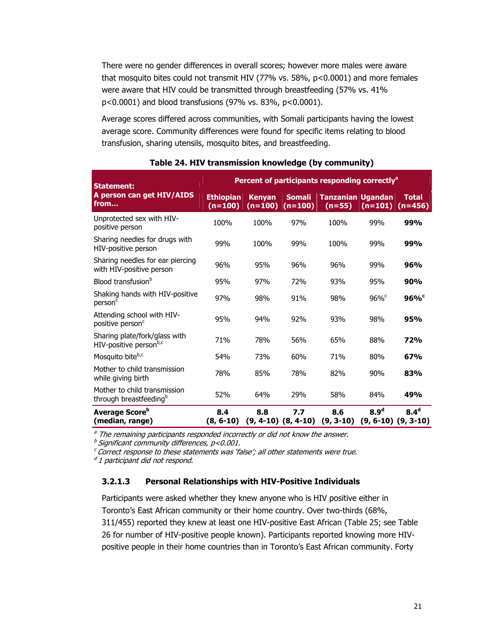There were no gender differences in overall scores; however more males were aware that mosquito bites could not transmit HIV (77% vs. 58%, p<0.0001) and more females were aware that HIV could be transmitted through breastfeeding (57% vs. 41% p<0.0001) and blood transfusions (97% vs. 83%, p<0.0001).

Average scores differed across communities, with Somali participants having the lowest average score. Community differences were found for specific items relating to blood transfusion, sharing utensils, mosquito bites, and breastfeeding.

| <b>Statement:</b>                                                  | Percent of participants responding correctly <sup>a</sup> |                            |                                |                                      |                     |                                             |  |
|--------------------------------------------------------------------|-----------------------------------------------------------|----------------------------|--------------------------------|--------------------------------------|---------------------|---------------------------------------------|--|
| A person can get HIV/AIDS<br>from                                  | <b>Ethiopian</b><br>$(n=100)$                             | <b>Kenyan</b><br>$(n=100)$ | <b>Somali</b><br>$(n=100)$     | <b>Tanzanian Ugandan</b><br>$(n=55)$ | $(n=101)$           | <b>Total</b><br>$(n=456)$                   |  |
| Unprotected sex with HIV-<br>positive person                       | 100%                                                      | 100%                       | 97%                            | 100%                                 | 99%                 | 99%                                         |  |
| Sharing needles for drugs with<br>HIV-positive person              | 99%                                                       | 100%                       | 99%                            | 100%                                 | 99%                 | 99%                                         |  |
| Sharing needles for ear piercing<br>with HIV-positive person       | 96%                                                       | 95%                        | 96%                            | 96%                                  | 99%                 | <b>96%</b>                                  |  |
| Blood transfusion <sup>b</sup>                                     | 95%                                                       | 97%                        | 72%                            | 93%                                  | 95%                 | 90%                                         |  |
| Shaking hands with HIV-positive<br>person <sup>c</sup>             | 97%                                                       | 98%                        | 91%                            | 98%                                  | $96\%$ <sup>c</sup> | $96\%$ <sup>c</sup>                         |  |
| Attending school with HIV-<br>positive person <sup>c</sup>         | 95%                                                       | 94%                        | 92%                            | 93%                                  | 98%                 | 95%                                         |  |
| Sharing plate/fork/glass with<br>HIV-positive personb,c            | 71%                                                       | 78%                        | 56%                            | 65%                                  | 88%                 | <b>72%</b>                                  |  |
| Mosquito biteb,c                                                   | 54%                                                       | 73%                        | 60%                            | 71%                                  | 80%                 | 67%                                         |  |
| Mother to child transmission<br>while giving birth                 | 78%                                                       | 85%                        | 78%                            | 82%                                  | 90%                 | 83%                                         |  |
| Mother to child transmission<br>through breastfeeding <sup>b</sup> | 52%                                                       | 64%                        | 29%                            | 58%                                  | 84%                 | 49%                                         |  |
| Average Score <sup>b</sup><br>(median, range)                      | 8.4<br>$(8, 6-10)$                                        | 8.8                        | 7.7<br>$(9, 4-10)$ $(8, 4-10)$ | 8.6<br>$(9, 3-10)$                   | 8.9 <sup>d</sup>    | 8.4 <sup>d</sup><br>$(9, 6-10)$ $(9, 3-10)$ |  |

#### **Table 24. HIV transmission knowledge (by community)**

<sup>a</sup> The remaining participants responded incorrectly or did not know the answer.

 $<sup>b</sup>$  Significant community differences, p<0.001.</sup>

 $c$  Correct response to these statements was 'false'; all other statements were true.

 $d$  1 participant did not respond.

#### **3.2.1.3 Personal Relationships with HIV-Positive Individuals**

Participants were asked whether they knew anyone who is HIV positive either in Toronto's East African community or their home country. Over two-thirds (68%, 311/455) reported they knew at least one HIV-positive East African (Table 25; see Table 26 for number of HIV-positive people known). Participants reported knowing more HIVpositive people in their home countries than in Toronto's East African community. Forty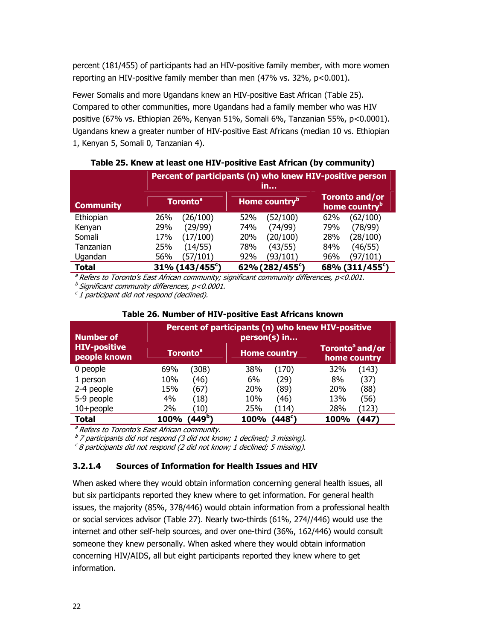percent (181/455) of participants had an HIV-positive family member, with more women reporting an HIV-positive family member than men (47% vs. 32%, p<0.001).

Fewer Somalis and more Ugandans knew an HIV-positive East African (Table 25). Compared to other communities, more Ugandans had a family member who was HIV positive (67% vs. Ethiopian 26%, Kenyan 51%, Somali 6%, Tanzanian 55%, p<0.0001). Ugandans knew a greater number of HIV-positive East Africans (median 10 vs. Ethiopian 1, Kenyan 5, Somali 0, Tanzanian 4).

|                  | Percent of participants (n) who knew HIV-positive person<br>in |                             |                                                    |  |  |
|------------------|----------------------------------------------------------------|-----------------------------|----------------------------------------------------|--|--|
| <b>Community</b> | <b>Toronto<sup>a</sup></b>                                     | Home country <sup>b</sup>   | <b>Toronto and/or</b><br>home country <sup>b</sup> |  |  |
| Ethiopian        | (26/100)                                                       | (52/100)                    | (62/100)                                           |  |  |
|                  | 26%                                                            | 52%                         | 62%                                                |  |  |
| Kenyan           | (29/99)                                                        | (74/99)                     | (78/99)                                            |  |  |
|                  | 29%                                                            | 74%                         | 79%                                                |  |  |
| Somali           | (17/100)                                                       | (20/100)                    | (28/100)                                           |  |  |
|                  | 17%                                                            | 20%                         | 28%                                                |  |  |
| Tanzanian        | (14/55)                                                        | (43/55)                     | (46/55)                                            |  |  |
|                  | 25%                                                            | 78%                         | 84%                                                |  |  |
| Ugandan          | (57/101)                                                       | (93/101)                    | 96%                                                |  |  |
|                  | 56%                                                            | 92%                         | (97/101)                                           |  |  |
| <b>Total</b>     | 31% (143/455 <sup>c</sup> )                                    | 62% (282/455 <sup>c</sup> ) | 68% (311/455°)                                     |  |  |

#### **Table 25. Knew at least one HIV-positive East African (by community)**

 $a^2$  Refers to Toronto's East African community; significant community differences,  $p$ <0.001.

 $<sup>b</sup>$  Significant community differences, p<0.0001.</sup>

 $c<sub>1</sub>$  participant did not respond (declined).

| <b>Number of</b>                    | Percent of participants (n) who knew HIV-positive<br>person(s) in |                     |                                             |  |  |
|-------------------------------------|-------------------------------------------------------------------|---------------------|---------------------------------------------|--|--|
| <b>HIV-positive</b><br>people known | <b>Toronto<sup>a</sup></b>                                        | <b>Home country</b> | Toronto <sup>a</sup> and/or<br>home country |  |  |
| 0 people                            | 69%                                                               | (170)               | (143)                                       |  |  |
|                                     | (308)                                                             | 38%                 | 32%                                         |  |  |
| 1 person                            | 10%                                                               | (29)                | (37)                                        |  |  |
|                                     | (46)                                                              | 6%                  | 8%                                          |  |  |
| 2-4 people                          | 15%                                                               | 20%                 | (88)                                        |  |  |
|                                     | (67)                                                              | (89)                | 20%                                         |  |  |
| 5-9 people                          | 4%                                                                | 10%                 | 13%                                         |  |  |
|                                     | (18)                                                              | (46)                | (56)                                        |  |  |
| $10 + people$                       | 2%                                                                | 25%                 | 28%                                         |  |  |
|                                     | (10                                                               | (114)               | (123)                                       |  |  |
| <b>Total</b>                        | '449 <sup>b</sup> )                                               | $(448^\circ)$       | (447)                                       |  |  |
|                                     | 100%                                                              | 100%                | 100%                                        |  |  |

### **Table 26. Number of HIV-positive East Africans known**

<sup>a</sup> Refers to Toronto's East African community.

 $b<sup>b</sup>$  7 participants did not respond (3 did not know; 1 declined; 3 missing).

 $c$ 8 participants did not respond (2 did not know; 1 declined; 5 missing).

### **3.2.1.4 Sources of Information for Health Issues and HIV**

When asked where they would obtain information concerning general health issues, all but six participants reported they knew where to get information. For general health issues, the majority (85%, 378/446) would obtain information from a professional health or social services advisor (Table 27). Nearly two-thirds (61%, 274//446) would use the internet and other self-help sources, and over one-third (36%, 162/446) would consult someone they knew personally. When asked where they would obtain information concerning HIV/AIDS, all but eight participants reported they knew where to get information.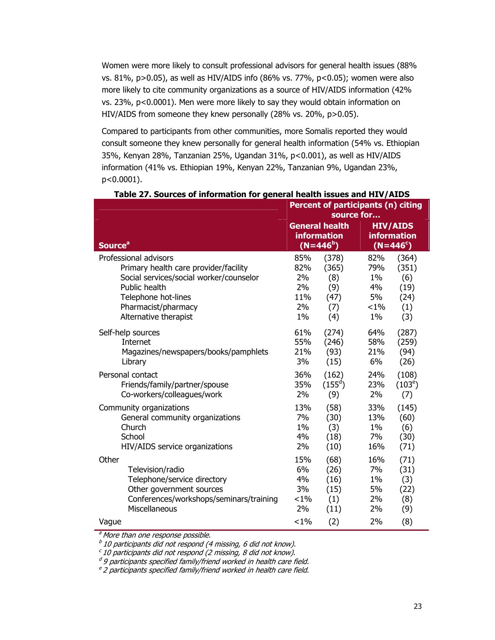Women were more likely to consult professional advisors for general health issues (88% vs. 81%, p>0.05), as well as HIV/AIDS info (86% vs. 77%, p<0.05); women were also more likely to cite community organizations as a source of HIV/AIDS information (42% vs. 23%, p<0.0001). Men were more likely to say they would obtain information on HIV/AIDS from someone they knew personally (28% vs. 20%, p>0.05).

Compared to participants from other communities, more Somalis reported they would consult someone they knew personally for general health information (54% vs. Ethiopian 35%, Kenyan 28%, Tanzanian 25%, Ugandan 31%, p<0.001), as well as HIV/AIDS information (41% vs. Ethiopian 19%, Kenyan 22%, Tanzanian 9%, Ugandan 23%, p<0.0001).

|                                         |         | <b>Percent of participants (n) citing</b>                  | source for |                                                            |  |
|-----------------------------------------|---------|------------------------------------------------------------|------------|------------------------------------------------------------|--|
| <b>Source<sup>a</sup></b>               |         | <b>General health</b><br><b>information</b><br>$(N=446^b)$ |            | <b>HIV/AIDS</b><br><b>information</b><br>$(N=446^{\circ})$ |  |
| Professional advisors                   | 85%     | (378)                                                      | 82%        | (364)                                                      |  |
| Primary health care provider/facility   | 82%     | (365)                                                      | 79%        | (351)                                                      |  |
| Social services/social worker/counselor | 2%      | (8)                                                        | 1%         | (6)                                                        |  |
| Public health                           | 2%      | (9)                                                        | 4%         | (19)                                                       |  |
| Telephone hot-lines                     | 11%     | (47)                                                       | 5%         | (24)                                                       |  |
| Pharmacist/pharmacy                     | 2%      | (7)                                                        | $< 1\%$    | (1)                                                        |  |
| Alternative therapist                   | $1\%$   | (4)                                                        | $1\%$      | (3)                                                        |  |
| Self-help sources                       | 61%     | (274)                                                      | 64%        | (287)                                                      |  |
| Internet                                | 55%     | (246)                                                      | 58%        | (259)                                                      |  |
| Magazines/newspapers/books/pamphlets    | 21%     | (93)                                                       | 21%        | (94)                                                       |  |
| Library                                 | 3%      | (15)                                                       | 6%         | (26)                                                       |  |
| Personal contact                        | 36%     | (162)                                                      | 24%        | (108)                                                      |  |
| Friends/family/partner/spouse           | 35%     | $(155^d)$                                                  | 23%        | $(103^e)$                                                  |  |
| Co-workers/colleagues/work              | 2%      | (9)                                                        | 2%         | (7)                                                        |  |
| Community organizations                 | 13%     | (58)                                                       | 33%        | (145)                                                      |  |
| General community organizations         | 7%      | (30)                                                       | 13%        | (60)                                                       |  |
| Church                                  | $1\%$   | (3)                                                        | $1\%$      | (6)                                                        |  |
| School                                  | 4%      | (18)                                                       | 7%         | (30)                                                       |  |
| HIV/AIDS service organizations          | 2%      | (10)                                                       | 16%        | (71)                                                       |  |
| Other                                   | 15%     | (68)                                                       | 16%        | (71)                                                       |  |
| Television/radio                        | 6%      | (26)                                                       | 7%         | (31)                                                       |  |
| Telephone/service directory             | 4%      | (16)                                                       | $1\%$      | (3)                                                        |  |
| Other government sources                | 3%      | (15)                                                       | 5%         | (22)                                                       |  |
| Conferences/workshops/seminars/training | $< 1\%$ | (1)                                                        | 2%         | (8)                                                        |  |
| Miscellaneous                           | 2%      | (11)                                                       | 2%         | (9)                                                        |  |
| Vague                                   | $< 1\%$ | (2)                                                        | 2%         | (8)                                                        |  |

**Table 27. Sources of information for general health issues and HIV/AIDS** 

<sup>a</sup> More than one response possible.

 $b$  10 participants did not respond (4 missing, 6 did not know).

 $\epsilon$  10 participants did not respond (2 missing, 8 did not know).

 $d$ 9 participants specified family/friend worked in health care field.

 $e^e$  2 participants specified family/friend worked in health care field.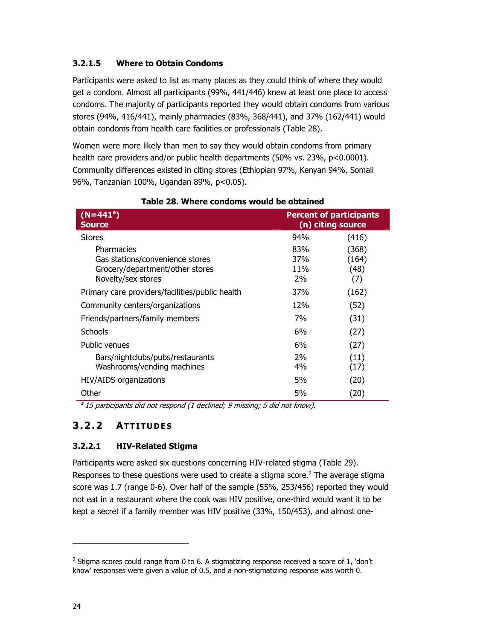### **3.2.1.5 Where to Obtain Condoms**

Participants were asked to list as many places as they could think of where they would get a condom. Almost all participants (99%, 441/446) knew at least one place to access condoms. The majority of participants reported they would obtain condoms from various stores (94%, 416/441), mainly pharmacies (83%, 368/441), and 37% (162/441) would obtain condoms from health care facilities or professionals (Table 28).

Women were more likely than men to say they would obtain condoms from primary health care providers and/or public health departments (50% vs. 23%, p<0.0001). Community differences existed in citing stores (Ethiopian 97%, Kenyan 94%, Somali 96%, Tanzanian 100%, Ugandan 89%, p<0.05).

| $(N=441^a)$<br><b>Source</b>                                                                           |                         | <b>Percent of participants</b><br>(n) citing source |
|--------------------------------------------------------------------------------------------------------|-------------------------|-----------------------------------------------------|
| <b>Stores</b>                                                                                          | 94%                     | (416)                                               |
| Pharmacies<br>Gas stations/convenience stores<br>Grocery/department/other stores<br>Novelty/sex stores | 83%<br>37%<br>11%<br>2% | (368)<br>(164)<br>(48)<br>(7)                       |
| Primary care providers/facilities/public health                                                        | 37%                     | (162)                                               |
| Community centers/organizations                                                                        | 12%                     | (52)                                                |
| Friends/partners/family members                                                                        | 7%                      | (31)                                                |
| <b>Schools</b>                                                                                         | 6%                      | (27)                                                |
| Public venues                                                                                          | 6%                      | (27)                                                |
| Bars/nightclubs/pubs/restaurants<br>Washrooms/vending machines                                         | 2%<br>4%                | (11)<br>(17)                                        |
| HIV/AIDS organizations                                                                                 | 5%                      | (20)                                                |
| Other                                                                                                  | 5%                      | (20)                                                |

#### **Table 28. Where condoms would be obtained**

 $a<sup>3</sup>$  15 participants did not respond (1 declined; 9 missing; 5 did not know).

### **3.2.2 ATTITUDES**

### **3.2.2.1 HIV-Related Stigma**

Participants were asked six questions concerning HIV-related stigma (Table 29). Responses to these questions were used to create a stigma score.<sup>9</sup> The average stigma score was 1.7 (range 0-6). Over half of the sample (55%, 253/456) reported they would not eat in a restaurant where the cook was HIV positive, one-third would want it to be kept a secret if a family member was HIV positive (33%, 150/453), and almost one-

-

 $9$  Stigma scores could range from 0 to 6. A stigmatizing response received a score of 1, 'don't know' responses were given a value of 0.5, and a non-stigmatizing response was worth 0.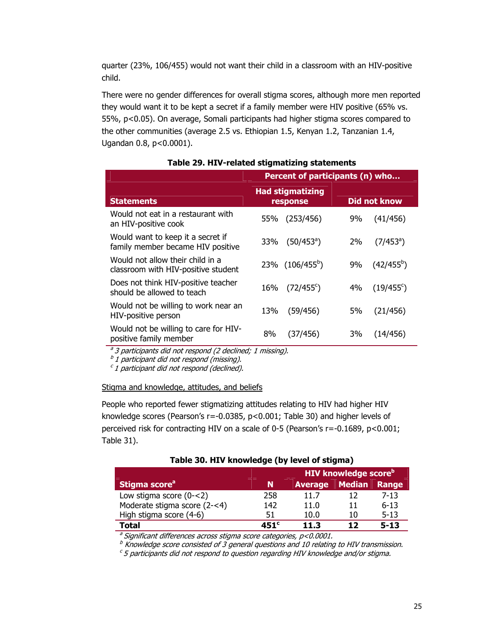quarter (23%, 106/455) would not want their child in a classroom with an HIV-positive child.

There were no gender differences for overall stigma scores, although more men reported they would want it to be kept a secret if a family member were HIV positive (65% vs. 55%, p<0.05). On average, Somali participants had higher stigma scores compared to the other communities (average 2.5 vs. Ethiopian 1.5, Kenyan 1.2, Tanzanian 1.4, Ugandan 0.8, p<0.0001).

|                                                                         | Percent of participants (n) who                     |                          |  |  |
|-------------------------------------------------------------------------|-----------------------------------------------------|--------------------------|--|--|
| <b>Statements</b>                                                       | <b>Had stigmatizing</b><br>Did not know<br>response |                          |  |  |
| Would not eat in a restaurant with                                      | (253/456)                                           | (41/456)                 |  |  |
| an HIV-positive cook                                                    | 55%                                                 | 9%                       |  |  |
| Would want to keep it a secret if                                       | $(50/453)$ <sup>a</sup> )                           | $(7/453)$ <sup>a</sup> ) |  |  |
| family member became HIV positive                                       | 33%                                                 | 2%                       |  |  |
| Would not allow their child in a<br>classroom with HIV-positive student | 23% (106/455 <sup>b</sup> )                         | $(42/455^{b})$<br>9%     |  |  |
| Does not think HIV-positive teacher                                     | $(72/455^{\circ})$                                  | $(19/455^{\circ})$       |  |  |
| should be allowed to teach                                              | 16%                                                 | 4%                       |  |  |
| Would not be willing to work near an                                    | 13%                                                 | 5%                       |  |  |
| HIV-positive person                                                     | (59/456)                                            | (21/456)                 |  |  |
| Would not be willing to care for HIV-                                   | 8%                                                  | 3%                       |  |  |
| positive family member                                                  | (37/456)                                            | (14/456)                 |  |  |

#### **Table 29. HIV-related stigmatizing statements**

<sup>a</sup> 3 participants did not respond (2 declined; 1 missing).

 $b$  1 participant did not respond (missing).

 $c<sub>1</sub>$  participant did not respond (declined).

#### Stigma and knowledge, attitudes, and beliefs

People who reported fewer stigmatizing attitudes relating to HIV had higher HIV knowledge scores (Pearson's r=-0.0385, p<0.001; Table 30) and higher levels of perceived risk for contracting HIV on a scale of 0-5 (Pearson's r=-0.1689, p<0.001; Table 31).

|                              |      | <b>HIV knowledge score</b> <sup>b</sup> |        |          |
|------------------------------|------|-----------------------------------------|--------|----------|
| Stigma score <sup>a</sup>    | N    | <b>Average</b>                          | Median | Range    |
| Low stigma score $(0 - < 2)$ | 258  | 11.7                                    |        | $7 - 13$ |
| Moderate stigma score (2-<4) | 142  | 11.0                                    | 11     | $6 - 13$ |
| High stigma score (4-6)      | 51   | 10.0                                    | 10     | $5 - 13$ |
| Total                        | 451° | 11.3                                    | 17     | $5 - 13$ |

### **Table 30. HIV knowledge (by level of stigma)**

 $a$  Significant differences across stigma score categories,  $p$ <0.0001.

 $<sup>b</sup>$  Knowledge score consisted of 3 general questions and 10 relating to HIV transmission.</sup>

 $c$  5 participants did not respond to question regarding HIV knowledge and/or stigma.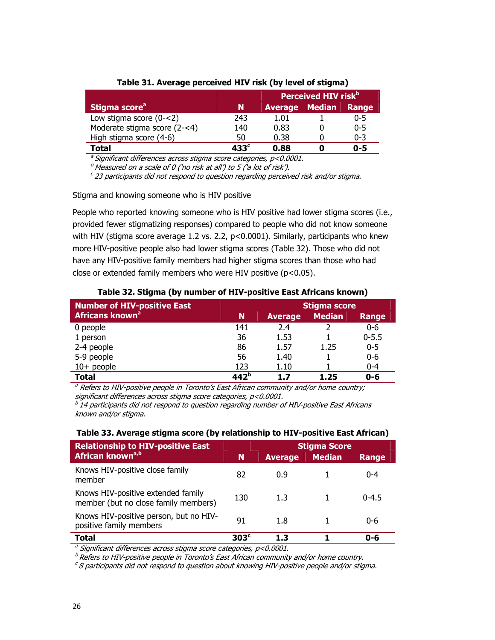|                              |                  | Perceived HIV risk <sup>b1</sup> |  |         |
|------------------------------|------------------|----------------------------------|--|---------|
| Stigma score <sup>a</sup>    |                  | <b>Average</b> Median            |  | Range   |
| Low stigma score $(0 - < 2)$ | 243              | 1.01                             |  | 0-5     |
| Moderate stigma score (2-<4) | 140              | 0.83                             |  | $0 - 5$ |
| High stigma score (4-6)      | 50               | 0.38                             |  | 0-3     |
| Total                        | 433 <sup>c</sup> | 0.88                             |  | 0-5     |

#### **Table 31. Average perceived HIV risk (by level of stigma)**

 $a$  Significant differences across stigma score categories,  $p$ <0.0001.

 $^b$  Measured on a scale of 0 ('no risk at all') to 5 ('a lot of risk').

 $c$  23 participants did not respond to question regarding perceived risk and/or stigma.

#### Stigma and knowing someone who is HIV positive

People who reported knowing someone who is HIV positive had lower stigma scores (i.e., provided fewer stigmatizing responses) compared to people who did not know someone with HIV (stigma score average 1.2 vs. 2.2, p<0.0001). Similarly, participants who knew more HIV-positive people also had lower stigma scores (Table 32). Those who did not have any HIV-positive family members had higher stigma scores than those who had close or extended family members who were HIV positive (p<0.05).

| <b>Number of HIV-positive East</b> |                  |                | <b>Stigma score</b> |           |
|------------------------------------|------------------|----------------|---------------------|-----------|
| Africans known <sup>a</sup>        | 'N               | <b>Average</b> | <b>Median</b>       | Range     |
| 0 people                           | 141              | 2.4            |                     | $0 - 6$   |
| 1 person                           | 36               | 1.53           |                     | $0 - 5.5$ |
| 2-4 people                         | 86               | 1.57           | 1.25                | $0 - 5$   |
| 5-9 people                         | 56               | 1.40           |                     | $0 - 6$   |
| $10+$ people                       | 123              | 1.10           |                     | $0 - 4$   |
| <b>Total</b>                       | 142 <sup>b</sup> | 17             | 1.25                | $0 - 6$   |

#### **Table 32. Stigma (by number of HIV-positive East Africans known)**

<sup>a</sup> Refers to HIV-positive people in Toronto's East African community and/or home country; significant differences across stigma score categories, p<0.0001.

 $b<sup>b</sup>$  14 participants did not respond to question regarding number of HIV-positive East Africans known and/or stigma.

#### **Table 33. Average stigma score (by relationship to HIV-positive East African)**

| <b>Relationship to HIV-positive East</b>                                   | <b>Stigma Score</b> |                |               |              |
|----------------------------------------------------------------------------|---------------------|----------------|---------------|--------------|
| African known <sup>a,b</sup>                                               | N                   | <b>Average</b> | <b>Median</b> | <b>Range</b> |
| Knows HIV-positive close family<br>member                                  | 82                  | 0.9            |               | $0 - 4$      |
| Knows HIV-positive extended family<br>member (but no close family members) | 130                 | 1.3            |               | $0 - 4.5$    |
| Knows HIV-positive person, but no HIV-<br>positive family members          | 91                  | 1.8            |               | $0 - 6$      |
| <b>Total</b>                                                               | 303 <sup>c</sup>    | 1.3            |               | 0-6          |

<sup>a</sup> Significant differences across stigma score categories, p<0.0001.

 $<sup>b</sup>$  Refers to HIV-positive people in Toronto's East African community and/or home country.</sup>

 $c$  8 participants did not respond to question about knowing HIV-positive people and/or stigma.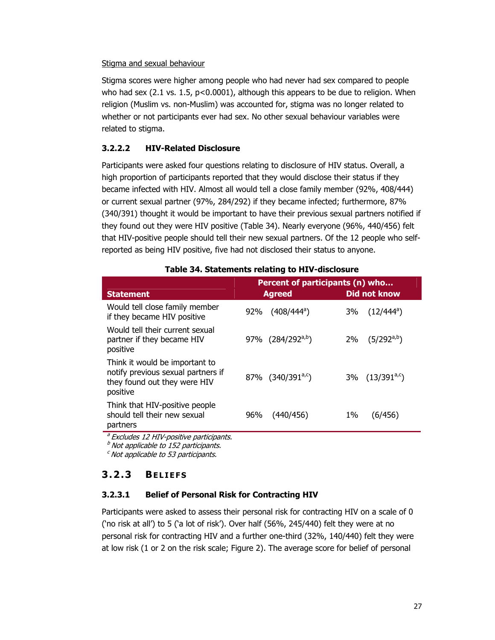#### Stigma and sexual behaviour

Stigma scores were higher among people who had never had sex compared to people who had sex (2.1 vs. 1.5, p<0.0001), although this appears to be due to religion. When religion (Muslim vs. non-Muslim) was accounted for, stigma was no longer related to whether or not participants ever had sex. No other sexual behaviour variables were related to stigma.

### **3.2.2.2 HIV-Related Disclosure**

Participants were asked four questions relating to disclosure of HIV status. Overall, a high proportion of participants reported that they would disclose their status if they became infected with HIV. Almost all would tell a close family member (92%, 408/444) or current sexual partner (97%, 284/292) if they became infected; furthermore, 87% (340/391) thought it would be important to have their previous sexual partners notified if they found out they were HIV positive (Table 34). Nearly everyone (96%, 440/456) felt that HIV-positive people should tell their new sexual partners. Of the 12 people who selfreported as being HIV positive, five had not disclosed their status to anyone.

|                                                                                                                  | Percent of participants (n) who |                                |  |  |
|------------------------------------------------------------------------------------------------------------------|---------------------------------|--------------------------------|--|--|
| <b>Statement</b>                                                                                                 | <b>Agreed</b>                   | Did not know                   |  |  |
| Would tell close family member<br>if they became HIV positive                                                    | $(408/444^a)$<br>92%            | $(12/444^a)$<br>3%             |  |  |
| Would tell their current sexual<br>partner if they became HIV<br>positive                                        | 97% (284/292 <sup>a,b</sup> )   | $(5/292^{a,b})$<br>2%          |  |  |
| Think it would be important to<br>notify previous sexual partners if<br>they found out they were HIV<br>positive | 87% (340/391 <sup>a,c</sup> )   | $3\%$ (13/391 <sup>a,c</sup> ) |  |  |
| Think that HIV-positive people<br>should tell their new sexual<br>partners                                       | 96%<br>(440/456)                | 1%<br>(6/456)                  |  |  |

#### **Table 34. Statements relating to HIV-disclosure**

<sup>a</sup> Excludes 12 HIV-positive participants.

 $<sup>b</sup>$  Not applicable to 152 participants.</sup>

 $c$  Not applicable to 53 participants.

## **3.2.3 BELIEFS**

### **3.2.3.1 Belief of Personal Risk for Contracting HIV**

Participants were asked to assess their personal risk for contracting HIV on a scale of 0 ('no risk at all') to 5 ('a lot of risk'). Over half (56%, 245/440) felt they were at no personal risk for contracting HIV and a further one-third (32%, 140/440) felt they were at low risk (1 or 2 on the risk scale; Figure 2). The average score for belief of personal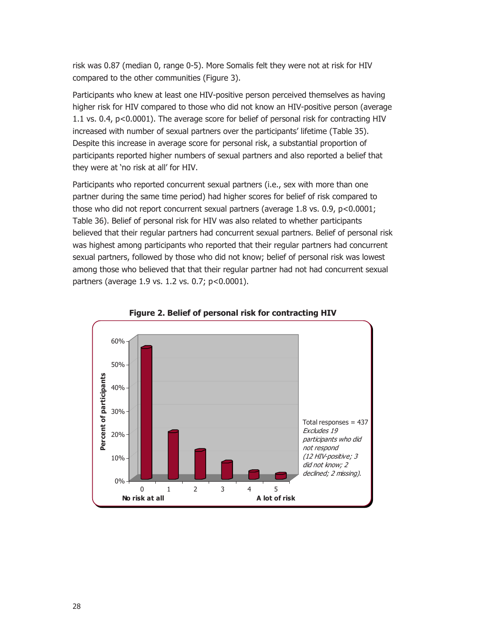risk was 0.87 (median 0, range 0-5). More Somalis felt they were not at risk for HIV compared to the other communities (Figure 3).

Participants who knew at least one HIV-positive person perceived themselves as having higher risk for HIV compared to those who did not know an HIV-positive person (average 1.1 vs. 0.4, p<0.0001). The average score for belief of personal risk for contracting HIV increased with number of sexual partners over the participants' lifetime (Table 35). Despite this increase in average score for personal risk, a substantial proportion of participants reported higher numbers of sexual partners and also reported a belief that they were at 'no risk at all' for HIV.

Participants who reported concurrent sexual partners (i.e., sex with more than one partner during the same time period) had higher scores for belief of risk compared to those who did not report concurrent sexual partners (average 1.8 vs. 0.9, p<0.0001; Table 36). Belief of personal risk for HIV was also related to whether participants believed that their regular partners had concurrent sexual partners. Belief of personal risk was highest among participants who reported that their regular partners had concurrent sexual partners, followed by those who did not know; belief of personal risk was lowest among those who believed that that their regular partner had not had concurrent sexual partners (average 1.9 vs. 1.2 vs. 0.7; p<0.0001).



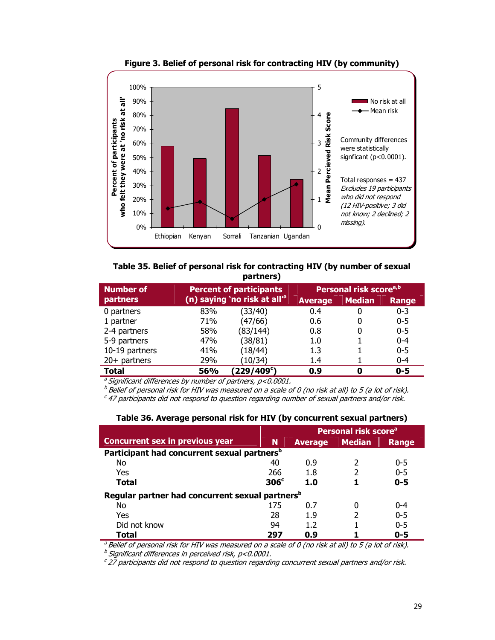

**Figure 3. Belief of personal risk for contracting HIV (by community)** 

**Table 35. Belief of personal risk for contracting HIV (by number of sexual partners)** 

| <b>Number of</b> |     | <b>Percent of participants</b>            |                | Personal risk score <sup>a,b</sup> |         |
|------------------|-----|-------------------------------------------|----------------|------------------------------------|---------|
| partners         |     | (n) saying 'no risk at all' <sup>a'</sup> | <b>Average</b> | <b>Median</b>                      | Range   |
| 0 partners       | 83% | (33/40)                                   | 0.4            | 0                                  | $0 - 3$ |
| 1 partner        | 71% | (47/66)                                   | 0.6            |                                    | $0 - 5$ |
| 2-4 partners     | 58% | (83/144)                                  | 0.8            |                                    | $0 - 5$ |
| 5-9 partners     | 47% | (38/81)                                   | 1.0            |                                    | $0 - 4$ |
| 10-19 partners   | 41% | (18/44)                                   | 1.3            |                                    | $0 - 5$ |
| $20+$ partners   | 29% | (10/34)                                   | 1.4            |                                    | $0 - 4$ |
| <b>Total</b>     | 56% | (229/409°)                                | 0.9            | 0                                  | $0 - 5$ |

<sup>a</sup> Significant differences by number of partners,  $p < 0.0001$ .

 $^b$  Belief of personal risk for HIV was measured on a scale of 0 (no risk at all) to 5 (a lot of risk).

 $\epsilon$  47 participants did not respond to question regarding number of sexual partners and/or risk.

| Table 36. Average personal risk for HIV (by concurrent sexual partners) |  |  |
|-------------------------------------------------------------------------|--|--|
|                                                                         |  |  |

|                                                             |                  | Personal risk score <sup>a</sup> |               |         |
|-------------------------------------------------------------|------------------|----------------------------------|---------------|---------|
| <b>Concurrent sex in previous year</b>                      | N                | <b>Average</b>                   | <b>Median</b> | Range   |
| Participant had concurrent sexual partners <sup>b</sup>     |                  |                                  |               |         |
| No                                                          | 40               | 0.9                              |               | $0 - 5$ |
| Yes                                                         | 266              | 1.8                              |               | $0 - 5$ |
| Total                                                       | 306 <sup>c</sup> | 1.0                              |               | $0 - 5$ |
| Regular partner had concurrent sexual partners <sup>b</sup> |                  |                                  |               |         |
| No                                                          | 175              | 0.7                              |               | $0 - 4$ |
| Yes                                                         | 28               | 1.9                              |               | $0 - 5$ |
| Did not know                                                | 94               | 1.2                              |               | $0 - 5$ |
| Total                                                       | 297              | 0.9                              |               | $0 - 5$ |

 $a^3$  Belief of personal risk for HIV was measured on a scale of 0 (no risk at all) to 5 (a lot of risk).

 $<sup>b</sup>$  Significant differences in perceived risk, p<0.0001.</sup>

 $c$  27 participants did not respond to question regarding concurrent sexual partners and/or risk.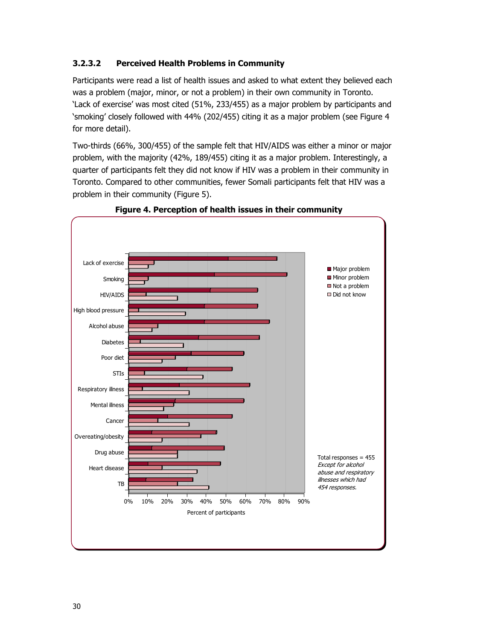### **3.2.3.2 Perceived Health Problems in Community**

Participants were read a list of health issues and asked to what extent they believed each was a problem (major, minor, or not a problem) in their own community in Toronto. 'Lack of exercise' was most cited (51%, 233/455) as a major problem by participants and 'smoking' closely followed with 44% (202/455) citing it as a major problem (see Figure 4 for more detail).

Two-thirds (66%, 300/455) of the sample felt that HIV/AIDS was either a minor or major problem, with the majority (42%, 189/455) citing it as a major problem. Interestingly, a quarter of participants felt they did not know if HIV was a problem in their community in Toronto. Compared to other communities, fewer Somali participants felt that HIV was a problem in their community (Figure 5).



**Figure 4. Perception of health issues in their community**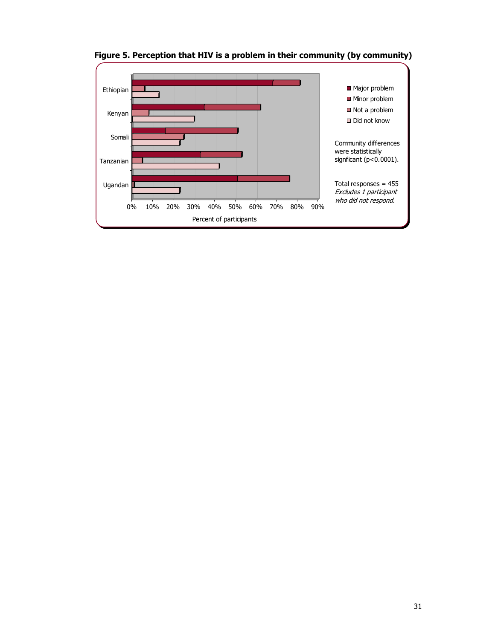

**Figure 5. Perception that HIV is a problem in their community (by community)**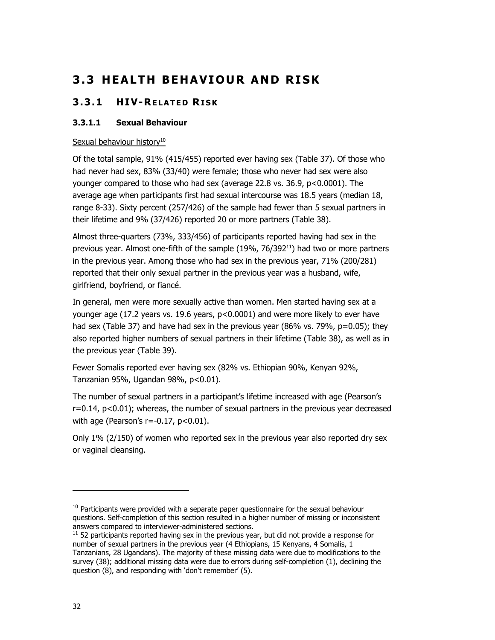# **3.3 HEALTH BEHAVIOUR AND RISK**

## **3.3.1 HIV-RELATED RISK**

### **3.3.1.1 Sexual Behaviour**

### Sexual behaviour history $10$

Of the total sample, 91% (415/455) reported ever having sex (Table 37). Of those who had never had sex, 83% (33/40) were female; those who never had sex were also younger compared to those who had sex (average 22.8 vs. 36.9, p<0.0001). The average age when participants first had sexual intercourse was 18.5 years (median 18, range 8-33). Sixty percent (257/426) of the sample had fewer than 5 sexual partners in their lifetime and 9% (37/426) reported 20 or more partners (Table 38).

Almost three-quarters (73%, 333/456) of participants reported having had sex in the previous year. Almost one-fifth of the sample  $(19\%, 76/392^{11})$  had two or more partners in the previous year. Among those who had sex in the previous year, 71% (200/281) reported that their only sexual partner in the previous year was a husband, wife, girlfriend, boyfriend, or fiancé.

In general, men were more sexually active than women. Men started having sex at a younger age (17.2 years vs. 19.6 years, p<0.0001) and were more likely to ever have had sex (Table 37) and have had sex in the previous year (86% vs. 79%, p=0.05); they also reported higher numbers of sexual partners in their lifetime (Table 38), as well as in the previous year (Table 39).

Fewer Somalis reported ever having sex (82% vs. Ethiopian 90%, Kenyan 92%, Tanzanian 95%, Ugandan 98%, p<0.01).

The number of sexual partners in a participant's lifetime increased with age (Pearson's r=0.14, p<0.01); whereas, the number of sexual partners in the previous year decreased with age (Pearson's  $r=-0.17$ ,  $p<0.01$ ).

Only 1% (2/150) of women who reported sex in the previous year also reported dry sex or vaginal cleansing.

-

 $10$  Participants were provided with a separate paper questionnaire for the sexual behaviour questions. Self-completion of this section resulted in a higher number of missing or inconsistent answers compared to interviewer-administered sections.<br> $11$  52 participants reported having sex in the previous year, but did not provide a response for

number of sexual partners in the previous year (4 Ethiopians, 15 Kenyans, 4 Somalis, 1 Tanzanians, 28 Ugandans). The majority of these missing data were due to modifications to the survey (38); additional missing data were due to errors during self-completion (1), declining the question (8), and responding with 'don't remember' (5).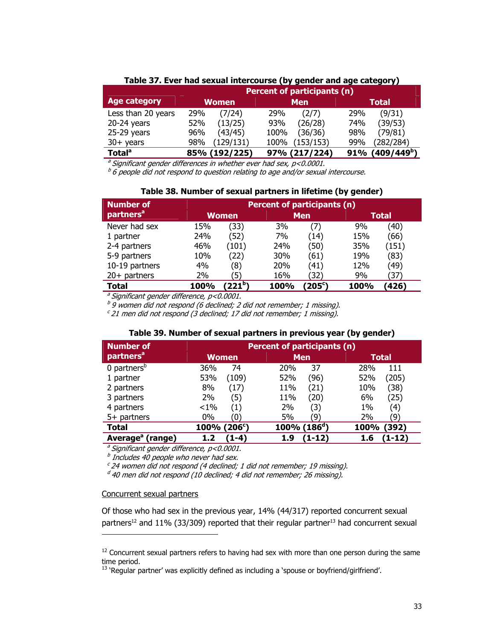| -------             |               |                             |                                |  |  |  |
|---------------------|---------------|-----------------------------|--------------------------------|--|--|--|
|                     |               | Percent of participants (n) |                                |  |  |  |
| <b>Age category</b> | <b>Women</b>  | <b>Men</b>                  | <b>Total</b>                   |  |  |  |
| Less than 20 years  | (7/24)        | (2/7)                       | (9/31)                         |  |  |  |
|                     | 29%           | 29%                         | 29%                            |  |  |  |
| $20-24$ years       | (13/25)       | (26/28)                     | (39/53)                        |  |  |  |
|                     | 52%           | 93%                         | 74%                            |  |  |  |
| $25-29$ years       | (43/45)       | (36/36)                     | (79/81)                        |  |  |  |
|                     | 96%           | 100%                        | 98%                            |  |  |  |
| $30+$ years         | (129/131)     | (153/153)                   | (282/284)                      |  |  |  |
|                     | 98%           | 100%                        | 99%                            |  |  |  |
| Total <sup>a</sup>  | 85% (192/225) | (217/224)<br>97%            | (409/449 <sup>b</sup> )<br>91% |  |  |  |

#### **Table 37. Ever had sexual intercourse (by gender and age category)**

<sup>a</sup> Significant gender differences in whether ever had sex,  $p$ <0.0001.

 $b$  6 people did not respond to question relating to age and/or sexual intercourse.

#### **Table 38. Number of sexual partners in lifetime (by gender)**

| <b>Number of</b>      |             | Percent of participants (n) |      |            |      |                    |  |
|-----------------------|-------------|-----------------------------|------|------------|------|--------------------|--|
| partners <sup>a</sup> |             | Women                       |      | <b>Men</b> |      | <b>Total</b>       |  |
| Never had sex         | 15%         | (33)                        | 3%   | (7)        | 9%   | $\left( 40\right)$ |  |
| 1 partner             | 24%         | (52)                        | 7%   | (14)       | 15%  | (66)               |  |
| 2-4 partners          | 46%         | (101)                       | 24%  | (50)       | 35%  | (151)              |  |
| 5-9 partners          | 10%         | (22)                        | 30%  | (61)       | 19%  | (83)               |  |
| 10-19 partners        | 4%          | '8)                         | 20%  | (41)       | 12%  | (49)               |  |
| $20+$ partners        | 2%          | 5)                          | 16%  | (32)       | 9%   | (37                |  |
| Total                 | <b>100%</b> | $221^{\circ}$               | 100% | (205°)     | 100% | (426)              |  |

 $a<sup>a</sup>$  Significant gender difference, p<0.0001.

 $b$  9 women did not respond (6 declined; 2 did not remember; 1 missing).

 $c$  21 men did not respond (3 declined; 17 did not remember; 1 missing).

#### **Table 39. Number of sexual partners in previous year (by gender)**

| <b>Number of</b>             | Percent of participants (n) |                             |               |  |
|------------------------------|-----------------------------|-----------------------------|---------------|--|
| partners <sup>a</sup>        | Women                       | <b>Men</b>                  | <b>Total</b>  |  |
| $0$ partners <sup>b</sup>    | 36%                         | 37                          | 28%           |  |
|                              | 74                          | 20%                         | 111           |  |
| 1 partner                    | 53%                         | 52%                         | (205)         |  |
|                              | (109)                       | (96)                        | 52%           |  |
| 2 partners                   | 8%                          | 11%                         | 10%           |  |
|                              | (17)                        | (21)                        | (38)          |  |
| 3 partners                   | (5)                         | 11%                         | 6%            |  |
|                              | 2%                          | (20)                        | (25)          |  |
| 4 partners                   | $< 1\%$                     | 2%                          | $1\%$         |  |
|                              | (1)                         | (3)                         | (4)           |  |
| $5+$ partners                | $0\%$                       | 5%                          | 2%            |  |
|                              | 0                           | '9)                         | '9`           |  |
| <b>Total</b>                 | 100% (206 <sup>c</sup> )    | $100\%$ (186 <sup>d</sup> ) | 100%<br>(392) |  |
| Average <sup>a</sup> (range) | $(1-4)$                     | (1-12                       | (1-12)        |  |
|                              | 1.2                         | 1.9                         | 1.6           |  |

 $a<sup>a</sup>$  Significant gender difference, p<0.0001.

 $<sup>b</sup>$  Includes 40 people who never had sex.</sup>

 $c$  24 women did not respond (4 declined; 1 did not remember; 19 missing).

 $d$  40 men did not respond (10 declined; 4 did not remember; 26 missing).

#### Concurrent sexual partners

-

Of those who had sex in the previous year, 14% (44/317) reported concurrent sexual partners<sup>12</sup> and 11% (33/309) reported that their regular partner<sup>13</sup> had concurrent sexual

 $12$  Concurrent sexual partners refers to having had sex with more than one person during the same time period.

<sup>&</sup>lt;sup>13</sup> 'Regular partner' was explicitly defined as including a 'spouse or boyfriend/girlfriend'.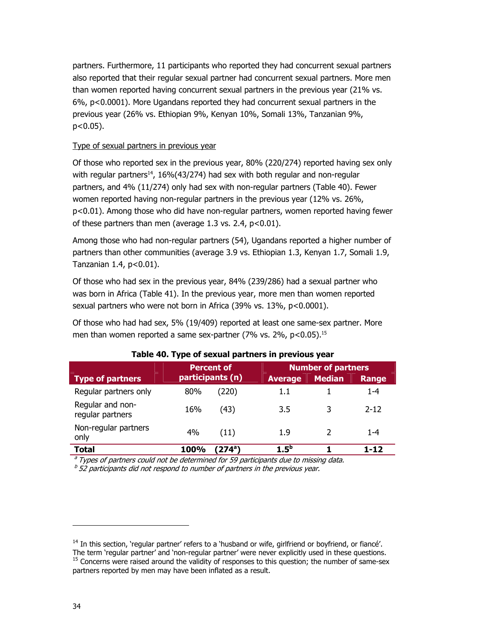partners. Furthermore, 11 participants who reported they had concurrent sexual partners also reported that their regular sexual partner had concurrent sexual partners. More men than women reported having concurrent sexual partners in the previous year (21% vs. 6%, p<0.0001). More Ugandans reported they had concurrent sexual partners in the previous year (26% vs. Ethiopian 9%, Kenyan 10%, Somali 13%, Tanzanian 9%, p<0.05).

### Type of sexual partners in previous year

Of those who reported sex in the previous year, 80% (220/274) reported having sex only with regular partners<sup>14</sup>, 16%(43/274) had sex with both regular and non-regular partners, and 4% (11/274) only had sex with non-regular partners (Table 40). Fewer women reported having non-regular partners in the previous year (12% vs. 26%, p<0.01). Among those who did have non-regular partners, women reported having fewer of these partners than men (average 1.3 vs. 2.4, p<0.01).

Among those who had non-regular partners (54), Ugandans reported a higher number of partners than other communities (average 3.9 vs. Ethiopian 1.3, Kenyan 1.7, Somali 1.9, Tanzanian  $1.4$ ,  $p<0.01$ ).

Of those who had sex in the previous year, 84% (239/286) had a sexual partner who was born in Africa (Table 41). In the previous year, more men than women reported sexual partners who were not born in Africa (39% vs. 13%, p<0.0001).

Of those who had had sex, 5% (19/409) reported at least one same-sex partner. More men than women reported a same sex-partner (7% vs. 2%, p<0.05).<sup>15</sup>

|                                      | <b>Percent of</b> |                  | <b>Number of partners</b> |               |          |
|--------------------------------------|-------------------|------------------|---------------------------|---------------|----------|
| Type of partners                     |                   | participants (n) | <b>Average</b>            | <b>Median</b> | Range    |
| Regular partners only                | 80%               | (220)            | 1.1                       |               | 1-4      |
| Regular and non-<br>regular partners | 16%               | (43)             | 3.5                       | 3             | $2 - 12$ |
| Non-regular partners<br>only         | 4%                | (11)             | 1.9                       |               | $1 - 4$  |
| <b>Total</b>                         | <b>100%</b>       | $(274^{\circ})$  | $1.5^{b}$                 |               | 1-12     |

#### **Table 40. Type of sexual partners in previous year**

 $a<sup>3</sup>$  Types of partners could not be determined for 59 participants due to missing data.

 $<sup>b</sup>$  52 participants did not respond to number of partners in the previous year.</sup>

-

 $14$  In this section, 'regular partner' refers to a 'husband or wife, girlfriend or boyfriend, or fiancé'. The term 'regular partner' and 'non-regular partner' were never explicitly used in these questions.  $<sup>15</sup>$  Concerns were raised around the validity of responses to this question; the number of same-sex</sup> partners reported by men may have been inflated as a result.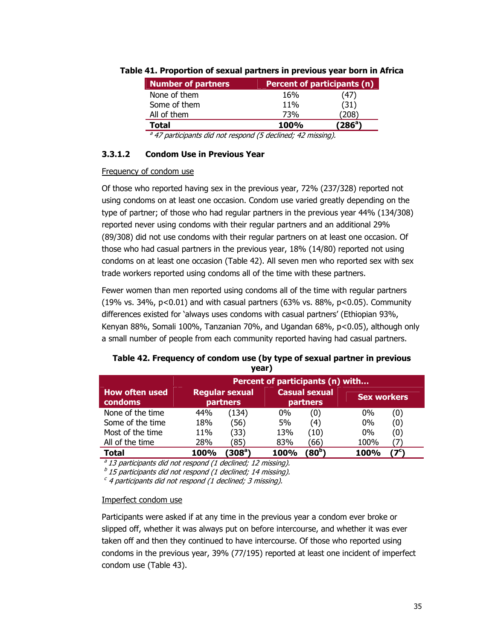| <b>Number of partners</b>          |                                                                                                | <b>Percent of participants (n)</b> |
|------------------------------------|------------------------------------------------------------------------------------------------|------------------------------------|
| None of them                       | 16%                                                                                            | 47)                                |
| Some of them                       | 11%                                                                                            | (31)                               |
| All of them                        | 73%                                                                                            | 208                                |
| <b>Total</b>                       | <b>100%</b>                                                                                    | (286ª)                             |
| $\overline{a}$ $\overline{a}$<br>. | $\epsilon$<br>$\overline{\phantom{a}}$<br>$\overline{\phantom{a}}$<br>$\overline{\phantom{a}}$ |                                    |

#### **Table 41. Proportion of sexual partners in previous year born in Africa**

<sup>a</sup> 47 participants did not respond (5 declined; 42 missing).

#### **3.3.1.2 Condom Use in Previous Year**

#### Frequency of condom use

Of those who reported having sex in the previous year, 72% (237/328) reported not using condoms on at least one occasion. Condom use varied greatly depending on the type of partner; of those who had regular partners in the previous year 44% (134/308) reported never using condoms with their regular partners and an additional 29% (89/308) did not use condoms with their regular partners on at least one occasion. Of those who had casual partners in the previous year, 18% (14/80) reported not using condoms on at least one occasion (Table 42). All seven men who reported sex with sex trade workers reported using condoms all of the time with these partners.

Fewer women than men reported using condoms all of the time with regular partners (19% vs. 34%, p<0.01) and with casual partners (63% vs. 88%, p<0.05). Community differences existed for 'always uses condoms with casual partners' (Ethiopian 93%, Kenyan 88%, Somali 100%, Tanzanian 70%, and Ugandan 68%, p<0.05), although only a small number of people from each community reported having had casual partners.

| ,                                |                                  |                                          |       |                                  |                    |     |
|----------------------------------|----------------------------------|------------------------------------------|-------|----------------------------------|--------------------|-----|
|                                  | Percent of participants (n) with |                                          |       |                                  |                    |     |
| <b>How often used</b><br>condoms |                                  | <b>Regular sexual</b><br><b>partners</b> |       | <b>Casual sexual</b><br>partners | <b>Sex workers</b> |     |
| None of the time                 | 44%                              | (134)                                    | $0\%$ | (0)                              | $0\%$              | (0) |
| Some of the time                 | 18%                              | (56)                                     | 5%    | (4)                              | $0\%$              | (0) |
| Most of the time                 | 11%                              | (33)                                     | 13%   | (10)                             | $0\%$              | (0) |
| All of the time                  | 28%                              | (85)                                     | 83%   | (66)                             | 100%               |     |
| Total                            | 100%                             | $(308^a)$                                | 100%  | $(\mathbf{80^b})$                | 100%               |     |

#### **Table 42. Frequency of condom use (by type of sexual partner in previous year)**

 $a$  13 participants did not respond (1 declined; 12 missing).

 $b$  15 participants did not respond (1 declined; 14 missing).

 $c$  4 participants did not respond (1 declined; 3 missing).

#### Imperfect condom use

Participants were asked if at any time in the previous year a condom ever broke or slipped off, whether it was always put on before intercourse, and whether it was ever taken off and then they continued to have intercourse. Of those who reported using condoms in the previous year, 39% (77/195) reported at least one incident of imperfect condom use (Table 43).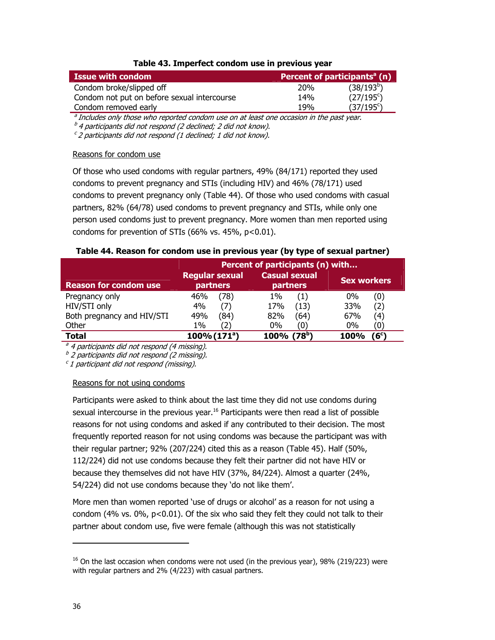#### **Table 43. Imperfect condom use in previous year**

| <b>Issue with condom</b>                    | Percent of participants <sup>a</sup> (n) |                        |
|---------------------------------------------|------------------------------------------|------------------------|
| Condom broke/slipped off                    | 20%                                      | (38/193 <sup>b</sup> ) |
| Condom not put on before sexual intercourse | 14%                                      | $(27/195^{\circ})$     |
| Condom removed early                        | 19%                                      | $(37/195^{\circ})$     |

 $\partial$  Includes only those who reported condom use on at least one occasion in the past year.

 $b<sup>b</sup>$  4 participants did not respond (2 declined; 2 did not know).

 $c^c$  2 participants did not respond (1 declined; 1 did not know).

#### Reasons for condom use

Of those who used condoms with regular partners, 49% (84/171) reported they used condoms to prevent pregnancy and STIs (including HIV) and 46% (78/171) used condoms to prevent pregnancy only (Table 44). Of those who used condoms with casual partners, 82% (64/78) used condoms to prevent pregnancy and STIs, while only one person used condoms just to prevent pregnancy. More women than men reported using condoms for prevention of STIs (66% vs. 45%, p<0.01).

#### **Table 44. Reason for condom use in previous year (by type of sexual partner)**

|                              | Percent of participants (n) with         |                                  |                            |  |
|------------------------------|------------------------------------------|----------------------------------|----------------------------|--|
| <b>Reason for condom use</b> | <b>Regular sexual</b><br><b>partners</b> | <b>Casual sexual</b><br>partners | Sex workers                |  |
| Pregnancy only               | 78)<br>46%                               | (1)<br>$1\%$                     | $0\%$<br>$\left( 0\right)$ |  |
| HIV/STI only                 | 4%                                       | (13)<br>17%                      | 33%<br>(2)                 |  |
| Both pregnancy and HIV/STI   | 49%<br>(84)                              | (64)<br>82%                      | 67%<br>(4)                 |  |
| Other                        | 1%<br>'2)                                | $0\%$<br>(0)                     | $0\%$<br>Ő                 |  |
| <b>Total</b>                 | $100\% (171a)$                           | (78 <sup>b</sup> )<br>100%       | $6^{\circ}$<br><b>100%</b> |  |

 $a<sup>a</sup>$  4 participants did not respond (4 missing).

 $b$  2 participants did not respond (2 missing).

 $c$  1 participant did not respond (missing).

#### Reasons for not using condoms

Participants were asked to think about the last time they did not use condoms during sexual intercourse in the previous year.<sup>16</sup> Participants were then read a list of possible reasons for not using condoms and asked if any contributed to their decision. The most frequently reported reason for not using condoms was because the participant was with their regular partner; 92% (207/224) cited this as a reason (Table 45). Half (50%, 112/224) did not use condoms because they felt their partner did not have HIV or because they themselves did not have HIV (37%, 84/224). Almost a quarter (24%, 54/224) did not use condoms because they 'do not like them'.

More men than women reported 'use of drugs or alcohol' as a reason for not using a condom (4% vs.  $0\%$ ,  $p<0.01$ ). Of the six who said they felt they could not talk to their partner about condom use, five were female (although this was not statistically

-

 $16$  On the last occasion when condoms were not used (in the previous year), 98% (219/223) were with regular partners and 2% (4/223) with casual partners.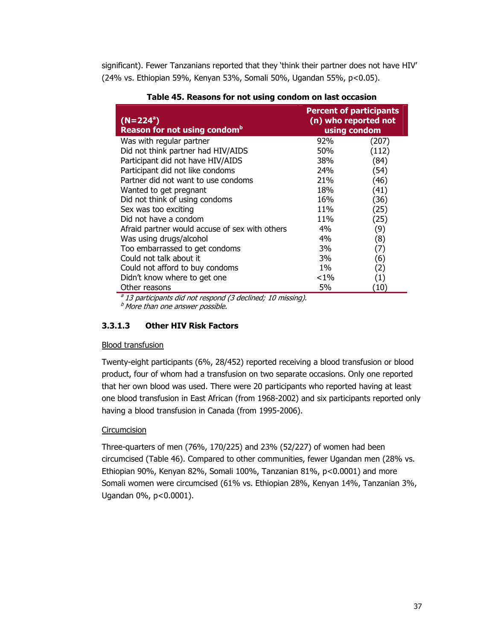significant). Fewer Tanzanians reported that they 'think their partner does not have HIV' (24% vs. Ethiopian 59%, Kenyan 53%, Somali 50%, Ugandan 55%, p<0.05).

| $(N=224^a)$<br>Reason for not using condom <sup>b</sup> | <b>Percent of participants</b><br>(n) who reported not<br>using condom |                   |
|---------------------------------------------------------|------------------------------------------------------------------------|-------------------|
| Was with regular partner                                | 92%                                                                    | (207)             |
| Did not think partner had HIV/AIDS                      | 50%                                                                    | (112)             |
| Participant did not have HIV/AIDS                       | 38%                                                                    | (84)              |
| Participant did not like condoms                        | 24%                                                                    | (54)              |
| Partner did not want to use condoms                     | 21%                                                                    | (46)              |
| Wanted to get pregnant                                  | 18%                                                                    | (41)              |
| Did not think of using condoms                          | 16%                                                                    | (36)              |
| Sex was too exciting                                    | 11%                                                                    | (25)              |
| Did not have a condom                                   | 11 <sub>%</sub>                                                        | (25)              |
| Afraid partner would accuse of sex with others          | $4\%$                                                                  | (9)               |
| Was using drugs/alcohol                                 | $4\%$                                                                  | (8)               |
| Too embarrassed to get condoms                          | 3%                                                                     | (7)               |
| Could not talk about it                                 | 3%                                                                     | (6)               |
| Could not afford to buy condoms                         | $1\%$                                                                  | (2)               |
| Didn't know where to get one                            | ${<}1\%$                                                               | $\left( 1\right)$ |
| Other reasons                                           | 5%                                                                     | (10)              |

**Table 45. Reasons for not using condom on last occasion** 

 $a<sup>a</sup>$  13 participants did not respond (3 declined; 10 missing).

 $<sup>b</sup>$  More than one answer possible.</sup>

#### **3.3.1.3 Other HIV Risk Factors**

#### Blood transfusion

Twenty-eight participants (6%, 28/452) reported receiving a blood transfusion or blood product, four of whom had a transfusion on two separate occasions. Only one reported that her own blood was used. There were 20 participants who reported having at least one blood transfusion in East African (from 1968-2002) and six participants reported only having a blood transfusion in Canada (from 1995-2006).

#### **Circumcision**

Three-quarters of men (76%, 170/225) and 23% (52/227) of women had been circumcised (Table 46). Compared to other communities, fewer Ugandan men (28% vs. Ethiopian 90%, Kenyan 82%, Somali 100%, Tanzanian 81%, p<0.0001) and more Somali women were circumcised (61% vs. Ethiopian 28%, Kenyan 14%, Tanzanian 3%, Ugandan 0%, p<0.0001).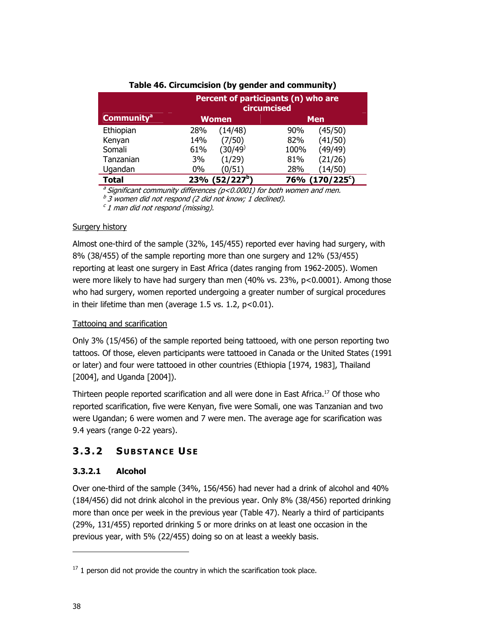|                              | Percent of participants (n) who are<br>circumcised |                      |  |  |
|------------------------------|----------------------------------------------------|----------------------|--|--|
| <b>Community<sup>a</sup></b> | <b>Women</b>                                       | <b>Men</b>           |  |  |
| Ethiopian                    | (14/48)<br>28%                                     | (45/50)<br>90%       |  |  |
| Kenyan                       | (7/50)<br>14%                                      | (41/50)<br>82%       |  |  |
| Somali                       | (30/49 <sup>)</sup><br>61%                         | (49/49)<br>100%      |  |  |
| Tanzanian                    | (1/29)<br>3%                                       | (21/26)<br>81%       |  |  |
| Ugandan                      | 0%<br>(0/51)                                       | 28%<br>(14/50)       |  |  |
| Total                        | (52/227 <sup>b</sup> )<br>23%                      | $(170/225^c)$<br>76% |  |  |

### **Table 46. Circumcision (by gender and community)**

<sup>a</sup> Significant community differences ( $p$ <0.0001) for both women and men.

 $b$  3 women did not respond (2 did not know; 1 declined).

 $c<sub>1</sub>$  man did not respond (missing).

#### **Surgery history**

Almost one-third of the sample (32%, 145/455) reported ever having had surgery, with 8% (38/455) of the sample reporting more than one surgery and 12% (53/455) reporting at least one surgery in East Africa (dates ranging from 1962-2005). Women were more likely to have had surgery than men (40% vs. 23%, p<0.0001). Among those who had surgery, women reported undergoing a greater number of surgical procedures in their lifetime than men (average  $1.5$  vs.  $1.2$ ,  $p<0.01$ ).

### Tattooing and scarification

Only 3% (15/456) of the sample reported being tattooed, with one person reporting two tattoos. Of those, eleven participants were tattooed in Canada or the United States (1991 or later) and four were tattooed in other countries (Ethiopia [1974, 1983], Thailand [2004], and Uganda [2004]).

Thirteen people reported scarification and all were done in East Africa.17 Of those who reported scarification, five were Kenyan, five were Somali, one was Tanzanian and two were Ugandan; 6 were women and 7 were men. The average age for scarification was 9.4 years (range 0-22 years).

## **3.3.2 SUBSTANCE USE**

### **3.3.2.1 Alcohol**

Over one-third of the sample (34%, 156/456) had never had a drink of alcohol and 40% (184/456) did not drink alcohol in the previous year. Only 8% (38/456) reported drinking more than once per week in the previous year (Table 47). Nearly a third of participants (29%, 131/455) reported drinking 5 or more drinks on at least one occasion in the previous year, with 5% (22/455) doing so on at least a weekly basis.

-

 $17$  1 person did not provide the country in which the scarification took place.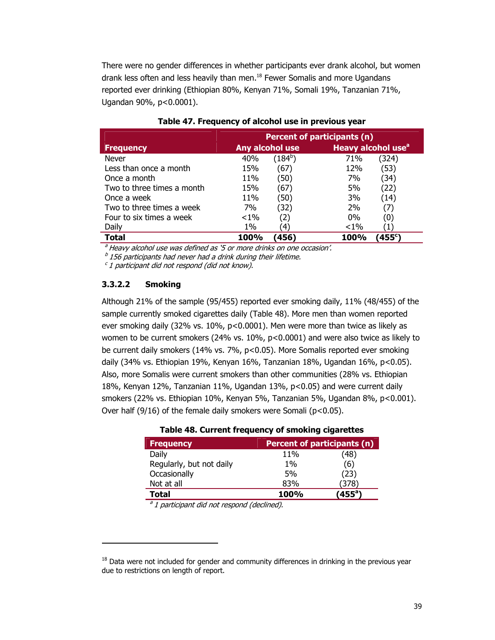There were no gender differences in whether participants ever drank alcohol, but women drank less often and less heavily than men. $18$  Fewer Somalis and more Ugandans reported ever drinking (Ethiopian 80%, Kenyan 71%, Somali 19%, Tanzanian 71%, Ugandan 90%, p<0.0001).

|                            | Percent of participants (n) |                  |                                      |
|----------------------------|-----------------------------|------------------|--------------------------------------|
| <b>Frequency</b>           | Any alcohol use             |                  | Heavy alcohol use <sup>a</sup>       |
| <b>Never</b>               | 40%                         | (184 $^{\rm b})$ | (324)<br>71%                         |
| Less than once a month     | 15%                         | (67              | (53)<br>12%                          |
| Once a month               | 11%                         | (50)             | 7%<br>(34)                           |
| Two to three times a month | 15%                         | (67)             | (22)<br>5%                           |
| Once a week                | 11%                         | (50)             | 3%<br>(14)                           |
| Two to three times a week  | 7%                          | (32)             | 2%<br>(7)                            |
| Four to six times a week   | $< 1\%$                     | 2)               | $0\%$<br>(0)                         |
| Daily                      | $1\%$                       | 4'               | $< 1\%$                              |
| Total                      | 100%                        | (456             | $^{\prime}$ 455 $^{\rm c}$ )<br>100% |

#### **Table 47. Frequency of alcohol use in previous year**

<sup>a</sup> Heavy alcohol use was defined as '5 or more drinks on one occasion'.

 $<sup>b</sup>$  156 participants had never had a drink during their lifetime.</sup>

 $c$  1 participant did not respond (did not know).

#### **3.3.2.2 Smoking**

-

Although 21% of the sample (95/455) reported ever smoking daily, 11% (48/455) of the sample currently smoked cigarettes daily (Table 48). More men than women reported ever smoking daily (32% vs. 10%, p<0.0001). Men were more than twice as likely as women to be current smokers (24% vs. 10%, p<0.0001) and were also twice as likely to be current daily smokers (14% vs. 7%, p<0.05). More Somalis reported ever smoking daily (34% vs. Ethiopian 19%, Kenyan 16%, Tanzanian 18%, Ugandan 16%, p<0.05). Also, more Somalis were current smokers than other communities (28% vs. Ethiopian 18%, Kenyan 12%, Tanzanian 11%, Ugandan 13%, p<0.05) and were current daily smokers (22% vs. Ethiopian 10%, Kenyan 5%, Tanzanian 5%, Ugandan 8%, p<0.001). Over half (9/16) of the female daily smokers were Somali ( $p$ <0.05).

| <b>Frequency</b>         |             | Percent of participants (n) |  |  |
|--------------------------|-------------|-----------------------------|--|--|
| Daily                    | 11%         | (48)                        |  |  |
| Regularly, but not daily | $1\%$       | (6)                         |  |  |
| Occasionally             | 5%          | (23)                        |  |  |
| Not at all               | 83%         | (378)                       |  |  |
| Total                    | <b>100%</b> | $({\bf 455}^{\rm a})$       |  |  |

|  |  |  |  |  | Table 48. Current frequency of smoking cigarettes |
|--|--|--|--|--|---------------------------------------------------|
|--|--|--|--|--|---------------------------------------------------|

 $a<sup>a</sup>1$  participant did not respond (declined).

 $18$  Data were not included for gender and community differences in drinking in the previous year due to restrictions on length of report.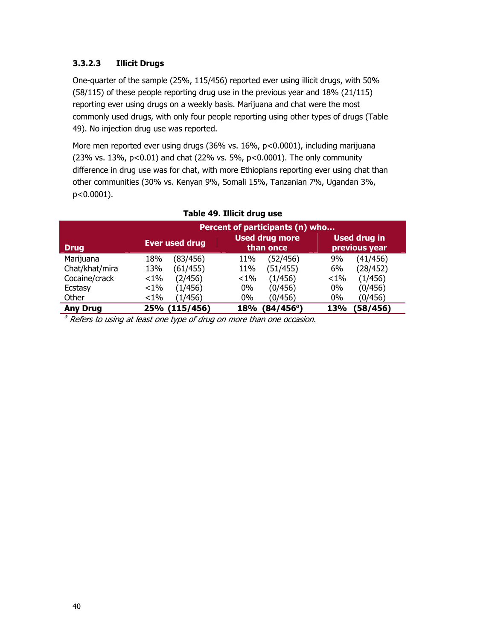### **3.3.2.3 Illicit Drugs**

One-quarter of the sample (25%, 115/456) reported ever using illicit drugs, with 50% (58/115) of these people reporting drug use in the previous year and 18% (21/115) reporting ever using drugs on a weekly basis. Marijuana and chat were the most commonly used drugs, with only four people reporting using other types of drugs (Table 49). No injection drug use was reported.

More men reported ever using drugs (36% vs. 16%, p<0.0001), including marijuana (23% vs. 13%, p<0.01) and chat (22% vs. 5%, p<0.0001). The only community difference in drug use was for chat, with more Ethiopians reporting ever using chat than other communities (30% vs. Kenyan 9%, Somali 15%, Tanzanian 7%, Ugandan 3%, p<0.0001).

|                 | Percent of participants (n) who |                                    |                                      |  |
|-----------------|---------------------------------|------------------------------------|--------------------------------------|--|
| <b>Drug</b>     | <b>Ever used drug</b>           | <b>Used drug more</b><br>than once | <b>Used drug in</b><br>previous year |  |
| Marijuana       | 18%                             | 11%                                | (41/456)                             |  |
|                 | (83/456)                        | (52/456)                           | 9%                                   |  |
| Chat/khat/mira  | (61/455)                        | (51/455)                           | (28/452)                             |  |
|                 | 13%                             | 11%                                | 6%                                   |  |
| Cocaine/crack   | (2/456)                         | (1/456)                            | (1/456)                              |  |
|                 | ${<}1\%$                        | $< 1\%$                            | $1\%$                                |  |
| Ecstasy         | (1/456)                         | (0/456)                            | (0/456)                              |  |
|                 | ${<}1\%$                        | $0\%$                              | 0%                                   |  |
| Other           | ${<}1\%$                        | $0\%$                              | (0/456)                              |  |
|                 | (1/456)                         | (0/456)                            | 0%                                   |  |
| <b>Any Drug</b> | 25% (115/456)                   | $(84/456^\circ)$<br>18%            | (58/456)<br>13%                      |  |

### **Table 49. Illicit drug use**

<sup>a</sup> Refers to using at least one type of drug on more than one occasion.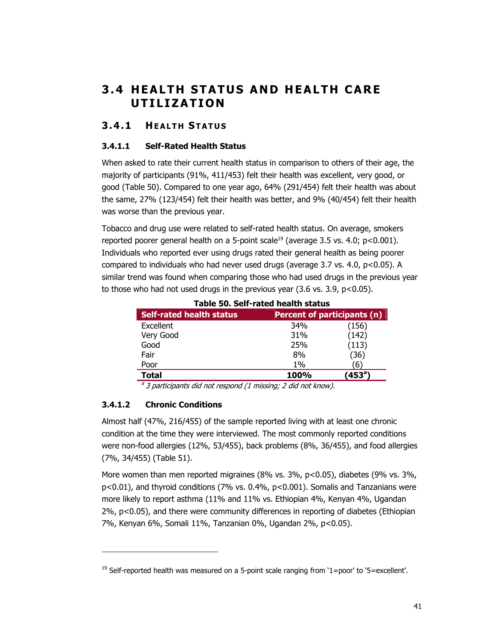# **3.4 HEALTH STATUS AND HEALTH CARE UTILIZATION**

## **3.4.1 HEALTH STATUS**

### **3.4.1.1 Self-Rated Health Status**

When asked to rate their current health status in comparison to others of their age, the majority of participants (91%, 411/453) felt their health was excellent, very good, or good (Table 50). Compared to one year ago, 64% (291/454) felt their health was about the same, 27% (123/454) felt their health was better, and 9% (40/454) felt their health was worse than the previous year.

Tobacco and drug use were related to self-rated health status. On average, smokers reported poorer general health on a 5-point scale<sup>19</sup> (average 3.5 vs. 4.0;  $p < 0.001$ ). Individuals who reported ever using drugs rated their general health as being poorer compared to individuals who had never used drugs (average  $3.7$  vs.  $4.0$ ,  $p < 0.05$ ). A similar trend was found when comparing those who had used drugs in the previous year to those who had not used drugs in the previous year  $(3.6 \text{ vs. } 3.9, \text{ p} < 0.05)$ .

| гаріс эмі эсп-тасса псатп эсасаэ |             |                             |  |
|----------------------------------|-------------|-----------------------------|--|
| <b>Self-rated health status</b>  |             | Percent of participants (n) |  |
| Excellent                        | 34%         | (156)                       |  |
| Very Good                        | 31%         | (142)                       |  |
| Good                             | 25%         | (113)                       |  |
| Fair                             | 8%          | (36)                        |  |
| Poor                             | $1\%$       | 6                           |  |
| Total                            | <b>100%</b> | (453 $^{\circ}$             |  |
|                                  |             |                             |  |

**Table 50. Self-rated health status** 

<sup>a</sup> 3 participants did not respond (1 missing; 2 did not know).

### **3.4.1.2 Chronic Conditions**

-

Almost half (47%, 216/455) of the sample reported living with at least one chronic condition at the time they were interviewed. The most commonly reported conditions were non-food allergies (12%, 53/455), back problems (8%, 36/455), and food allergies (7%, 34/455) (Table 51).

More women than men reported migraines (8% vs. 3%, p<0.05), diabetes (9% vs. 3%, p<0.01), and thyroid conditions (7% vs. 0.4%, p<0.001). Somalis and Tanzanians were more likely to report asthma (11% and 11% vs. Ethiopian 4%, Kenyan 4%, Ugandan 2%, p<0.05), and there were community differences in reporting of diabetes (Ethiopian 7%, Kenyan 6%, Somali 11%, Tanzanian 0%, Ugandan 2%, p<0.05).

<sup>&</sup>lt;sup>19</sup> Self-reported health was measured on a 5-point scale ranging from '1=poor' to '5=excellent'.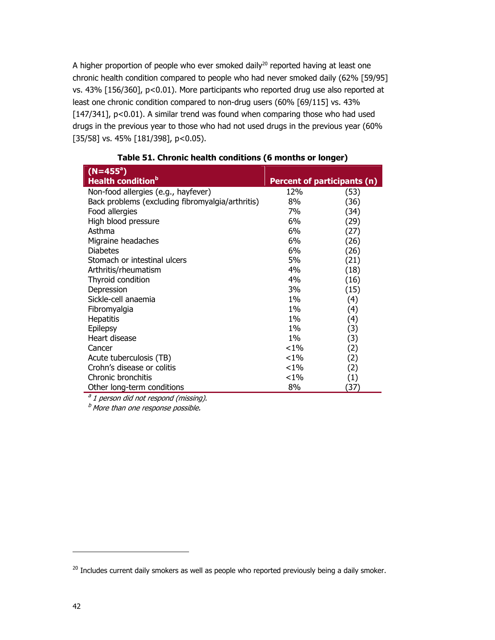A higher proportion of people who ever smoked daily<sup>20</sup> reported having at least one chronic health condition compared to people who had never smoked daily (62% [59/95] vs. 43% [156/360], p<0.01). More participants who reported drug use also reported at least one chronic condition compared to non-drug users (60% [69/115] vs. 43% [147/341], p<0.01). A similar trend was found when comparing those who had used drugs in the previous year to those who had not used drugs in the previous year (60% [35/58] vs. 45% [181/398], p<0.05).

| $(N=455^a)$                                      |          |                                    |
|--------------------------------------------------|----------|------------------------------------|
| <b>Health condition</b> <sup>b</sup>             |          | <b>Percent of participants (n)</b> |
| Non-food allergies (e.g., hayfever)              | 12%      | (53)                               |
| Back problems (excluding fibromyalgia/arthritis) | 8%       | (36)                               |
| Food allergies                                   | 7%       | (34)                               |
| High blood pressure                              | 6%       | (29)                               |
| Asthma                                           | 6%       | (27)                               |
| Migraine headaches                               | 6%       | (26)                               |
| <b>Diabetes</b>                                  | 6%       | (26)                               |
| Stomach or intestinal ulcers                     | 5%       | (21)                               |
| Arthritis/rheumatism                             | 4%       | (18)                               |
| Thyroid condition                                | 4%       | (16)                               |
| Depression                                       | 3%       | (15)                               |
| Sickle-cell anaemia                              | 1%       | (4)                                |
| Fibromyalgia                                     | $1\%$    | (4)                                |
| <b>Hepatitis</b>                                 | 1%       | (4)                                |
| Epilepsy                                         | $1\%$    | (3)                                |
| Heart disease                                    | 1%       | (3)                                |
| Cancer                                           | ${<}1\%$ | (2)                                |
| Acute tuberculosis (TB)                          | ${<}1\%$ | (2)                                |
| Crohn's disease or colitis                       | ${<}1\%$ | (2)                                |
| Chronic bronchitis                               | ${<}1\%$ | (1)                                |
| Other long-term conditions                       | 8%       | (37)                               |

 $a<sup>a</sup>$  1 person did not respond (missing).

 $<sup>b</sup>$  More than one response possible.</sup>

-

<sup>&</sup>lt;sup>20</sup> Includes current daily smokers as well as people who reported previously being a daily smoker.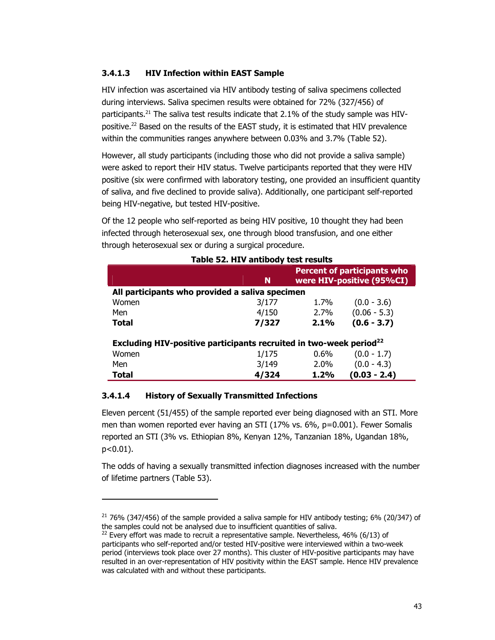### **3.4.1.3 HIV Infection within EAST Sample**

HIV infection was ascertained via HIV antibody testing of saliva specimens collected during interviews. Saliva specimen results were obtained for 72% (327/456) of participants.<sup>21</sup> The saliva test results indicate that  $2.1\%$  of the study sample was HIVpositive.<sup>22</sup> Based on the results of the EAST study, it is estimated that HIV prevalence within the communities ranges anywhere between 0.03% and 3.7% (Table 52).

However, all study participants (including those who did not provide a saliva sample) were asked to report their HIV status. Twelve participants reported that they were HIV positive (six were confirmed with laboratory testing, one provided an insufficient quantity of saliva, and five declined to provide saliva). Additionally, one participant self-reported being HIV-negative, but tested HIV-positive.

Of the 12 people who self-reported as being HIV positive, 10 thought they had been infected through heterosexual sex, one through blood transfusion, and one either through heterosexual sex or during a surgical procedure.

|                                                                                | N     | <b>Percent of participants who</b><br>were HIV-positive (95%CI) |                |  |
|--------------------------------------------------------------------------------|-------|-----------------------------------------------------------------|----------------|--|
| All participants who provided a saliva specimen                                |       |                                                                 |                |  |
| Women                                                                          | 3/177 | 1.7%                                                            | $(0.0 - 3.6)$  |  |
| Men                                                                            | 4/150 | 2.7%                                                            | $(0.06 - 5.3)$ |  |
| Total                                                                          | 7/327 | 2.1%                                                            | $(0.6 - 3.7)$  |  |
| Excluding HIV-positive participants recruited in two-week period <sup>22</sup> |       |                                                                 |                |  |
| Women                                                                          | 1/175 | $0.6\%$                                                         | $(0.0 - 1.7)$  |  |
| Men                                                                            | 3/149 | 2.0%                                                            | $(0.0 - 4.3)$  |  |
| Total                                                                          | 4/324 | 1.2%                                                            | $(0.03 - 2.4)$ |  |

### **Table 52. HIV antibody test results**

#### **3.4.1.4 History of Sexually Transmitted Infections**

-

Eleven percent (51/455) of the sample reported ever being diagnosed with an STI. More men than women reported ever having an STI (17% vs. 6%, p=0.001). Fewer Somalis reported an STI (3% vs. Ethiopian 8%, Kenyan 12%, Tanzanian 18%, Ugandan 18%, p<0.01).

The odds of having a sexually transmitted infection diagnoses increased with the number of lifetime partners (Table 53).

 $21$  76% (347/456) of the sample provided a saliva sample for HIV antibody testing; 6% (20/347) of the samples could not be analysed due to insufficient quantities of saliva.

 $22$  Every effort was made to recruit a representative sample. Nevertheless, 46% (6/13) of participants who self-reported and/or tested HIV-positive were interviewed within a two-week period (interviews took place over 27 months). This cluster of HIV-positive participants may have resulted in an over-representation of HIV positivity within the EAST sample. Hence HIV prevalence was calculated with and without these participants.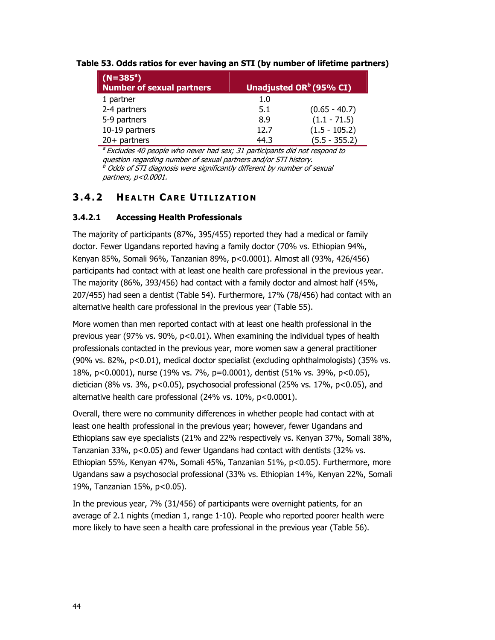| $(N=385^a)$<br>Number of sexual partners |         | Unadjusted OR <sup>b</sup> (95% CI) |
|------------------------------------------|---------|-------------------------------------|
| 1 partner                                | $1.0\,$ |                                     |
| 2-4 partners                             | 5.1     | $(0.65 - 40.7)$                     |
| 5-9 partners                             | 8.9     | $(1.1 - 71.5)$                      |
| 10-19 partners                           | 12.7    | $(1.5 - 105.2)$                     |
| $20+$ partners                           | 44.3    | $(5.5 - 355.2)$                     |

#### **Table 53. Odds ratios for ever having an STI (by number of lifetime partners)**

<sup>a</sup> Excludes 40 people who never had sex; 31 participants did not respond to question regarding number of sexual partners and/or STI history.  $^{\mathrm{\it{b}}}$  Odds of STI diagnosis were significantly different by number of sexual partners, p<0.0001.

## **3.4.2 HEALTH CARE UTILIZATION**

### **3.4.2.1 Accessing Health Professionals**

The majority of participants (87%, 395/455) reported they had a medical or family doctor. Fewer Ugandans reported having a family doctor (70% vs. Ethiopian 94%, Kenyan 85%, Somali 96%, Tanzanian 89%, p<0.0001). Almost all (93%, 426/456) participants had contact with at least one health care professional in the previous year. The majority (86%, 393/456) had contact with a family doctor and almost half (45%, 207/455) had seen a dentist (Table 54). Furthermore, 17% (78/456) had contact with an alternative health care professional in the previous year (Table 55).

More women than men reported contact with at least one health professional in the previous year (97% vs. 90%,  $p<0.01$ ). When examining the individual types of health professionals contacted in the previous year, more women saw a general practitioner (90% vs. 82%, p<0.01), medical doctor specialist (excluding ophthalmologists) (35% vs. 18%, p<0.0001), nurse (19% vs. 7%, p=0.0001), dentist (51% vs. 39%, p<0.05), dietician (8% vs. 3%, p<0.05), psychosocial professional (25% vs. 17%, p<0.05), and alternative health care professional (24% vs. 10%, p<0.0001).

Overall, there were no community differences in whether people had contact with at least one health professional in the previous year; however, fewer Ugandans and Ethiopians saw eye specialists (21% and 22% respectively vs. Kenyan 37%, Somali 38%, Tanzanian 33%, p<0.05) and fewer Ugandans had contact with dentists (32% vs. Ethiopian 55%, Kenyan 47%, Somali 45%, Tanzanian 51%, p<0.05). Furthermore, more Ugandans saw a psychosocial professional (33% vs. Ethiopian 14%, Kenyan 22%, Somali 19%, Tanzanian 15%, p<0.05).

In the previous year, 7% (31/456) of participants were overnight patients, for an average of 2.1 nights (median 1, range 1-10). People who reported poorer health were more likely to have seen a health care professional in the previous year (Table 56).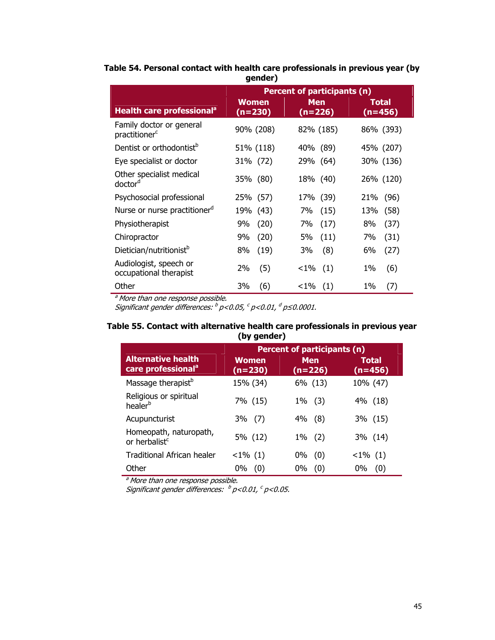|                                                       | Percent of participants (n) |                         |                           |
|-------------------------------------------------------|-----------------------------|-------------------------|---------------------------|
| Health care professional <sup>a</sup>                 | <b>Women</b><br>$(n=230)$   | <b>Men</b><br>$(n=226)$ | <b>Total</b><br>$(n=456)$ |
| Family doctor or general<br>practitioner <sup>c</sup> | 90% (208)                   | 82% (185)               | 86% (393)                 |
| Dentist or orthodontist <sup>b</sup>                  | 51% (118)                   | 40% (89)                | 45% (207)                 |
| Eye specialist or doctor                              | 31% (72)                    | 29% (64)                | 30% (136)                 |
| Other specialist medical<br>doctor <sup>d</sup>       | 35% (80)                    | 18% (40)                | 26% (120)                 |
| Psychosocial professional                             | 25% (57)                    | 17% (39)                | (96)<br>21%               |
| Nurse or nurse practitioner <sup>d</sup>              | 19% (43)                    | (15)<br>7%              | (58)<br>13%               |
| Physiotherapist                                       | (20)<br>9%                  | (17)<br>7%              | (37)<br>8%                |
| Chiropractor                                          | (20)<br>9%                  | (11)<br>5%              | (31)<br>7%                |
| Dietician/nutritionist <sup>b</sup>                   | (19)<br>8%                  | (8)<br>3%               | 6%<br>(27)                |
| Audiologist, speech or<br>occupational therapist      | 2%<br>(5)                   | (1)<br>${<}1\%$         | (6)<br>1%                 |
| Other                                                 | 3%<br>(6)                   | $< 1\%$ (1)             | $1\%$<br>(7)              |

#### **Table 54. Personal contact with health care professionals in previous year (by gender)**

<sup>a</sup> More than one response possible.

Significant gender differences:  $^b$  p<0.05,  $^c$  p<0.01,  $^d$  p≤0.0001.

#### **Table 55. Contact with alternative health care professionals in previous year (by gender)**

|                                                             | <b>Percent of participants (n)</b> |                         |                    |
|-------------------------------------------------------------|------------------------------------|-------------------------|--------------------|
| <b>Alternative health</b><br>care professional <sup>a</sup> | <b>Women</b><br>$(n=230)$          | <b>Men</b><br>$(n=226)$ | Total<br>$(n=456)$ |
| Massage therapist <sup>b</sup>                              | 15% (34)                           | 6% (13)                 | 10% (47)           |
| Religious or spiritual<br>healer <sup>b</sup>               | 7% (15)                            | $1\%$ (3)               | 4% (18)            |
| Acupuncturist                                               | $3\%$ (7)                          | (8)<br>4%               | 3% (15)            |
| Homeopath, naturopath,<br>or herbalist <sup>c</sup>         | 5% (12)                            | $1\%$ (2)               | 3% (14)            |
| Traditional African healer                                  | $<1\%$ (1)                         | 0%<br>(0)               | $< 1\%$ (1)        |
| Other                                                       | 0%<br>(0)                          | 0%<br>(0)               | 0%<br>(0)          |

<sup>a</sup> More than one response possible.

Significant gender differences:  $^b$  p<0.01,  $^c$  p<0.05.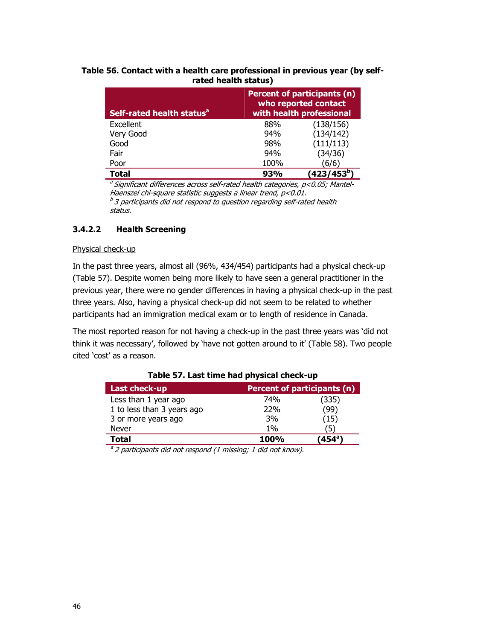#### **Table 56. Contact with a health care professional in previous year (by selfrated health status)**

| Self-rated health status <sup>a</sup> | Percent of participants (n)<br>who reported contact<br>with health professional |                         |  |
|---------------------------------------|---------------------------------------------------------------------------------|-------------------------|--|
| Excellent                             | 88%                                                                             | (138/156)               |  |
| Very Good                             | 94%                                                                             | (134/142)               |  |
| Good                                  | 98%                                                                             | (111/113)               |  |
| Fair                                  | 94%                                                                             | (34/36)                 |  |
| Poor                                  | 100%                                                                            | (6/6)                   |  |
| Total                                 | 93%                                                                             | (423/453 <sup>b</sup> ) |  |

 $a$  Significant differences across self-rated health categories,  $p$ <0.05; Mantel-Haenszel chi-square statistic suggests a linear trend, p<0.01.  $b<sup>b</sup>$  3 participants did not respond to question regarding self-rated health status.

#### **3.4.2.2 Health Screening**

#### Physical check-up

In the past three years, almost all (96%, 434/454) participants had a physical check-up (Table 57). Despite women being more likely to have seen a general practitioner in the previous year, there were no gender differences in having a physical check-up in the past three years. Also, having a physical check-up did not seem to be related to whether participants had an immigration medical exam or to length of residence in Canada.

The most reported reason for not having a check-up in the past three years was 'did not think it was necessary', followed by 'have not gotten around to it' (Table 58). Two people cited 'cost' as a reason.

| Last check-up              | <b>Percent of participants (n)</b> |                            |  |
|----------------------------|------------------------------------|----------------------------|--|
| Less than 1 year ago       | 74%                                | (335)                      |  |
| 1 to less than 3 years ago | 22%                                | (99)                       |  |
| 3 or more years ago        | 3%                                 | (15)                       |  |
| Never                      | $1\%$                              | 5)                         |  |
| <b>Total</b>               | 100%                               | $^{\prime}$ 454 $^{\circ}$ |  |
|                            |                                    |                            |  |

#### **Table 57. Last time had physical check-up**

 $a<sup>a</sup>$  2 participants did not respond (1 missing; 1 did not know).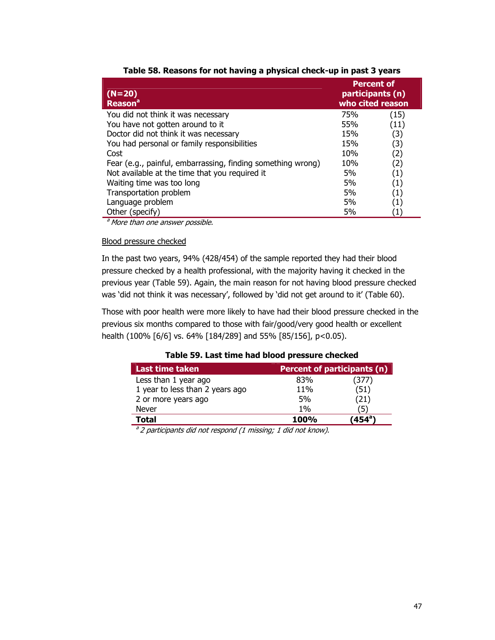| $(N=20)$<br><b>Reason<sup>a</sup></b>                       |     | <b>Percent of</b><br>participants (n)<br>who cited reason |
|-------------------------------------------------------------|-----|-----------------------------------------------------------|
| You did not think it was necessary                          | 75% | (15)                                                      |
| You have not gotten around to it                            | 55% | (11)                                                      |
| Doctor did not think it was necessary                       | 15% | (3)                                                       |
| You had personal or family responsibilities                 | 15% | (3)                                                       |
| Cost                                                        | 10% | (2)                                                       |
| Fear (e.g., painful, embarrassing, finding something wrong) | 10% | (2)                                                       |
| Not available at the time that you required it              | 5%  | $\scriptstyle{(1)}$                                       |
| Waiting time was too long                                   | 5%  | $\scriptstyle{(1)}$                                       |
| Transportation problem                                      | 5%  | $\left( 1\right)$                                         |
| Language problem                                            | 5%  | $\left( 1\right)$                                         |
| Other (specify)                                             | 5%  |                                                           |

| Table 58. Reasons for not having a physical check-up in past 3 years |  |  |  |
|----------------------------------------------------------------------|--|--|--|
|                                                                      |  |  |  |

<sup>a</sup> More than one answer possible.

#### Blood pressure checked

In the past two years, 94% (428/454) of the sample reported they had their blood pressure checked by a health professional, with the majority having it checked in the previous year (Table 59). Again, the main reason for not having blood pressure checked was 'did not think it was necessary', followed by 'did not get around to it' (Table 60).

Those with poor health were more likely to have had their blood pressure checked in the previous six months compared to those with fair/good/very good health or excellent health (100% [6/6] vs. 64% [184/289] and 55% [85/156], p<0.05).

| <b>Last time taken</b>          | <b>Percent of participants (n)</b> |                            |  |  |
|---------------------------------|------------------------------------|----------------------------|--|--|
| Less than 1 year ago            | 83%                                | 377)                       |  |  |
| 1 year to less than 2 years ago | 11%                                | (51)                       |  |  |
| 2 or more years ago             | 5%                                 | (21)                       |  |  |
| Never                           | $1\%$                              | 5                          |  |  |
| Total                           | <b>100%</b>                        | $^{\prime}$ 454 $^{\circ}$ |  |  |

#### **Table 59. Last time had blood pressure checked**

 $a<sup>a</sup>$  2 participants did not respond (1 missing; 1 did not know).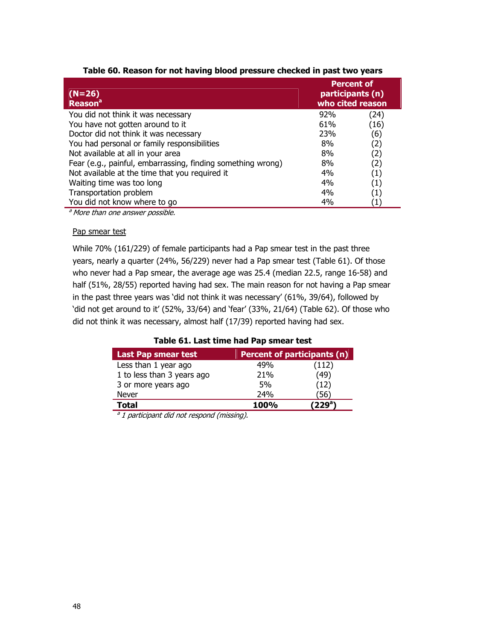| $(N=26)$<br><b>Reason</b> <sup>a</sup>                      | <b>Percent of</b><br>participants (n)<br>who cited reason |                   |
|-------------------------------------------------------------|-----------------------------------------------------------|-------------------|
| You did not think it was necessary                          | 92%                                                       | (24)              |
| You have not gotten around to it                            | 61%                                                       | (16)              |
| Doctor did not think it was necessary                       | 23%                                                       | (6)               |
| You had personal or family responsibilities                 | 8%                                                        | (2)               |
| Not available at all in your area                           | 8%                                                        | (2)               |
| Fear (e.g., painful, embarrassing, finding something wrong) | 8%                                                        | (2)               |
| Not available at the time that you required it              | 4%                                                        | (1)               |
| Waiting time was too long                                   | 4%                                                        | $\left( 1\right)$ |
| Transportation problem                                      | 4%                                                        | $\left( 1\right)$ |
| You did not know where to go                                | 4%                                                        | $\left(1\right)$  |

### **Table 60. Reason for not having blood pressure checked in past two years**

a More than one answer possible.

### Pap smear test

While 70% (161/229) of female participants had a Pap smear test in the past three years, nearly a quarter (24%, 56/229) never had a Pap smear test (Table 61). Of those who never had a Pap smear, the average age was 25.4 (median 22.5, range 16-58) and half (51%, 28/55) reported having had sex. The main reason for not having a Pap smear in the past three years was 'did not think it was necessary' (61%, 39/64), followed by 'did not get around to it' (52%, 33/64) and 'fear' (33%, 21/64) (Table 62). Of those who did not think it was necessary, almost half (17/39) reported having had sex.

|  | Table 61. Last time had Pap smear test |  |  |  |
|--|----------------------------------------|--|--|--|
|--|----------------------------------------|--|--|--|

| <b>Last Pap smear test</b> | <b>Percent of participants (n)</b> |                     |
|----------------------------|------------------------------------|---------------------|
| Less than 1 year ago       | 49%                                | (112)               |
| 1 to less than 3 years ago | 21%                                | (49)                |
| 3 or more years ago        | 5%                                 | (12)                |
| Never                      | 24%                                | 56)                 |
| <b>Total</b>               | <b>100%</b>                        | (229 <sup>a</sup> ) |

 $a$  1 participant did not respond (missing).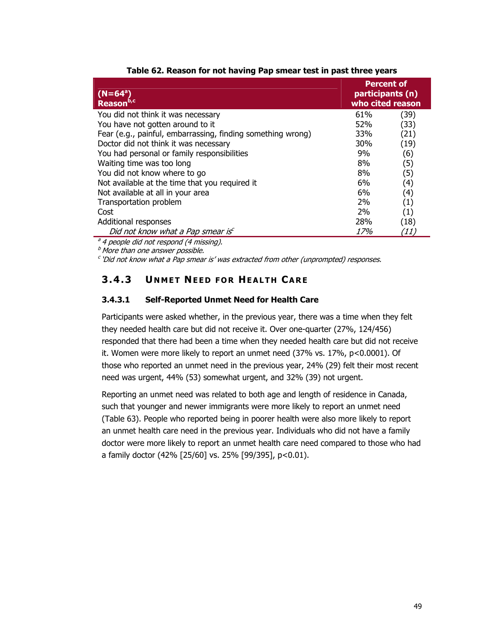| $(N=64^a)$<br>Reason <sup>b,cl</sup>                                                                                 | <b>Percent of</b><br>participants (n)<br>who cited reason |      |
|----------------------------------------------------------------------------------------------------------------------|-----------------------------------------------------------|------|
| You did not think it was necessary                                                                                   | 61%                                                       | (39) |
| You have not gotten around to it                                                                                     | <b>52%</b>                                                | (33) |
| Fear (e.g., painful, embarrassing, finding something wrong)                                                          | 33%                                                       | (21) |
| Doctor did not think it was necessary                                                                                | 30%                                                       | (19) |
| You had personal or family responsibilities                                                                          | 9%                                                        | (6)  |
| Waiting time was too long                                                                                            | 8%                                                        | (5)  |
| You did not know where to go                                                                                         | 8%                                                        | (5)  |
| Not available at the time that you required it                                                                       | 6%                                                        | (4)  |
| Not available at all in your area                                                                                    | 6%                                                        | (4)  |
| Transportation problem                                                                                               | 2%                                                        | (1)  |
| Cost                                                                                                                 | 2%                                                        | (1)  |
| Additional responses                                                                                                 | 28%                                                       | (18) |
| Did not know what a Pap smear is                                                                                     | 17%                                                       | (11, |
| $\overline{a}$ , $\overline{a}$ , $\overline{a}$ , $\overline{a}$ , $\overline{a}$ , $\overline{a}$ , $\overline{a}$ |                                                           |      |

|  |  |  |  |  |  |  |  | Table 62. Reason for not having Pap smear test in past three years |  |
|--|--|--|--|--|--|--|--|--------------------------------------------------------------------|--|
|--|--|--|--|--|--|--|--|--------------------------------------------------------------------|--|

4 people did not respond (4 missing).  $<sup>b</sup>$  More than one answer possible.</sup>

 $c$ 'Did not know what a Pap smear is' was extracted from other (unprompted) responses.

## **3.4.3 U NMET NEED FOR HEALTH CARE**

### **3.4.3.1 Self-Reported Unmet Need for Health Care**

Participants were asked whether, in the previous year, there was a time when they felt they needed health care but did not receive it. Over one-quarter (27%, 124/456) responded that there had been a time when they needed health care but did not receive it. Women were more likely to report an unmet need (37% vs. 17%, p<0.0001). Of those who reported an unmet need in the previous year, 24% (29) felt their most recent need was urgent, 44% (53) somewhat urgent, and 32% (39) not urgent.

Reporting an unmet need was related to both age and length of residence in Canada, such that younger and newer immigrants were more likely to report an unmet need (Table 63). People who reported being in poorer health were also more likely to report an unmet health care need in the previous year. Individuals who did not have a family doctor were more likely to report an unmet health care need compared to those who had a family doctor (42% [25/60] vs. 25% [99/395], p<0.01).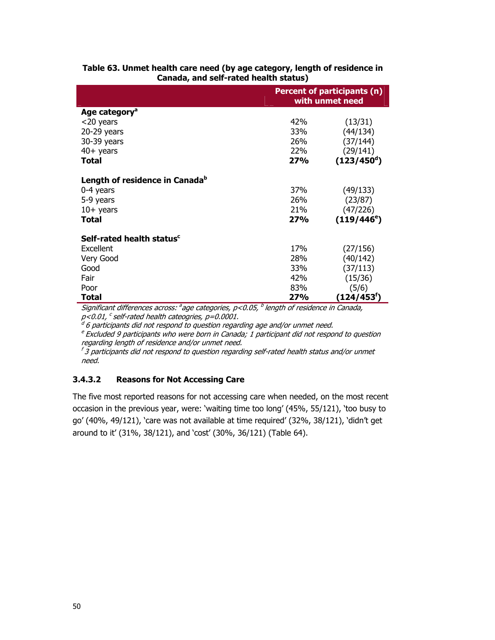|                                            | Percent of participants (n)<br>with unmet need |                     |  |
|--------------------------------------------|------------------------------------------------|---------------------|--|
| Age category <sup>a</sup>                  |                                                |                     |  |
| <20 years                                  | 42%                                            | (13/31)             |  |
| $20-29$ years                              | 33%                                            | (44/134)            |  |
| 30-39 years                                | 26%                                            | (37/144)            |  |
| $40+$ years                                | 22%                                            | (29/141)            |  |
| Total                                      | 27%                                            | $(123/450^d)$       |  |
| Length of residence in Canada <sup>b</sup> |                                                |                     |  |
| 0-4 years                                  | 37%                                            | (49/133)            |  |
| 5-9 years                                  | 26%                                            | (23/87)             |  |
| $10+$ years                                | 21%                                            | (47/226)            |  |
| Total                                      | 27%                                            | $(119/446^{\circ})$ |  |
| Self-rated health status <sup>c</sup>      |                                                |                     |  |
| Excellent                                  | 17 <sub>%</sub>                                | (27/156)            |  |
| Very Good                                  | 28%                                            | (40/142)            |  |
| Good                                       | 33%                                            | (37/113)            |  |
| Fair                                       | 42%                                            | (15/36)             |  |
| Poor                                       | 83%                                            | (5/6)               |  |
| Total                                      | <b>27%</b>                                     | (124/453†)          |  |

#### **Table 63. Unmet health care need (by age category, length of residence in Canada, and self-rated health status)**

Significant differences across:  $a$  age categories,  $p$ <0.05,  $b$  length of residence in Canada, p<0.01, <sup>c</sup> self-rated health cateogries, p=0.0001.

 $^d$  6 participants did not respond to question regarding age and/or unmet need.

 $e$  Excluded 9 participants who were born in Canada; 1 participant did not respond to question regarding length of residence and/or unmet need.

 $f\overline{3}$  participants did not respond to question regarding self-rated health status and/or unmet need.

### **3.4.3.2 Reasons for Not Accessing Care**

The five most reported reasons for not accessing care when needed, on the most recent occasion in the previous year, were: 'waiting time too long' (45%, 55/121), 'too busy to go' (40%, 49/121), 'care was not available at time required' (32%, 38/121), 'didn't get around to it' (31%, 38/121), and 'cost' (30%, 36/121) (Table 64).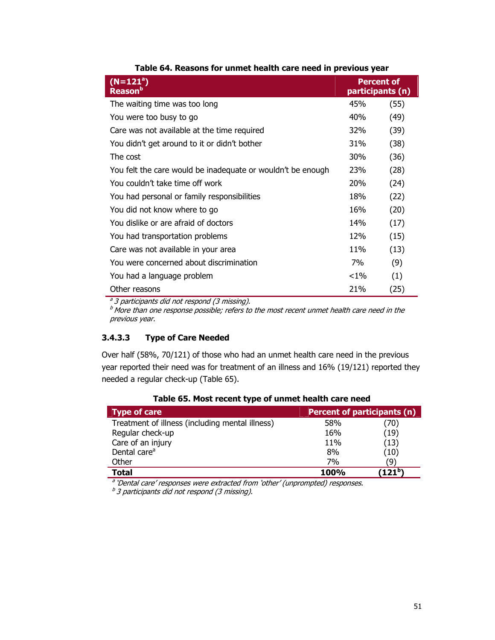| $(N=121^a)$<br>Reason <sup>b</sup>                          |            | <b>Percent of</b><br>participants (n) |
|-------------------------------------------------------------|------------|---------------------------------------|
| The waiting time was too long                               | 45%        | (55)                                  |
| You were too busy to go                                     | 40%        | (49)                                  |
| Care was not available at the time required                 | <b>32%</b> | (39)                                  |
| You didn't get around to it or didn't bother                | 31%        | (38)                                  |
| The cost                                                    | <b>30%</b> | (36)                                  |
| You felt the care would be inadequate or wouldn't be enough | 23%        | (28)                                  |
| You couldn't take time off work                             | <b>20%</b> | (24)                                  |
| You had personal or family responsibilities                 | 18%        | (22)                                  |
| You did not know where to go                                | 16%        | (20)                                  |
| You dislike or are afraid of doctors                        | 14%        | (17)                                  |
| You had transportation problems                             | 12%        | (15)                                  |
| Care was not available in your area                         | 11%        | (13)                                  |
| You were concerned about discrimination                     | 7%         | (9)                                   |
| You had a language problem                                  | $< 1\%$    | (1)                                   |
| Other reasons                                               | 21%        | (25)                                  |

**Table 64. Reasons for unmet health care need in previous year** 

<sup>a</sup> 3 participants did not respond (3 missing).

b participation and the response possible; refers to the most recent unmet health care need in the previous year.

### **3.4.3.3 Type of Care Needed**

Over half (58%, 70/121) of those who had an unmet health care need in the previous year reported their need was for treatment of an illness and 16% (19/121) reported they needed a regular check-up (Table 65).

| <b>Type of care</b>                             | Percent of participants (n) |                      |  |
|-------------------------------------------------|-----------------------------|----------------------|--|
| Treatment of illness (including mental illness) | 58%                         | (70)                 |  |
| Regular check-up                                | 16%                         | (19)                 |  |
| Care of an injury                               | 11%                         | (13)                 |  |
| Dental care <sup>a</sup>                        | 8%                          | (10)                 |  |
| Other                                           | 7%                          | '9`                  |  |
| Total                                           | <b>100%</b>                 | (121 $^{\mathrm{b}}$ |  |

**Table 65. Most recent type of unmet health care need** 

<sup>a</sup> 'Dental care' responses were extracted from 'other' (unprompted) responses.

 $b$ 3 participants did not respond (3 missing).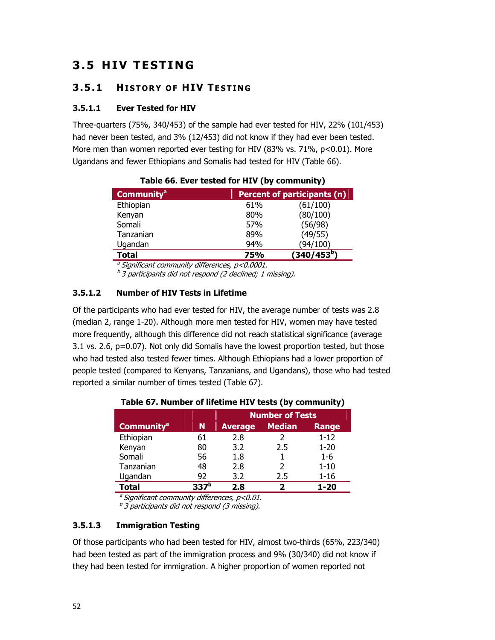# **3.5 HIV TESTING**

## **3.5.1 HISTORY OF HIV T ESTING**

### **3.5.1.1 Ever Tested for HIV**

Three-quarters (75%, 340/453) of the sample had ever tested for HIV, 22% (101/453) had never been tested, and 3% (12/453) did not know if they had ever been tested. More men than women reported ever testing for HIV (83% vs. 71%, p<0.01). More Ugandans and fewer Ethiopians and Somalis had tested for HIV (Table 66).

| <b>Community<sup>a</sup></b> | <b>Percent of participants (n)</b> |                         |  |
|------------------------------|------------------------------------|-------------------------|--|
| Ethiopian                    | 61%                                | (61/100)                |  |
| Kenyan                       | 80%                                | (80/100)                |  |
| Somali                       | 57%                                | (56/98)                 |  |
| Tanzanian                    | 89%                                | (49/55)                 |  |
| Ugandan                      | 94%                                | (94/100)                |  |
| <b>Total</b>                 | <b>75%</b>                         | (340/453 <sup>b</sup> ) |  |
|                              |                                    |                         |  |

|  |  | Table 66. Ever tested for HIV (by community) |  |
|--|--|----------------------------------------------|--|

 $\textsuperscript{a}$  Significant community differences, p<0.0001.

 $b<sup>b</sup>$  3 participants did not respond (2 declined; 1 missing).

### **3.5.1.2 Number of HIV Tests in Lifetime**

Of the participants who had ever tested for HIV, the average number of tests was 2.8 (median 2, range 1-20). Although more men tested for HIV, women may have tested more frequently, although this difference did not reach statistical significance (average 3.1 vs. 2.6, p=0.07). Not only did Somalis have the lowest proportion tested, but those who had tested also tested fewer times. Although Ethiopians had a lower proportion of people tested (compared to Kenyans, Tanzanians, and Ugandans), those who had tested reported a similar number of times tested (Table 67).

|                                                     | <b>Number of Tests</b> |  |  |  |  |
|-----------------------------------------------------|------------------------|--|--|--|--|
| Community <sup>a</sup>   N   Average   Median Range |                        |  |  |  |  |
|                                                     |                        |  |  |  |  |

**Table 67. Number of lifetime HIV tests (by community)** 

|                        |    | <b>Number of Tests</b> |     |          |  |  |
|------------------------|----|------------------------|-----|----------|--|--|
| Community <sup>a</sup> | N  | Average Median Range   |     |          |  |  |
| Ethiopian              | 61 | 2.8                    |     | $1 - 12$ |  |  |
| Kenyan                 | 80 | 37                     | 2.5 | $1 - 20$ |  |  |

Somali 56 1.8 1 1-6 Tanzanian 48 2.8 2 1-10

Ugandan 92 3.2 2.5 1-16 **Total 337b 2.8 2 1-20**  $a<sup>a</sup>$  Significant community differences, p<0.01.

 $<sup>b</sup>$  3 participants did not respond (3 missing).</sup>

## **3.5.1.3 Immigration Testing**

Of those participants who had been tested for HIV, almost two-thirds (65%, 223/340) had been tested as part of the immigration process and 9% (30/340) did not know if they had been tested for immigration. A higher proportion of women reported not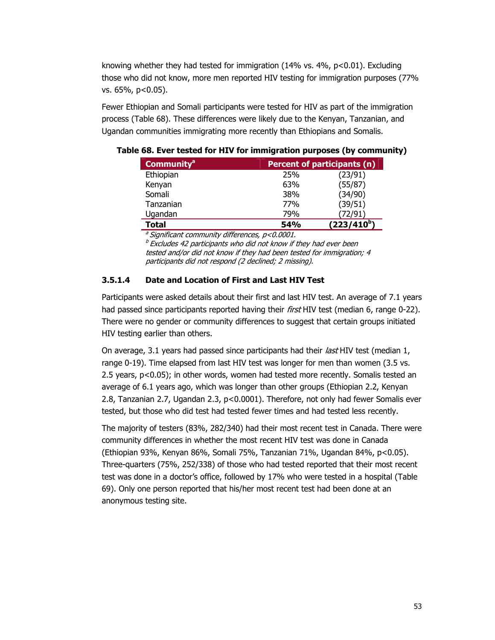knowing whether they had tested for immigration (14% vs. 4%, p<0.01). Excluding those who did not know, more men reported HIV testing for immigration purposes (77% vs. 65%, p<0.05).

Fewer Ethiopian and Somali participants were tested for HIV as part of the immigration process (Table 68). These differences were likely due to the Kenyan, Tanzanian, and Ugandan communities immigrating more recently than Ethiopians and Somalis.

| <b>Community<sup>a</sup></b> |            | Percent of participants (n) |  |  |  |
|------------------------------|------------|-----------------------------|--|--|--|
| Ethiopian                    | 25%        | (23/91)                     |  |  |  |
| Kenyan                       | 63%        | (55/87)                     |  |  |  |
| Somali                       | 38%        | (34/90)                     |  |  |  |
| Tanzanian                    | 77%        | (39/51)                     |  |  |  |
| Ugandan                      | 79%        | 72/91                       |  |  |  |
| Total                        | <b>54%</b> | $(223/410^{b})$             |  |  |  |

**Table 68. Ever tested for HIV for immigration purposes (by community)** 

 $\textsuperscript{a}$  Significant community differences, p<0.0001.

 $b$  Excludes 42 participants who did not know if they had ever been tested and/or did not know if they had been tested for immigration; 4 participants did not respond (2 declined; 2 missing).

### **3.5.1.4 Date and Location of First and Last HIV Test**

Participants were asked details about their first and last HIV test. An average of 7.1 years had passed since participants reported having their *first* HIV test (median 6, range 0-22). There were no gender or community differences to suggest that certain groups initiated HIV testing earlier than others.

On average, 3.1 years had passed since participants had their *last* HIV test (median 1, range 0-19). Time elapsed from last HIV test was longer for men than women (3.5 vs. 2.5 years, p<0.05); in other words, women had tested more recently. Somalis tested an average of 6.1 years ago, which was longer than other groups (Ethiopian 2.2, Kenyan 2.8, Tanzanian 2.7, Ugandan 2.3, p<0.0001). Therefore, not only had fewer Somalis ever tested, but those who did test had tested fewer times and had tested less recently.

The majority of testers (83%, 282/340) had their most recent test in Canada. There were community differences in whether the most recent HIV test was done in Canada (Ethiopian 93%, Kenyan 86%, Somali 75%, Tanzanian 71%, Ugandan 84%, p<0.05). Three-quarters (75%, 252/338) of those who had tested reported that their most recent test was done in a doctor's office, followed by 17% who were tested in a hospital (Table 69). Only one person reported that his/her most recent test had been done at an anonymous testing site.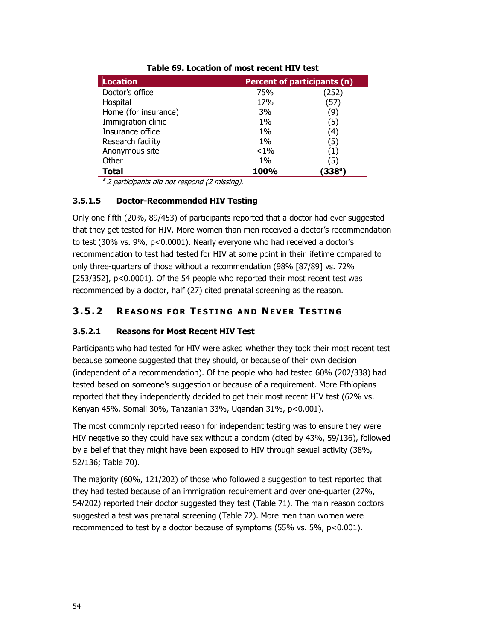| <b>Location</b>      |         | <b>Percent of participants (n)</b> |  |  |  |
|----------------------|---------|------------------------------------|--|--|--|
| Doctor's office      | 75%     | (252)                              |  |  |  |
| Hospital             | 17%     | (57)                               |  |  |  |
| Home (for insurance) | 3%      | (9)                                |  |  |  |
| Immigration clinic   | $1\%$   | (5)                                |  |  |  |
| Insurance office     | $1\%$   | 4)                                 |  |  |  |
| Research facility    | $1\%$   | (5)                                |  |  |  |
| Anonymous site       | $< 1\%$ | (1)                                |  |  |  |
| Other                | $1\%$   | 5                                  |  |  |  |
| Total                | 100%    | ′338ª                              |  |  |  |

### **Table 69. Location of most recent HIV test**

 $a<sup>a</sup>$  2 participants did not respond (2 missing).

### **3.5.1.5 Doctor-Recommended HIV Testing**

Only one-fifth (20%, 89/453) of participants reported that a doctor had ever suggested that they get tested for HIV. More women than men received a doctor's recommendation to test (30% vs. 9%, p<0.0001). Nearly everyone who had received a doctor's recommendation to test had tested for HIV at some point in their lifetime compared to only three-quarters of those without a recommendation (98% [87/89] vs. 72% [253/352], p<0.0001). Of the 54 people who reported their most recent test was recommended by a doctor, half (27) cited prenatal screening as the reason.

## **3.5.2 REASONS FOR TESTING AND NEVER TESTING**

### **3.5.2.1 Reasons for Most Recent HIV Test**

Participants who had tested for HIV were asked whether they took their most recent test because someone suggested that they should, or because of their own decision (independent of a recommendation). Of the people who had tested 60% (202/338) had tested based on someone's suggestion or because of a requirement. More Ethiopians reported that they independently decided to get their most recent HIV test (62% vs. Kenyan 45%, Somali 30%, Tanzanian 33%, Ugandan 31%, p<0.001).

The most commonly reported reason for independent testing was to ensure they were HIV negative so they could have sex without a condom (cited by 43%, 59/136), followed by a belief that they might have been exposed to HIV through sexual activity (38%, 52/136; Table 70).

The majority (60%, 121/202) of those who followed a suggestion to test reported that they had tested because of an immigration requirement and over one-quarter (27%, 54/202) reported their doctor suggested they test (Table 71). The main reason doctors suggested a test was prenatal screening (Table 72). More men than women were recommended to test by a doctor because of symptoms (55% vs. 5%, p<0.001).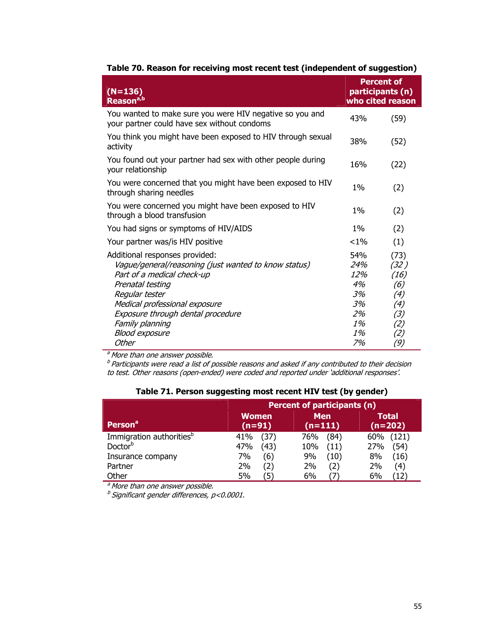| $(N=136)$<br>Reason <sup>a,b</sup>                                                                                                                                                                                                                                           |                                                       | <b>Percent of</b><br>participants (n)<br>who cited reason       |
|------------------------------------------------------------------------------------------------------------------------------------------------------------------------------------------------------------------------------------------------------------------------------|-------------------------------------------------------|-----------------------------------------------------------------|
| You wanted to make sure you were HIV negative so you and<br>your partner could have sex without condoms                                                                                                                                                                      | 43%                                                   | (59)                                                            |
| You think you might have been exposed to HIV through sexual<br>activity                                                                                                                                                                                                      | 38%                                                   | (52)                                                            |
| You found out your partner had sex with other people during<br>your relationship                                                                                                                                                                                             | 16%                                                   | (22)                                                            |
| You were concerned that you might have been exposed to HIV<br>through sharing needles                                                                                                                                                                                        | 1%                                                    | (2)                                                             |
| You were concerned you might have been exposed to HIV<br>through a blood transfusion                                                                                                                                                                                         | $1\%$                                                 | (2)                                                             |
| You had signs or symptoms of HIV/AIDS                                                                                                                                                                                                                                        | $1\%$                                                 | (2)                                                             |
| Your partner was/is HIV positive                                                                                                                                                                                                                                             | $< 1\%$                                               | (1)                                                             |
| Additional responses provided:<br>Vague/general/reasoning (just wanted to know status)<br>Part of a medical check-up<br>Prenatal testing<br>Regular tester<br>Medical professional exposure<br>Exposure through dental procedure<br>Family planning<br><b>Blood exposure</b> | 54%<br>24%<br>12%<br>4%<br>3%<br>3%<br>2%<br>1%<br>1% | (73)<br>(32 )<br>(16)<br>(6)<br>(4)<br>(4)<br>(3)<br>(2)<br>(2) |
| <b>Other</b>                                                                                                                                                                                                                                                                 | 7%                                                    | (9)                                                             |

#### **Table 70. Reason for receiving most recent test (independent of suggestion)**

a More than one answer possible.

<sup>b</sup>Participants were read a list of possible reasons and asked if any contributed to their decision to test. Other reasons (open-ended) were coded and reported under 'additional responses'.

|                                      |              | Percent of participants (n) |                   |  |  |  |  |
|--------------------------------------|--------------|-----------------------------|-------------------|--|--|--|--|
| Person <sup>a</sup>                  | <b>Women</b> | <b>Men</b>                  | <b>Total</b>      |  |  |  |  |
|                                      | $(n=91)$     | $(n=111)$                   | $(n=202)$         |  |  |  |  |
| Immigration authorities <sup>b</sup> | (37)         | (84)                        | (121)             |  |  |  |  |
|                                      | 41%          | 76%                         | 60%               |  |  |  |  |
| Doctor <sup>b</sup>                  | (43)         | 10%                         | (54)              |  |  |  |  |
|                                      | 47%          | (11)                        | 27%               |  |  |  |  |
| Insurance company                    | (6)          | 9%                          | 8%                |  |  |  |  |
|                                      | 7%           | (10)                        | (16)              |  |  |  |  |
| Partner                              | 2%           | (2)                         | 2%                |  |  |  |  |
|                                      | 2)           | 2%                          | $\left( 4\right)$ |  |  |  |  |
| Other                                | 5%<br>΄5     | 6%                          | 6%                |  |  |  |  |

### **Table 71. Person suggesting most recent HIV test (by gender)**

<sup>a</sup> More than one answer possible.

 $^b$  Significant gender differences, p<0.0001.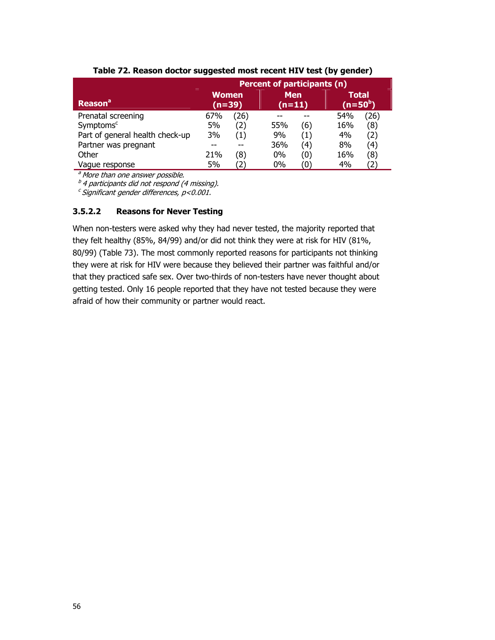|                                 | <b>Percent of participants (n)</b> |      |                        |                   |                           |  |
|---------------------------------|------------------------------------|------|------------------------|-------------------|---------------------------|--|
| <b>Reason</b> <sup>a</sup>      | <b>Women</b><br>$(n=39)$           |      | <b>Men</b><br>$(n=11)$ |                   | <b>Total</b><br>$(n=50b)$ |  |
| Prenatal screening              | 67%                                | (26) |                        |                   | 54%<br>(26)               |  |
| Symptoms <sup>c</sup>           | 5%                                 | (2)  | 55%                    | (6)               | (8)<br>16%                |  |
| Part of general health check-up | 3%                                 | (1)  | 9%                     | (1)               | (2)<br>4%                 |  |
| Partner was pregnant            |                                    |      | 36%                    | 4)                | 8%<br>(4)                 |  |
| Other                           | 21%                                | (8)  | $0\%$                  | (0)               | (8)<br>16%                |  |
| Vague response                  | 5%                                 |      | $0\%$                  | $\left( 0\right)$ | (2<br>4%                  |  |

#### **Table 72. Reason doctor suggested most recent HIV test (by gender)**

<sup>a</sup> More than one answer possible.

 $b^b$  4 participants did not respond (4 missing).

 $c$  Significant gender differences,  $p$ <0.001.

#### **3.5.2.2 Reasons for Never Testing**

When non-testers were asked why they had never tested, the majority reported that they felt healthy (85%, 84/99) and/or did not think they were at risk for HIV (81%, 80/99) (Table 73). The most commonly reported reasons for participants not thinking they were at risk for HIV were because they believed their partner was faithful and/or that they practiced safe sex. Over two-thirds of non-testers have never thought about getting tested. Only 16 people reported that they have not tested because they were afraid of how their community or partner would react.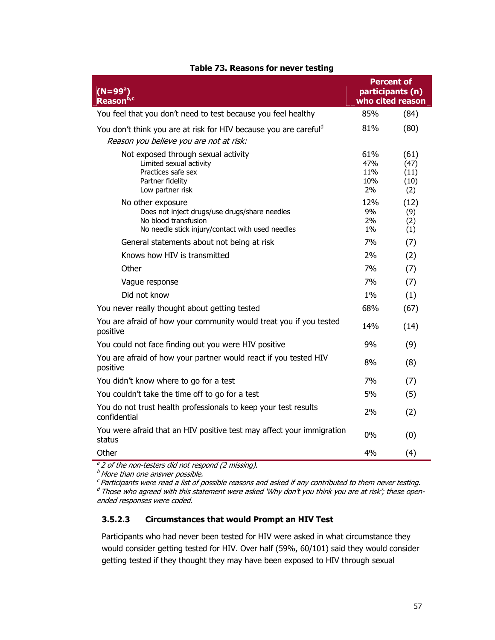| $(N = 99^a)$<br>Reason <sup>b,c</sup>                                                                                                          | who cited reason               | <b>Percent of</b><br>participants (n) |
|------------------------------------------------------------------------------------------------------------------------------------------------|--------------------------------|---------------------------------------|
| You feel that you don't need to test because you feel healthy                                                                                  | 85%                            | (84)                                  |
| You don't think you are at risk for HIV because you are carefuld<br>Reason you believe you are not at risk:                                    | 81%                            | (80)                                  |
| Not exposed through sexual activity<br>Limited sexual activity<br>Practices safe sex<br>Partner fidelity<br>Low partner risk                   | 61%<br>47%<br>11%<br>10%<br>2% | (61)<br>(47)<br>(11)<br>(10)<br>(2)   |
| No other exposure<br>Does not inject drugs/use drugs/share needles<br>No blood transfusion<br>No needle stick injury/contact with used needles | 12%<br>9%<br>2%<br>$1\%$       | (12)<br>(9)<br>(2)<br>(1)             |
| General statements about not being at risk                                                                                                     | 7%                             | (7)                                   |
| Knows how HIV is transmitted                                                                                                                   | 2%                             | (2)                                   |
| Other                                                                                                                                          | 7%                             | (7)                                   |
| Vague response                                                                                                                                 | 7%                             | (7)                                   |
| Did not know                                                                                                                                   | $1\%$                          | (1)                                   |
| You never really thought about getting tested                                                                                                  | 68%                            | (67)                                  |
| You are afraid of how your community would treat you if you tested<br>positive                                                                 | 14%                            | (14)                                  |
| You could not face finding out you were HIV positive                                                                                           | 9%                             | (9)                                   |
| You are afraid of how your partner would react if you tested HIV<br>positive                                                                   | 8%                             | (8)                                   |
| You didn't know where to go for a test                                                                                                         | 7%                             | (7)                                   |
| You couldn't take the time off to go for a test                                                                                                | 5%                             | (5)                                   |
| You do not trust health professionals to keep your test results<br>confidential                                                                | 2%                             | (2)                                   |
| You were afraid that an HIV positive test may affect your immigration<br>status                                                                | $0\%$                          | (0)                                   |
| Other<br>$\frac{a}{2}$ of the non-tectors did not respond (2 missing)                                                                          | 4%                             | (4)                                   |

# **Table 73. Reasons for never testing**

<sup>a</sup> 2 of the non-testers did not respond (2 missing).

 $^b$  More than one answer possible.

 $c$  Participants were read a list of possible reasons and asked if any contributed to them never testing.  $d$  Those who agreed with this statement were asked 'Why don't you think you are at risk'; these openended responses were coded.

# **3.5.2.3 Circumstances that would Prompt an HIV Test**

Participants who had never been tested for HIV were asked in what circumstance they would consider getting tested for HIV. Over half (59%, 60/101) said they would consider getting tested if they thought they may have been exposed to HIV through sexual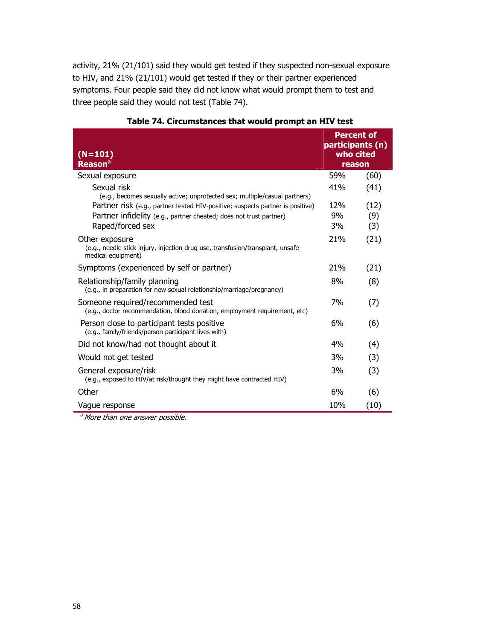activity, 21% (21/101) said they would get tested if they suspected non-sexual exposure to HIV, and 21% (21/101) would get tested if they or their partner experienced symptoms. Four people said they did not know what would prompt them to test and three people said they would not test (Table 74).

| $(N=101)$<br><b>Reason<sup>a</sup></b>                                                                                                                       | <b>Percent of</b><br>participants (n)<br>who cited<br>reason |      |
|--------------------------------------------------------------------------------------------------------------------------------------------------------------|--------------------------------------------------------------|------|
| Sexual exposure                                                                                                                                              | 59%                                                          | (60) |
| Sexual risk                                                                                                                                                  | 41%                                                          | (41) |
| (e.g., becomes sexually active; unprotected sex; multiple/casual partners)<br>Partner risk (e.g., partner tested HIV-positive; suspects partner is positive) | 12%                                                          | (12) |
| Partner infidelity (e.g., partner cheated; does not trust partner)                                                                                           | 9%                                                           | (9)  |
| Raped/forced sex                                                                                                                                             | 3%                                                           | (3)  |
| Other exposure<br>(e.g., needle stick injury, injection drug use, transfusion/transplant, unsafe<br>medical equipment)                                       | 21%                                                          | (21) |
| Symptoms (experienced by self or partner)                                                                                                                    | 21 <sub>%</sub>                                              | (21) |
| Relationship/family planning<br>(e.g., in preparation for new sexual relationship/marriage/pregnancy)                                                        | 8%                                                           | (8)  |
| Someone required/recommended test<br>(e.g., doctor recommendation, blood donation, employment requirement, etc)                                              | 7%                                                           | (7)  |
| Person close to participant tests positive<br>(e.g., family/friends/person participant lives with)                                                           | 6%                                                           | (6)  |
| Did not know/had not thought about it                                                                                                                        | 4%                                                           | (4)  |
| Would not get tested                                                                                                                                         | 3%                                                           | (3)  |
| General exposure/risk<br>(e.g., exposed to HIV/at risk/thought they might have contracted HIV)                                                               | 3%                                                           | (3)  |
| Other                                                                                                                                                        | 6%                                                           | (6)  |
| Vague response                                                                                                                                               | 10%                                                          | (10) |

**a** More than one answer possible.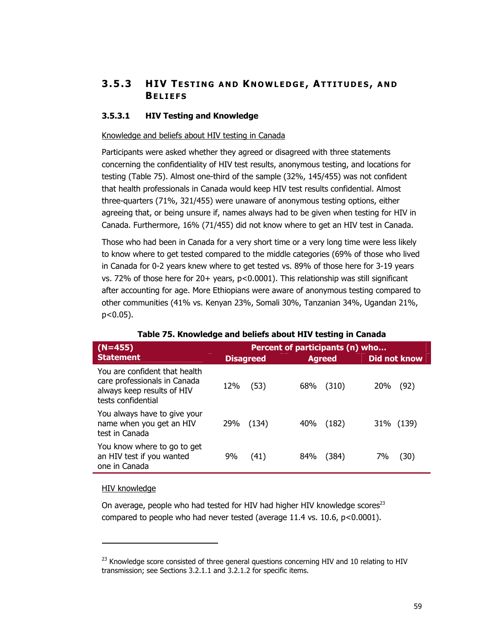# **3.5.3 HIV T ESTING AND K NOWLEDGE , ATTITUDES , AND BELIEFS**

# **3.5.3.1 HIV Testing and Knowledge**

#### Knowledge and beliefs about HIV testing in Canada

Participants were asked whether they agreed or disagreed with three statements concerning the confidentiality of HIV test results, anonymous testing, and locations for testing (Table 75). Almost one-third of the sample (32%, 145/455) was not confident that health professionals in Canada would keep HIV test results confidential. Almost three-quarters (71%, 321/455) were unaware of anonymous testing options, either agreeing that, or being unsure if, names always had to be given when testing for HIV in Canada. Furthermore, 16% (71/455) did not know where to get an HIV test in Canada.

Those who had been in Canada for a very short time or a very long time were less likely to know where to get tested compared to the middle categories (69% of those who lived in Canada for 0-2 years knew where to get tested vs. 89% of those here for 3-19 years vs. 72% of those here for 20+ years, p<0.0001). This relationship was still significant after accounting for age. More Ethiopians were aware of anonymous testing compared to other communities (41% vs. Kenyan 23%, Somali 30%, Tanzanian 34%, Ugandan 21%, p<0.05).

| $(N=455)$                                                                                                         | Percent of participants (n) who |       |     |               |            |              |
|-------------------------------------------------------------------------------------------------------------------|---------------------------------|-------|-----|---------------|------------|--------------|
| <b>Statement</b>                                                                                                  | <b>Disagreed</b>                |       |     | <b>Agreed</b> |            | Did not know |
| You are confident that health<br>care professionals in Canada<br>always keep results of HIV<br>tests confidential | 12%                             | (53)  | 68% | (310)         | <b>20%</b> | (92)         |
| You always have to give your<br>name when you get an HIV<br>test in Canada                                        | 29%                             | (134) | 40% | (182)         |            | 31% (139)    |
| You know where to go to get<br>an HIV test if you wanted<br>one in Canada                                         | 9%                              | (41)  | 84% | (384)         | 7%         | (30)         |

#### **Table 75. Knowledge and beliefs about HIV testing in Canada**

#### HIV knowledge

-

On average, people who had tested for HIV had higher HIV knowledge scores<sup>23</sup> compared to people who had never tested (average  $11.4$  vs.  $10.6$ ,  $p < 0.0001$ ).

 $^{23}$  Knowledge score consisted of three general questions concerning HIV and 10 relating to HIV transmission; see Sections 3.2.1.1 and 3.2.1.2 for specific items.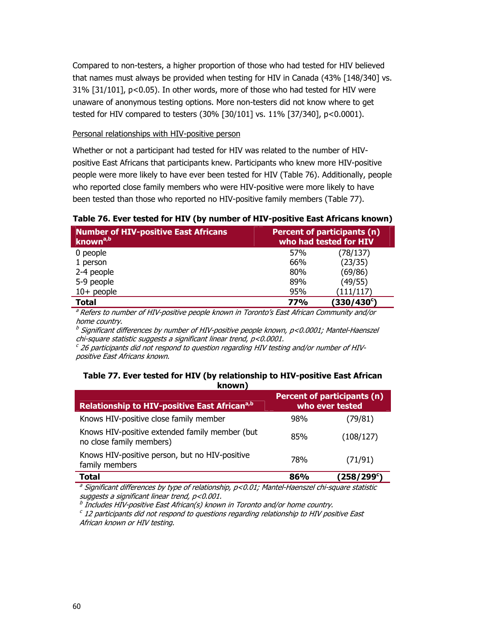Compared to non-testers, a higher proportion of those who had tested for HIV believed that names must always be provided when testing for HIV in Canada (43% [148/340] vs. 31% [31/101], p<0.05). In other words, more of those who had tested for HIV were unaware of anonymous testing options. More non-testers did not know where to get tested for HIV compared to testers (30% [30/101] vs. 11% [37/340], p<0.0001).

#### Personal relationships with HIV-positive person

Whether or not a participant had tested for HIV was related to the number of HIVpositive East Africans that participants knew. Participants who knew more HIV-positive people were more likely to have ever been tested for HIV (Table 76). Additionally, people who reported close family members who were HIV-positive were more likely to have been tested than those who reported no HIV-positive family members (Table 77).

## **Table 76. Ever tested for HIV (by number of HIV-positive East Africans known)**

| <b>Number of HIV-positive East Africans</b><br>known <sup>a,b</sup> | Percent of participants (n)<br>who had tested for HIV |            |  |
|---------------------------------------------------------------------|-------------------------------------------------------|------------|--|
| 0 people                                                            | 57%                                                   | (78/137)   |  |
| 1 person                                                            | 66%                                                   | (23/35)    |  |
| 2-4 people                                                          | 80%                                                   | (69/86)    |  |
| 5-9 people                                                          | 89%                                                   | (49/55)    |  |
| $10+$ people                                                        | 95%                                                   | (111/117)  |  |
| Total                                                               | <b>77%</b>                                            | (330/430°) |  |

a Refers to number of HIV-positive people known in Toronto's East African Community and/or home country.

 $^b$  Significant differences by number of HIV-positive people known, p<0.0001; Mantel-Haenszel chi-square statistic suggests a significant linear trend, p<0.0001.

 $c$  26 participants did not respond to question regarding HIV testing and/or number of HIVpositive East Africans known.

#### **Table 77. Ever tested for HIV (by relationship to HIV-positive East African known)**

| Relationship to HIV-positive East African <sup>a,b</sup>                   | Percent of participants (n)<br>who ever tested |            |
|----------------------------------------------------------------------------|------------------------------------------------|------------|
| Knows HIV-positive close family member                                     | 98%                                            | (79/81)    |
| Knows HIV-positive extended family member (but<br>no close family members) | 85%                                            | (108/127)  |
| Knows HIV-positive person, but no HIV-positive<br>family members           | <b>78%</b>                                     | (71/91)    |
| <b>Total</b>                                                               | 86%                                            | (258/299°) |

<sup>a</sup> Significant differences by type of relationship, p<0.01; Mantel-Haenszel chi-square statistic suggests a significant linear trend, p<0.001.

 $\overline{b}$  Includes HIV-positive East African(s) known in Toronto and/or home country.

 $c$  12 participants did not respond to questions regarding relationship to HIV positive East African known or HIV testing.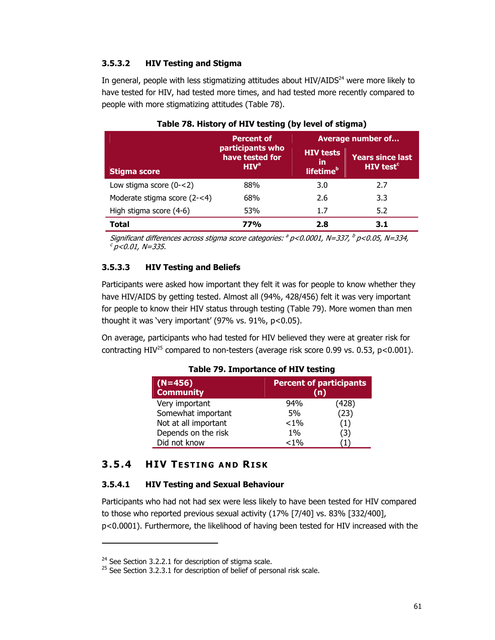# **3.5.3.2 HIV Testing and Stigma**

In general, people with less stigmatizing attitudes about HIV/AIDS<sup>24</sup> were more likely to have tested for HIV, had tested more times, and had tested more recently compared to people with more stigmatizing attitudes (Table 78).

|                              | <b>Percent of</b>                                       | <b>Average number of</b>                        |                                                        |
|------------------------------|---------------------------------------------------------|-------------------------------------------------|--------------------------------------------------------|
| <b>Stigma score</b>          | participants who<br>have tested for<br>HIV <sup>a</sup> | <b>HIV tests</b><br>in<br>lifetime <sup>b</sup> | <b>Years since last</b><br><b>HIV test<sup>c</sup></b> |
| Low stigma score $(0 - < 2)$ | 88%                                                     | 3.0                                             | 2.7                                                    |
| Moderate stigma score (2-<4) | 68%                                                     | 2.6                                             | 3.3                                                    |
| High stigma score (4-6)      | 53%                                                     | 1.7                                             | 5.2                                                    |
| Total                        | 77%                                                     | 2.8                                             | 3.1                                                    |

### **Table 78. History of HIV testing (by level of stigma)**

Significant differences across stigma score categories:  $a$  p<0.0001, N=337,  $b$  p<0.05, N=334,  $c$  p<0.01, N=335.

# **3.5.3.3 HIV Testing and Beliefs**

Participants were asked how important they felt it was for people to know whether they have HIV/AIDS by getting tested. Almost all (94%, 428/456) felt it was very important for people to know their HIV status through testing (Table 79). More women than men thought it was 'very important' (97% vs. 91%, p<0.05).

On average, participants who had tested for HIV believed they were at greater risk for contracting HIV<sup>25</sup> compared to non-testers (average risk score 0.99 vs. 0.53,  $p < 0.001$ ).

| $(N=456)$<br><b>Community</b> |         | <b>Percent of participants</b><br>(n) |  |  |
|-------------------------------|---------|---------------------------------------|--|--|
| Very important                | 94%     | (428)                                 |  |  |
| Somewhat important            | 5%      | (23)                                  |  |  |
| Not at all important          | $< 1\%$ | (1)                                   |  |  |
| Depends on the risk           | $1\%$   | (3)                                   |  |  |
| Did not know                  | $< 1\%$ |                                       |  |  |

#### **Table 79. Importance of HIV testing**

# **3.5.4 HIV T ESTING AND RISK**

## **3.5.4.1 HIV Testing and Sexual Behaviour**

Participants who had not had sex were less likely to have been tested for HIV compared to those who reported previous sexual activity (17% [7/40] vs. 83% [332/400], p<0.0001). Furthermore, the likelihood of having been tested for HIV increased with the

-

<sup>&</sup>lt;sup>24</sup> See Section 3.2.2.1 for description of stigma scale.

 $25$  See Section 3.2.3.1 for description of belief of personal risk scale.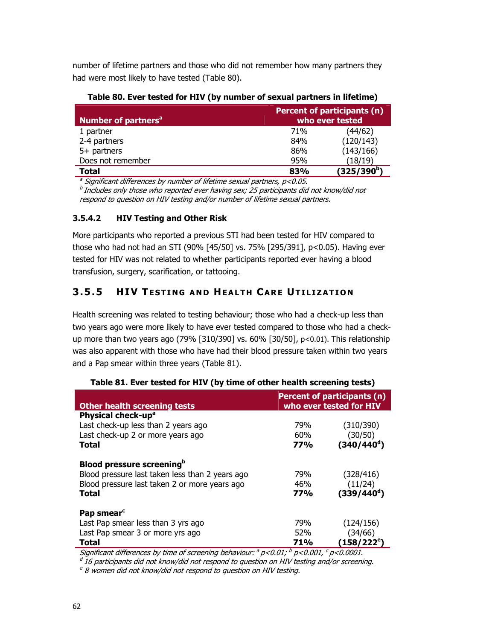number of lifetime partners and those who did not remember how many partners they had were most likely to have tested (Table 80).

**Table 80. Ever tested for HIV (by number of sexual partners in lifetime)** 

| <b>Number of partners<sup>a</sup></b> |            | Percent of participants (n)<br>who ever tested |  |  |
|---------------------------------------|------------|------------------------------------------------|--|--|
| 1 partner                             | <b>71%</b> | (44/62)                                        |  |  |
| 2-4 partners                          | 84%        | (120/143)                                      |  |  |
| 5+ partners                           | 86%        | (143/166)                                      |  |  |
| Does not remember                     | 95%        | (18/19)                                        |  |  |
| Total                                 | 83%        | (325/390 <sup>b</sup> )                        |  |  |

<sup>a</sup> Significant differences by number of lifetime sexual partners,  $p$ <0.05.

 $<sup>b</sup>$  Includes only those who reported ever having sex; 25 participants did not know/did not</sup> respond to question on HIV testing and/or number of lifetime sexual partners.

# **3.5.4.2 HIV Testing and Other Risk**

More participants who reported a previous STI had been tested for HIV compared to those who had not had an STI (90% [45/50] vs. 75% [295/391], p<0.05). Having ever tested for HIV was not related to whether participants reported ever having a blood transfusion, surgery, scarification, or tattooing.

# **3.5.5 HIV T ESTING AND HEALTH CARE UTILIZATION**

Health screening was related to testing behaviour; those who had a check-up less than two years ago were more likely to have ever tested compared to those who had a checkup more than two years ago (79% [310/390] vs. 60% [30/50], p<0.01). This relationship was also apparent with those who have had their blood pressure taken within two years and a Pap smear within three years (Table 81).

|                                                 |            | Percent of participants (n) |
|-------------------------------------------------|------------|-----------------------------|
| <b>Other health screening tests</b>             |            | who ever tested for HIV     |
| Physical check-up <sup>a</sup>                  |            |                             |
| Last check-up less than 2 years ago             | 79%        | (310/390)                   |
| Last check-up 2 or more years ago               | 60%        | (30/50)                     |
| <b>Total</b>                                    | <b>77%</b> | $(340/440^d)$               |
| <b>Blood pressure screening</b> <sup>b</sup>    |            |                             |
| Blood pressure last taken less than 2 years ago | 79%        | (328/416)                   |
| Blood pressure last taken 2 or more years ago   | 46%        | (11/24)                     |
| <b>Total</b>                                    | <b>77%</b> | (339/440 <sup>d</sup> )     |
| Pap smear <sup>c</sup>                          |            |                             |
| Last Pap smear less than 3 yrs ago              | 79%        | (124/156)                   |
| Last Pap smear 3 or more yrs ago                | 52%        | (34/66)                     |
| Total                                           | <b>71%</b> | $(158/222^{\rm e})$         |

# **Table 81. Ever tested for HIV (by time of other health screening tests)**

Significant differences by time of screening behaviour:  $^a$  p<0.01;  $^b$  p<0.001,  $^c$  p<0.0001.

 $^d$  16 participants did not know/did not respond to question on HIV testing and/or screening.

 $e^e$  8 women did not know/did not respond to question on HIV testing.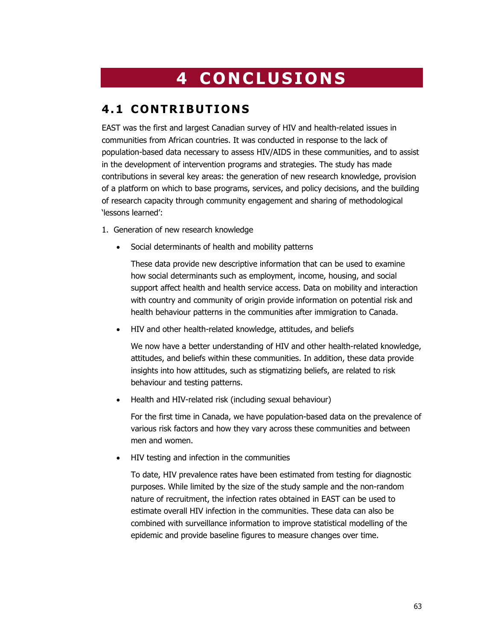# **4 CONCLUSIONS**

# **4.1 CONTRIBUTIONS**

EAST was the first and largest Canadian survey of HIV and health-related issues in communities from African countries. It was conducted in response to the lack of population-based data necessary to assess HIV/AIDS in these communities, and to assist in the development of intervention programs and strategies. The study has made contributions in several key areas: the generation of new research knowledge, provision of a platform on which to base programs, services, and policy decisions, and the building of research capacity through community engagement and sharing of methodological 'lessons learned':

- 1. Generation of new research knowledge
	- Social determinants of health and mobility patterns

These data provide new descriptive information that can be used to examine how social determinants such as employment, income, housing, and social support affect health and health service access. Data on mobility and interaction with country and community of origin provide information on potential risk and health behaviour patterns in the communities after immigration to Canada.

• HIV and other health-related knowledge, attitudes, and beliefs

We now have a better understanding of HIV and other health-related knowledge, attitudes, and beliefs within these communities. In addition, these data provide insights into how attitudes, such as stigmatizing beliefs, are related to risk behaviour and testing patterns.

• Health and HIV-related risk (including sexual behaviour)

For the first time in Canada, we have population-based data on the prevalence of various risk factors and how they vary across these communities and between men and women.

• HIV testing and infection in the communities

To date, HIV prevalence rates have been estimated from testing for diagnostic purposes. While limited by the size of the study sample and the non-random nature of recruitment, the infection rates obtained in EAST can be used to estimate overall HIV infection in the communities. These data can also be combined with surveillance information to improve statistical modelling of the epidemic and provide baseline figures to measure changes over time.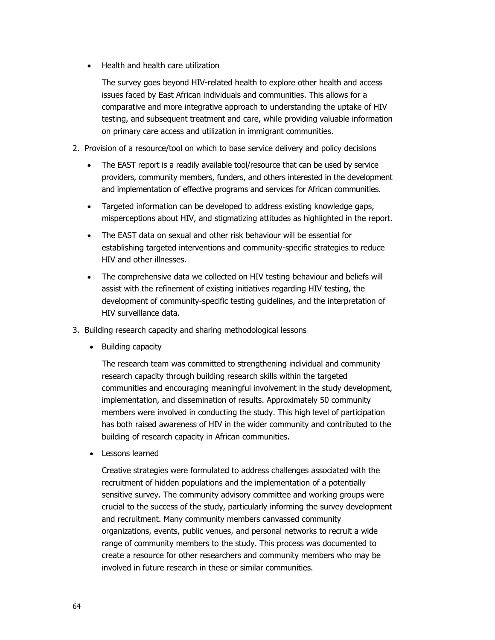• Health and health care utilization

The survey goes beyond HIV-related health to explore other health and access issues faced by East African individuals and communities. This allows for a comparative and more integrative approach to understanding the uptake of HIV testing, and subsequent treatment and care, while providing valuable information on primary care access and utilization in immigrant communities.

- 2. Provision of a resource/tool on which to base service delivery and policy decisions
	- The EAST report is a readily available tool/resource that can be used by service providers, community members, funders, and others interested in the development and implementation of effective programs and services for African communities.
	- Targeted information can be developed to address existing knowledge gaps, misperceptions about HIV, and stigmatizing attitudes as highlighted in the report.
	- The EAST data on sexual and other risk behaviour will be essential for establishing targeted interventions and community-specific strategies to reduce HIV and other illnesses.
	- The comprehensive data we collected on HIV testing behaviour and beliefs will assist with the refinement of existing initiatives regarding HIV testing, the development of community-specific testing guidelines, and the interpretation of HIV surveillance data.
- 3. Building research capacity and sharing methodological lessons
	- Building capacity

The research team was committed to strengthening individual and community research capacity through building research skills within the targeted communities and encouraging meaningful involvement in the study development, implementation, and dissemination of results. Approximately 50 community members were involved in conducting the study. This high level of participation has both raised awareness of HIV in the wider community and contributed to the building of research capacity in African communities.

• Lessons learned

Creative strategies were formulated to address challenges associated with the recruitment of hidden populations and the implementation of a potentially sensitive survey. The community advisory committee and working groups were crucial to the success of the study, particularly informing the survey development and recruitment. Many community members canvassed community organizations, events, public venues, and personal networks to recruit a wide range of community members to the study. This process was documented to create a resource for other researchers and community members who may be involved in future research in these or similar communities.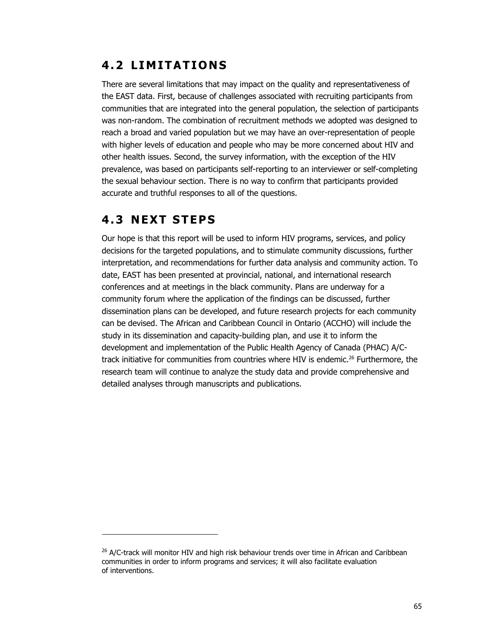# **4.2 LIMITATIONS**

There are several limitations that may impact on the quality and representativeness of the EAST data. First, because of challenges associated with recruiting participants from communities that are integrated into the general population, the selection of participants was non-random. The combination of recruitment methods we adopted was designed to reach a broad and varied population but we may have an over-representation of people with higher levels of education and people who may be more concerned about HIV and other health issues. Second, the survey information, with the exception of the HIV prevalence, was based on participants self-reporting to an interviewer or self-completing the sexual behaviour section. There is no way to confirm that participants provided accurate and truthful responses to all of the questions.

# **4.3 NEXT STEPS**

-

Our hope is that this report will be used to inform HIV programs, services, and policy decisions for the targeted populations, and to stimulate community discussions, further interpretation, and recommendations for further data analysis and community action. To date, EAST has been presented at provincial, national, and international research conferences and at meetings in the black community. Plans are underway for a community forum where the application of the findings can be discussed, further dissemination plans can be developed, and future research projects for each community can be devised. The African and Caribbean Council in Ontario (ACCHO) will include the study in its dissemination and capacity-building plan, and use it to inform the development and implementation of the Public Health Agency of Canada (PHAC) A/Ctrack initiative for communities from countries where HIV is endemic.<sup>26</sup> Furthermore, the research team will continue to analyze the study data and provide comprehensive and detailed analyses through manuscripts and publications.

<sup>&</sup>lt;sup>26</sup> A/C-track will monitor HIV and high risk behaviour trends over time in African and Caribbean communities in order to inform programs and services; it will also facilitate evaluation of interventions.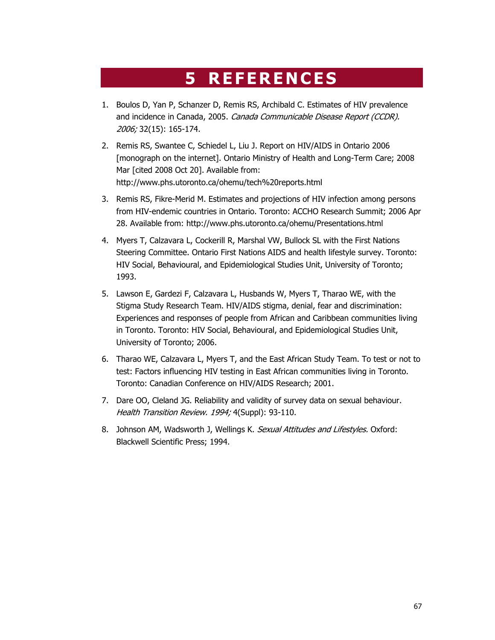# **5 REFERENCES**

- 1. Boulos D, Yan P, Schanzer D, Remis RS, Archibald C. Estimates of HIV prevalence and incidence in Canada, 2005. Canada Communicable Disease Report (CCDR). 2006; 32(15): 165-174.
- 2. Remis RS, Swantee C, Schiedel L, Liu J. Report on HIV/AIDS in Ontario 2006 [monograph on the internet]. Ontario Ministry of Health and Long-Term Care; 2008 Mar [cited 2008 Oct 20]. Available from: http://www.phs.utoronto.ca/ohemu/tech%20reports.html
- 3. Remis RS, Fikre-Merid M. Estimates and projections of HIV infection among persons from HIV-endemic countries in Ontario. Toronto: ACCHO Research Summit; 2006 Apr 28. Available from: http://www.phs.utoronto.ca/ohemu/Presentations.html
- 4. Myers T, Calzavara L, Cockerill R, Marshal VW, Bullock SL with the First Nations Steering Committee. Ontario First Nations AIDS and health lifestyle survey. Toronto: HIV Social, Behavioural, and Epidemiological Studies Unit, University of Toronto; 1993.
- 5. Lawson E, Gardezi F, Calzavara L, Husbands W, Myers T, Tharao WE, with the Stigma Study Research Team. HIV/AIDS stigma, denial, fear and discrimination: Experiences and responses of people from African and Caribbean communities living in Toronto. Toronto: HIV Social, Behavioural, and Epidemiological Studies Unit, University of Toronto; 2006.
- 6. Tharao WE, Calzavara L, Myers T, and the East African Study Team. To test or not to test: Factors influencing HIV testing in East African communities living in Toronto. Toronto: Canadian Conference on HIV/AIDS Research; 2001.
- 7. Dare OO, Cleland JG. Reliability and validity of survey data on sexual behaviour. Health Transition Review. 1994; 4(Suppl): 93-110.
- 8. Johnson AM, Wadsworth J, Wellings K. Sexual Attitudes and Lifestyles. Oxford: Blackwell Scientific Press; 1994.